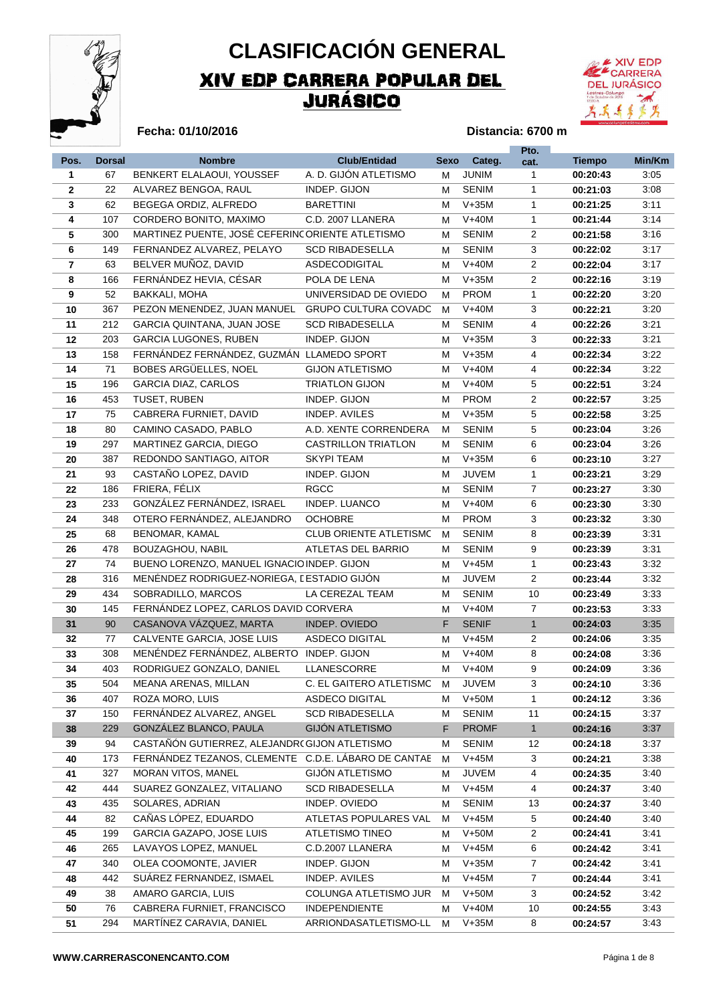

## XIV EDP CARRERA POPULAR DEL JURÁSICO **CLASIFICACIÓN GENERAL**



#### **Fecha: 01/10/2016**

#### **Distancia: 6700 m**

|                         |               |                                                     |                               |             |              | Pto.           |               |        |
|-------------------------|---------------|-----------------------------------------------------|-------------------------------|-------------|--------------|----------------|---------------|--------|
| Pos.                    | <b>Dorsal</b> | <b>Nombre</b>                                       | <b>Club/Entidad</b>           | <b>Sexo</b> | Categ.       | cat.           | <b>Tiempo</b> | Min/Km |
| 1                       | 67            | BENKERT ELALAOUI, YOUSSEF                           | A. D. GIJÓN ATLETISMO         | м           | <b>JUNIM</b> | $\mathbf{1}$   | 00:20:43      | 3:05   |
| $\mathbf{2}$            | 22            | ALVAREZ BENGOA, RAUL                                | INDEP. GIJON                  | М           | <b>SENIM</b> | $\mathbf{1}$   | 00:21:03      | 3:08   |
| 3                       | 62            | BEGEGA ORDIZ, ALFREDO                               | <b>BARETTINI</b>              | м           | $V+35M$      | 1              | 00:21:25      | 3:11   |
| 4                       | 107           | CORDERO BONITO, MAXIMO                              | C.D. 2007 LLANERA             | М           | $V+40M$      | $\mathbf{1}$   | 00:21:44      | 3:14   |
| 5                       | 300           | MARTINEZ PUENTE, JOSÉ CEFERINC ORIENTE ATLETISMO    |                               | м           | <b>SENIM</b> | $\overline{2}$ | 00:21:58      | 3:16   |
| 6                       | 149           | FERNANDEZ ALVAREZ, PELAYO                           | <b>SCD RIBADESELLA</b>        | м           | <b>SENIM</b> | 3              | 00:22:02      | 3:17   |
| $\overline{\mathbf{r}}$ | 63            | BELVER MUÑOZ, DAVID                                 | ASDECODIGITAL                 | м           | $V+40M$      | $\overline{2}$ | 00:22:04      | 3:17   |
| 8                       | 166           | FERNÁNDEZ HEVIA, CÉSAR                              | POLA DE LENA                  | м           | $V+35M$      | $\overline{2}$ | 00:22:16      | 3:19   |
| 9                       | 52            | <b>BAKKALI, MOHA</b>                                | UNIVERSIDAD DE OVIEDO         | М           | <b>PROM</b>  | 1              | 00:22:20      | 3:20   |
| 10                      | 367           | PEZON MENENDEZ, JUAN MANUEL                         | <b>GRUPO CULTURA COVADO</b>   | м           | $V+40M$      | 3              | 00:22:21      | 3:20   |
| 11                      | 212           | GARCIA QUINTANA, JUAN JOSE                          | <b>SCD RIBADESELLA</b>        | м           | <b>SENIM</b> | 4              | 00:22:26      | 3:21   |
| 12                      | 203           | <b>GARCIA LUGONES, RUBEN</b>                        | INDEP. GIJON                  | м           | $V+35M$      | 3              | 00:22:33      | 3:21   |
| 13                      | 158           | FERNÁNDEZ FERNÁNDEZ, GUZMÁN LLAMEDO SPORT           |                               | м           | $V+35M$      | $\overline{4}$ | 00:22:34      | 3:22   |
| 14                      | 71            | BOBES ARGÜELLES, NOEL                               | <b>GIJON ATLETISMO</b>        | м           | $V+40M$      | 4              | 00:22:34      | 3:22   |
| 15                      | 196           | <b>GARCIA DIAZ, CARLOS</b>                          | <b>TRIATLON GIJON</b>         | м           | $V+40M$      | 5              | 00:22:51      | 3:24   |
| 16                      | 453           | TUSET, RUBEN                                        | INDEP. GIJON                  | м           | <b>PROM</b>  | $\overline{2}$ | 00:22:57      | 3:25   |
| 17                      | 75            | CABRERA FURNIET, DAVID                              | <b>INDEP. AVILES</b>          | м           | $V+35M$      | 5              | 00:22:58      | 3:25   |
| 18                      | 80            | CAMINO CASADO, PABLO                                | A.D. XENTE CORRENDERA         | м           | <b>SENIM</b> | 5              | 00:23:04      | 3:26   |
| 19                      | 297           | MARTINEZ GARCIA, DIEGO                              | <b>CASTRILLON TRIATLON</b>    | м           | <b>SENIM</b> | 6              | 00:23:04      | 3:26   |
| 20                      | 387           | REDONDO SANTIAGO, AITOR                             | <b>SKYPI TEAM</b>             | м           | $V+35M$      | 6              | 00:23:10      | 3:27   |
| 21                      | 93            | CASTAÑO LOPEZ, DAVID                                | INDEP. GIJON                  | м           | <b>JUVEM</b> | $\mathbf{1}$   | 00:23:21      | 3:29   |
| 22                      | 186           | FRIERA, FÉLIX                                       | <b>RGCC</b>                   | м           | <b>SENIM</b> | 7              | 00:23:27      | 3:30   |
| 23                      | 233           | GONZÁLEZ FERNÁNDEZ, ISRAEL                          | INDEP. LUANCO                 | м           | $V+40M$      | 6              | 00:23:30      | 3:30   |
| 24                      | 348           | OTERO FERNÁNDEZ, ALEJANDRO                          | <b>OCHOBRE</b>                | м           | <b>PROM</b>  | 3              | 00:23:32      | 3:30   |
| 25                      | 68            | BENOMAR, KAMAL                                      | <b>CLUB ORIENTE ATLETISMC</b> | м           | <b>SENIM</b> | 8              | 00:23:39      | 3:31   |
| 26                      | 478           | BOUZAGHOU, NABIL                                    | ATLETAS DEL BARRIO            | м           | <b>SENIM</b> | 9              | 00:23:39      | 3:31   |
| 27                      | 74            | BUENO LORENZO, MANUEL IGNACIO INDEP. GIJON          |                               | м           | $V+45M$      | $\mathbf{1}$   | 00:23:43      | 3:32   |
| 28                      | 316           | MENÉNDEZ RODRIGUEZ-NORIEGA, I ESTADIO GIJÓN         |                               | м           | <b>JUVEM</b> | $\overline{2}$ | 00:23:44      | 3:32   |
| 29                      | 434           | SOBRADILLO, MARCOS                                  | LA CEREZAL TEAM               | м           | <b>SENIM</b> | 10             | 00:23:49      | 3:33   |
| 30                      | 145           | FERNÁNDEZ LOPEZ, CARLOS DAVID CORVERA               |                               | м           | $V+40M$      | $\overline{7}$ | 00:23:53      | 3:33   |
| 31                      | 90            | CASANOVA VÁZQUEZ, MARTA                             | INDEP. OVIEDO                 | F           | <b>SENIF</b> | $\mathbf{1}$   | 00:24:03      | 3:35   |
| 32                      | 77            | CALVENTE GARCIA, JOSE LUIS                          | ASDECO DIGITAL                | м           | $V+45M$      | $\overline{2}$ | 00:24:06      | 3:35   |
| 33                      | 308           | MENÉNDEZ FERNÁNDEZ, ALBERTO INDEP. GIJON            |                               | м           | $V+40M$      | 8              | 00:24:08      | 3:36   |
| 34                      | 403           | RODRIGUEZ GONZALO, DANIEL                           | <b>LLANESCORRE</b>            | М           | $V+40M$      | 9              | 00:24:09      | 3:36   |
| 35                      | 504           | MEANA ARENAS, MILLAN                                | C. EL GAITERO ATLETISMO       | M           | <b>JUVEM</b> | 3              | 00:24:10      | 3:36   |
| 36                      | 407           | ROZA MORO, LUIS                                     | ASDECO DIGITAL                | м           | $V+50M$      | 1              | 00:24:12      | 3:36   |
| 37                      | 150           | FERNÁNDEZ ALVAREZ, ANGEL                            | <b>SCD RIBADESELLA</b>        | М           | <b>SENIM</b> | 11             | 00:24:15      | 3:37   |
| 38                      | 229           | GONZÁLEZ BLANCO, PAULA                              | <b>GIJÓN ATLETISMO</b>        | F           | <b>PROMF</b> | $\mathbf{1}$   | 00:24:16      | 3:37   |
| 39                      | 94            | CASTAÑÓN GUTIERREZ, ALEJANDR(GIJON ATLETISMO        |                               | М           | <b>SENIM</b> | 12             | 00:24:18      | 3:37   |
| 40                      | 173           | FERNÁNDEZ TEZANOS, CLEMENTE C.D.E. LÁBARO DE CANTAE |                               | м           | $V+45M$      | 3              | 00:24:21      | 3:38   |
| 41                      | 327           | MORAN VITOS, MANEL                                  | <b>GIJÓN ATLETISMO</b>        | М           | <b>JUVEM</b> | 4              | 00:24:35      | 3:40   |
| 42                      | 444           | SUAREZ GONZALEZ, VITALIANO                          | <b>SCD RIBADESELLA</b>        | М           | $V+45M$      | 4              | 00:24:37      | 3:40   |
| 43                      | 435           | SOLARES, ADRIAN                                     | INDEP. OVIEDO                 | М           | <b>SENIM</b> | 13             | 00:24:37      | 3:40   |
| 44                      | 82            | CAÑAS LÓPEZ, EDUARDO                                | ATLETAS POPULARES VAL         | м           | $V+45M$      | 5              | 00:24:40      | 3:40   |
| 45                      | 199           | GARCIA GAZAPO, JOSE LUIS                            | <b>ATLETISMO TINEO</b>        | М           | $V+50M$      | 2              | 00:24:41      | 3:41   |
| 46                      | 265           | LAVAYOS LOPEZ, MANUEL                               | C.D.2007 LLANERA              | М           | $V+45M$      | 6              | 00:24:42      | 3:41   |
| 47                      | 340           | OLEA COOMONTE, JAVIER                               | INDEP. GIJON                  | м           | $V+35M$      | $\overline{7}$ | 00:24:42      | 3:41   |
| 48                      | 442           | SUÁREZ FERNANDEZ, ISMAEL                            | INDEP. AVILES                 | М           | $V+45M$      | 7              | 00:24:44      | 3:41   |
| 49                      | 38            | AMARO GARCIA, LUIS                                  | COLUNGA ATLETISMO JUR         | м           | $V+50M$      | 3              | 00:24:52      | 3:42   |
| 50                      | 76            | CABRERA FURNIET, FRANCISCO                          | <b>INDEPENDIENTE</b>          | м           | $V+40M$      | 10             | 00:24:55      | 3:43   |
| 51                      | 294           | MARTÍNEZ CARAVIA, DANIEL                            | ARRIONDASATLETISMO-LL         | м           | $V+35M$      | 8              | 00:24:57      | 3:43   |
|                         |               |                                                     |                               |             |              |                |               |        |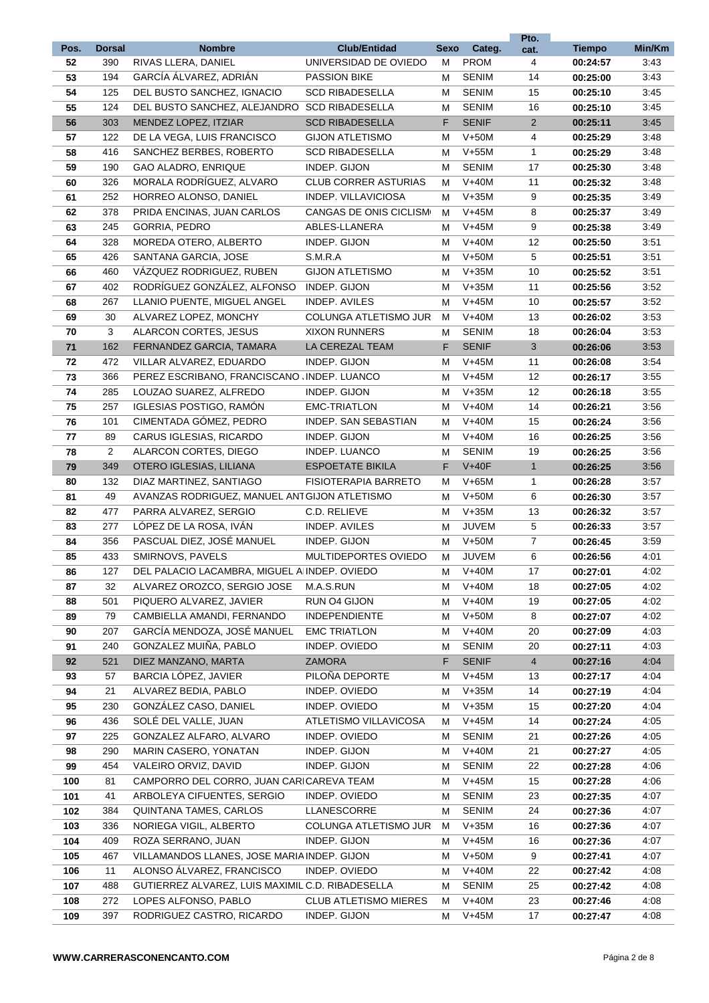|          |                |                                                  |                                              |             |                             | Pto.           |                      |              |
|----------|----------------|--------------------------------------------------|----------------------------------------------|-------------|-----------------------------|----------------|----------------------|--------------|
| Pos.     | <b>Dorsal</b>  | <b>Nombre</b><br>RIVAS LLERA, DANIEL             | <b>Club/Entidad</b>                          | <b>Sexo</b> | Categ.                      | cat.           | <b>Tiempo</b>        | Min/Km       |
| 52<br>53 | 390<br>194     | GARCÍA ÁLVAREZ, ADRIÁN                           | UNIVERSIDAD DE OVIEDO<br><b>PASSION BIKE</b> | м<br>м      | <b>PROM</b><br><b>SENIM</b> | 4<br>14        | 00:24:57<br>00:25:00 | 3:43<br>3:43 |
| 54       | 125            | DEL BUSTO SANCHEZ, IGNACIO                       | <b>SCD RIBADESELLA</b>                       | м           | <b>SENIM</b>                | 15             | 00:25:10             | 3:45         |
| 55       | 124            | DEL BUSTO SANCHEZ, ALEJANDRO SCD RIBADESELLA     |                                              | м           | <b>SENIM</b>                | 16             | 00:25:10             | 3:45         |
| 56       | 303            | MENDEZ LOPEZ, ITZIAR                             | <b>SCD RIBADESELLA</b>                       | F.          | <b>SENIF</b>                | $\overline{2}$ | 00:25:11             | 3:45         |
| 57       | 122            | DE LA VEGA, LUIS FRANCISCO                       | <b>GIJON ATLETISMO</b>                       | м           | $V+50M$                     | 4              | 00:25:29             | 3:48         |
| 58       | 416            | SANCHEZ BERBES, ROBERTO                          | <b>SCD RIBADESELLA</b>                       | м           | $V+55M$                     | $\mathbf{1}$   | 00:25:29             | 3:48         |
| 59       | 190            | <b>GAO ALADRO, ENRIQUE</b>                       | INDEP. GIJON                                 | м           | <b>SENIM</b>                | 17             | 00:25:30             | 3:48         |
| 60       | 326            | MORALA RODRÍGUEZ, ALVARO                         | <b>CLUB CORRER ASTURIAS</b>                  | м           | $V+40M$                     | 11             | 00:25:32             | 3:48         |
| 61       | 252            | HORREO ALONSO, DANIEL                            | INDEP. VILLAVICIOSA                          | м           | $V+35M$                     | 9              | 00:25:35             | 3:49         |
| 62       | 378            | PRIDA ENCINAS, JUAN CARLOS                       | CANGAS DE ONIS CICLISMO                      | м           | $V+45M$                     | 8              | 00:25:37             | 3:49         |
| 63       | 245            | GORRIA, PEDRO                                    | ABLES-LLANERA                                | м           | $V+45M$                     | 9              | 00:25:38             | 3:49         |
| 64       | 328            | MOREDA OTERO, ALBERTO                            | INDEP. GIJON                                 | м           | $V+40M$                     | 12             | 00:25:50             | 3:51         |
| 65       | 426            | SANTANA GARCIA, JOSE                             | S.M.R.A                                      | м           | $V+50M$                     | 5              | 00:25:51             | 3:51         |
| 66       | 460            | VÁZQUEZ RODRIGUEZ, RUBEN                         | <b>GIJON ATLETISMO</b>                       | м           | $V+35M$                     | 10             | 00:25:52             | 3:51         |
| 67       | 402            | RODRÍGUEZ GONZÁLEZ, ALFONSO                      | INDEP. GIJON                                 | М           | $V+35M$                     | 11             | 00:25:56             | 3:52         |
| 68       | 267            | LLANIO PUENTE. MIGUEL ANGEL                      | INDEP. AVILES                                | м           | $V+45M$                     | 10             | 00:25:57             | 3:52         |
| 69       | 30             | ALVAREZ LOPEZ, MONCHY                            | <b>COLUNGA ATLETISMO JUR</b>                 | м           | $V+40M$                     | 13             | 00:26:02             | 3:53         |
| 70       | 3              | ALARCON CORTES, JESUS                            | <b>XIXON RUNNERS</b>                         | м           | <b>SENIM</b>                | 18             | 00:26:04             | 3:53         |
| $71$     | 162            | FERNANDEZ GARCIA, TAMARA                         | LA CEREZAL TEAM                              | F           | <b>SENIF</b>                | $\mathbf{3}$   | 00:26:06             | 3:53         |
| 72       | 472            | VILLAR ALVAREZ, EDUARDO                          | INDEP. GIJON                                 | м           | $V+45M$                     | 11             | 00:26:08             | 3:54         |
| 73       | 366            | PEREZ ESCRIBANO, FRANCISCANO (INDEP. LUANCO      |                                              | м           | $V+45M$                     | 12             | 00:26:17             | 3:55         |
| 74       | 285            | LOUZAO SUAREZ, ALFREDO                           | INDEP. GIJON                                 | м           | $V+35M$                     | 12             | 00:26:18             | 3:55         |
| 75       | 257            | <b>IGLESIAS POSTIGO, RAMÓN</b>                   | <b>EMC-TRIATLON</b>                          | м           | $V+40M$                     | 14             | 00:26:21             | 3:56         |
| 76       | 101            | CIMENTADA GÓMEZ, PEDRO                           | INDEP. SAN SEBASTIAN                         | м           | $V+40M$                     | 15             | 00:26:24             | 3:56         |
| 77       | 89             | CARUS IGLESIAS, RICARDO                          | INDEP. GIJON                                 | м           | $V+40M$                     | 16             | 00:26:25             | 3:56         |
| 78       | $\overline{2}$ | ALARCON CORTES, DIEGO                            | INDEP. LUANCO                                | м           | <b>SENIM</b>                | 19             | 00:26:25             | 3:56         |
| 79       | 349            | OTERO IGLESIAS, LILIANA                          | <b>ESPOETATE BIKILA</b>                      | F           | $V+40F$                     | $\mathbf{1}$   | 00:26:25             | 3:56         |
| 80       | 132            | DIAZ MARTINEZ, SANTIAGO                          | <b>FISIOTERAPIA BARRETO</b>                  | м           | $V+65M$                     | $\mathbf{1}$   | 00:26:28             | 3:57         |
| 81       | 49             | AVANZAS RODRIGUEZ, MANUEL ANT GIJON ATLETISMO    |                                              | м           | $V+50M$                     | 6              | 00:26:30             | 3:57         |
| 82       | 477            | PARRA ALVAREZ, SERGIO                            | C.D. RELIEVE                                 | м           | $V+35M$                     | 13             | 00:26:32             | 3:57         |
| 83       | 277            | LÓPEZ DE LA ROSA, IVÁN                           | <b>INDEP. AVILES</b>                         | м           | <b>JUVEM</b>                | 5              | 00:26:33             | 3:57         |
| 84       | 356            | PASCUAL DIEZ, JOSÉ MANUEL                        | INDEP. GIJON                                 | м           | $V+50M$                     | $\overline{7}$ | 00:26:45             | 3:59         |
| 85       | 433            | SMIRNOVS, PAVELS                                 | MULTIDEPORTES OVIEDO                         | м           | <b>JUVEM</b>                | 6              | 00:26:56             | 4:01         |
| 86       | 127            | DEL PALACIO LACAMBRA, MIGUEL A INDEP. OVIEDO     |                                              | м           | $V+40M$                     | 17             | 00:27:01             | 4:02         |
| 87       | 32             | ALVAREZ OROZCO, SERGIO JOSE                      | M.A.S.RUN                                    | М           | $V+40M$                     | 18             | 00:27:05             | 4:02         |
| 88       | 501            | PIQUERO ALVAREZ, JAVIER                          | RUN 04 GIJON                                 | м           | $V+40M$                     | 19             | 00:27:05             | 4:02         |
| 89       | 79             | CAMBIELLA AMANDI, FERNANDO                       | <b>INDEPENDIENTE</b>                         | м           | $V+50M$                     | 8              | 00:27:07             | 4:02         |
| 90       | 207            | GARCÍA MENDOZA, JOSÉ MANUEL                      | <b>EMC TRIATLON</b>                          | м           | $V+40M$                     | 20             | 00:27:09             | 4:03         |
| 91       | 240            | GONZALEZ MUIÑA, PABLO                            | INDEP. OVIEDO                                | м           | <b>SENIM</b>                | 20             | 00:27:11             | 4:03         |
| 92       | 521            | DIEZ MANZANO, MARTA                              | <b>ZAMORA</b>                                | F           | <b>SENIF</b>                | $\overline{4}$ | 00:27:16             | 4:04         |
| 93       | 57             | BARCIA LÓPEZ, JAVIER                             | PILOÑA DEPORTE                               | М           | $V+45M$                     | 13             | 00:27:17             | 4:04         |
| 94       | 21             | ALVAREZ BEDIA, PABLO                             | INDEP. OVIEDO                                | М           | $V+35M$                     | 14             | 00:27:19             | 4:04         |
| 95       | 230            | GONZÁLEZ CASO, DANIEL                            | INDEP. OVIEDO                                | м           | $V+35M$                     | 15             | 00:27:20             | 4:04         |
| 96       | 436            | SOLÉ DEL VALLE, JUAN                             | ATLETISMO VILLAVICOSA                        | м           | $V+45M$                     | 14             | 00:27:24             | 4:05         |
| 97       | 225            | GONZALEZ ALFARO, ALVARO                          | INDEP. OVIEDO                                | М           | <b>SENIM</b>                | 21             | 00:27:26             | 4:05         |
| 98       | 290            | MARIN CASERO, YONATAN                            | INDEP. GIJON                                 | м           | $V+40M$                     | 21             | 00:27:27             | 4:05         |
| 99       | 454            | VALEIRO ORVIZ, DAVID                             | INDEP. GIJON                                 | м           | <b>SENIM</b>                | 22             | 00:27:28             | 4:06         |
| 100      | 81             | CAMPORRO DEL CORRO, JUAN CARICAREVA TEAM         |                                              | м           | $V+45M$                     | 15             | 00:27:28             | 4:06         |
| 101      | 41             | ARBOLEYA CIFUENTES, SERGIO                       | INDEP. OVIEDO                                | м           | <b>SENIM</b>                | 23             | 00:27:35             | 4:07         |
| 102      | 384            | QUINTANA TAMES, CARLOS                           | LLANESCORRE                                  | м           | <b>SENIM</b>                | 24             | 00:27:36             | 4:07         |
| 103      | 336            | NORIEGA VIGIL, ALBERTO                           | COLUNGA ATLETISMO JUR                        | М           | $V+35M$                     | 16             | 00:27:36             | 4:07         |
| 104      | 409            | ROZA SERRANO, JUAN                               | INDEP. GIJON                                 | м           | $V+45M$                     | 16             | 00:27:36             | 4:07         |
| 105      | 467            | VILLAMANDOS LLANES, JOSE MARIA INDEP. GIJON      |                                              | м           | $V+50M$                     | 9              | 00:27:41             | 4:07         |
| 106      | 11             | ALONSO ÁLVAREZ, FRANCISCO                        | INDEP. OVIEDO                                | м           | $V+40M$                     | 22             | 00:27:42             | 4:08         |
| 107      | 488            | GUTIERREZ ALVAREZ, LUIS MAXIMIL C.D. RIBADESELLA |                                              | м           | <b>SENIM</b>                | 25             | 00:27:42             | 4:08         |
| 108      | 272            | LOPES ALFONSO, PABLO                             | <b>CLUB ATLETISMO MIERES</b>                 | м           | $V+40M$                     | 23             | 00:27:46             | 4:08         |
| 109      | 397            | RODRIGUEZ CASTRO, RICARDO                        | INDEP. GIJON                                 | м           | $V+45M$                     | 17             | 00:27:47             | 4:08         |
|          |                |                                                  |                                              |             |                             |                |                      |              |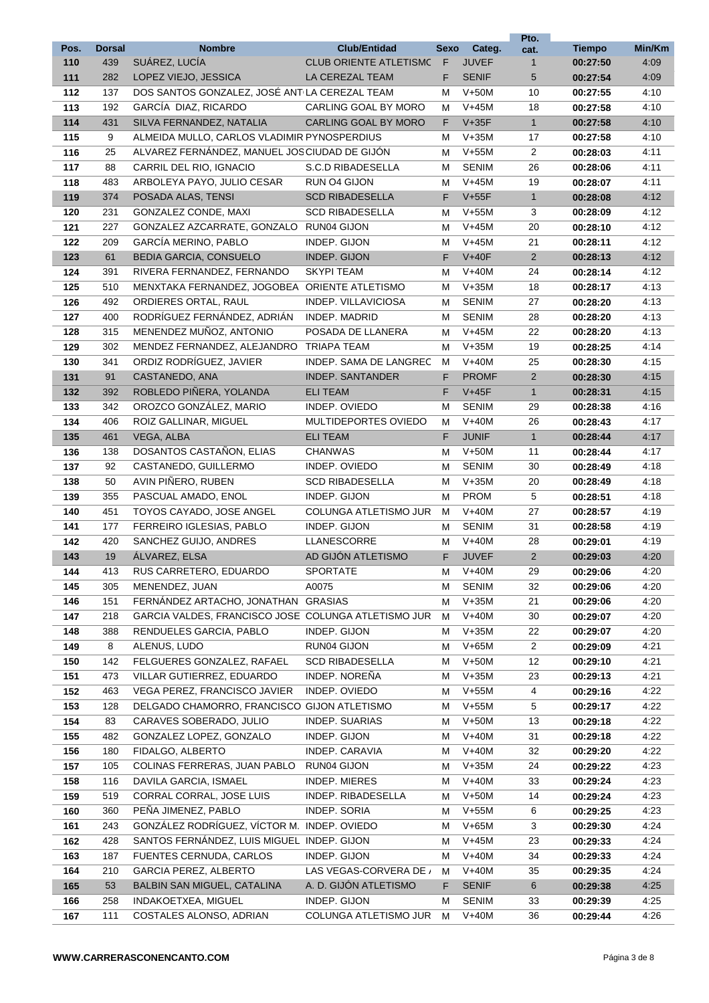|             |                      |                                                     |                                                      |           |                        | Pto.                 |                           |                |
|-------------|----------------------|-----------------------------------------------------|------------------------------------------------------|-----------|------------------------|----------------------|---------------------------|----------------|
| Pos.<br>110 | <b>Dorsal</b><br>439 | <b>Nombre</b><br>SUÁREZ, LUCÍA                      | <b>Club/Entidad</b><br><b>CLUB ORIENTE ATLETISMC</b> | Sexo<br>F | Categ.<br><b>JUVEF</b> | cat.<br>$\mathbf{1}$ | <b>Tiempo</b><br>00:27:50 | Min/Km<br>4:09 |
| 111         | 282                  | LOPEZ VIEJO, JESSICA                                | LA CEREZAL TEAM                                      | F.        | <b>SENIF</b>           | 5                    | 00:27:54                  | 4:09           |
| 112         | 137                  | DOS SANTOS GONZALEZ, JOSÉ ANT LA CEREZAL TEAM       |                                                      | м         | $V+50M$                | 10                   | 00:27:55                  | 4:10           |
| 113         | 192                  | GARCÍA DIAZ, RICARDO                                | CARLING GOAL BY MORO                                 | м         | $V+45M$                | 18                   | 00:27:58                  | 4:10           |
| 114         | 431                  | SILVA FERNANDEZ, NATALIA                            | CARLING GOAL BY MORO                                 | F.        | $V+35F$                | $\mathbf{1}$         | 00:27:58                  | 4:10           |
| 115         | 9                    | ALMEIDA MULLO, CARLOS VLADIMIR PYNOSPERDIUS         |                                                      | м         | $V+35M$                | 17                   | 00:27:58                  | 4:10           |
| 116         | 25                   | ALVAREZ FERNÁNDEZ, MANUEL JOS CIUDAD DE GIJÓN       |                                                      | м         | $V+55M$                | $\overline{2}$       | 00:28:03                  | 4:11           |
| 117         | 88                   | CARRIL DEL RIO, IGNACIO                             | S.C.D RIBADESELLA                                    | м         | <b>SENIM</b>           | 26                   | 00:28:06                  | 4:11           |
| 118         | 483                  | ARBOLEYA PAYO, JULIO CESAR                          | RUN 04 GIJON                                         | м         | $V+45M$                | 19                   | 00:28:07                  | 4:11           |
| 119         | 374                  | POSADA ALAS, TENSI                                  | <b>SCD RIBADESELLA</b>                               | F.        | $V+55F$                | 1                    | 00:28:08                  | 4:12           |
| 120         | 231                  | GONZALEZ CONDE, MAXI                                | <b>SCD RIBADESELLA</b>                               | м         | $V+55M$                | 3                    | 00:28:09                  | 4:12           |
| 121         | 227                  | GONZALEZ AZCARRATE, GONZALO RUN04 GIJON             |                                                      | м         | $V+45M$                | 20                   | 00:28:10                  | 4:12           |
| 122         | 209                  | GARCÍA MERINO, PABLO                                | INDEP. GIJON                                         | м         | $V+45M$                | 21                   | 00:28:11                  | 4:12           |
| 123         | 61                   | <b>BEDIA GARCIA, CONSUELO</b>                       | INDEP. GIJON                                         | F.        | $V+40F$                | $\overline{2}$       | 00:28:13                  | 4:12           |
| 124         | 391                  | RIVERA FERNANDEZ, FERNANDO                          | <b>SKYPI TEAM</b>                                    | м         | $V+40M$                | 24                   | 00:28:14                  | 4:12           |
| 125         | 510                  | MENXTAKA FERNANDEZ, JOGOBEA ORIENTE ATLETISMO       |                                                      | м         | $V+35M$                | 18                   | 00:28:17                  | 4:13           |
| 126         | 492                  | ORDIERES ORTAL, RAUL                                | INDEP. VILLAVICIOSA                                  | м         | <b>SENIM</b>           | 27                   | 00:28:20                  | 4:13           |
| 127         | 400                  | RODRÍGUEZ FERNÁNDEZ, ADRIÁN                         | INDEP. MADRID                                        | м         | <b>SENIM</b>           | 28                   | 00:28:20                  | 4:13           |
| 128         | 315                  | MENENDEZ MUÑOZ, ANTONIO                             | POSADA DE LLANERA                                    | м         | $V+45M$                | 22                   | 00:28:20                  | 4:13           |
| 129         | 302                  | MENDEZ FERNANDEZ, ALEJANDRO TRIAPA TEAM             |                                                      | м         | $V+35M$                | 19                   | 00:28:25                  | 4:14           |
| 130         | 341                  | ORDIZ RODRÍGUEZ, JAVIER                             | INDEP. SAMA DE LANGREC                               | м         | $V+40M$                | 25                   | 00:28:30                  | 4:15           |
| 131         | 91                   | CASTANEDO, ANA                                      | <b>INDEP. SANTANDER</b>                              | F.        | <b>PROMF</b>           | $\overline{2}$       | 00:28:30                  | 4:15           |
| 132         | 392                  | ROBLEDO PIÑERA, YOLANDA                             | <b>ELI TEAM</b>                                      | F.        | $V+45F$                | $\mathbf{1}$         | 00:28:31                  | 4:15           |
| 133         | 342                  | OROZCO GONZÁLEZ, MARIO                              | INDEP. OVIEDO                                        | м         | <b>SENIM</b>           | 29                   | 00:28:38                  | 4:16           |
| 134         | 406                  | ROIZ GALLINAR, MIGUEL                               | MULTIDEPORTES OVIEDO                                 | м         | $V+40M$                | 26                   | 00:28:43                  | 4:17           |
| 135         | 461                  | VEGA, ALBA                                          | <b>ELI TEAM</b>                                      | F.        | <b>JUNIF</b>           | $\mathbf{1}$         | 00:28:44                  | 4:17           |
| 136         | 138                  | DOSANTOS CASTAÑON, ELIAS                            | <b>CHANWAS</b>                                       | м         | $V+50M$                | 11                   | 00:28:44                  | 4:17           |
| 137         | 92                   | CASTANEDO, GUILLERMO                                | INDEP. OVIEDO                                        | м         | <b>SENIM</b>           | 30                   | 00:28:49                  | 4:18           |
|             | 50                   | AVIN PIÑERO, RUBEN                                  | <b>SCD RIBADESELLA</b>                               | м         | $V+35M$                | 20                   |                           | 4:18           |
| 138<br>139  | 355                  | PASCUAL AMADO, ENOL                                 | INDEP. GIJON                                         |           | <b>PROM</b>            | 5                    | 00:28:49<br>00:28:51      | 4:18           |
|             | 451                  | TOYOS CAYADO, JOSE ANGEL                            | COLUNGA ATLETISMO JUR                                | м<br>м    | $V+40M$                | 27                   |                           | 4:19           |
| 140         |                      |                                                     | INDEP. GIJON                                         |           | <b>SENIM</b>           |                      | 00:28:57<br>00:28:58      |                |
| 141         | 177<br>420           | FERREIRO IGLESIAS, PABLO<br>SANCHEZ GUIJO, ANDRES   | <b>LLANESCORRE</b>                                   | м         | $V+40M$                | 31<br>28             |                           | 4:19<br>4:19   |
| 142<br>143  | 19                   | ÁLVAREZ, ELSA                                       | AD GIJÓN ATLETISMO                                   | м<br>F    | <b>JUVEF</b>           | $\overline{2}$       | 00:29:01<br>00:29:03      | 4:20           |
|             |                      | RUS CARRETERO, EDUARDO                              |                                                      |           | $V+40M$                |                      |                           |                |
| 144<br>145  | 413<br>305           | MENENDEZ, JUAN                                      | <b>SPORTATE</b><br>A0075                             | м         | <b>SENIM</b>           | 29                   | 00:29:06<br>00:29:06      | 4:20<br>4:20   |
| 146         | 151                  | FERNÁNDEZ ARTACHO, JONATHAN GRASIAS                 |                                                      | м<br>м    | $V+35M$                | 32<br>21             |                           | 4:20           |
| 147         | 218                  | GARCIA VALDES, FRANCISCO JOSE COLUNGA ATLETISMO JUR |                                                      | м         | $V+40M$                | 30                   | 00:29:06<br>00:29:07      | 4:20           |
| 148         |                      | RENDUELES GARCIA, PABLO                             | INDEP. GIJON                                         |           | $V+35M$                |                      |                           | 4:20           |
| 149         | 388                  | ALENUS, LUDO                                        | RUN04 GIJON                                          | м         | $V+65M$                | 22<br>$\overline{2}$ | 00:29:07                  | 4:21           |
| 150         | 8<br>142             | FELGUERES GONZALEZ, RAFAEL                          | <b>SCD RIBADESELLA</b>                               | м         | $V+50M$                | 12                   | 00:29:09<br>00:29:10      | 4:21           |
|             |                      | VILLAR GUTIERREZ, EDUARDO                           | INDEP. NOREÑA                                        | м         | $V+35M$                |                      |                           | 4:21           |
| 151         | 473                  | VEGA PEREZ, FRANCISCO JAVIER                        | INDEP. OVIEDO                                        | м         | $V+55M$                | 23                   | 00:29:13                  |                |
| 152         | 463                  | DELGADO CHAMORRO, FRANCISCO GIJON ATLETISMO         |                                                      | м         | $V+55M$                | 4<br>5               | 00:29:16                  | 4:22           |
| 153         | 128                  |                                                     |                                                      | м         |                        |                      | 00:29:17                  | 4:22           |
| 154         | 83                   | CARAVES SOBERADO, JULIO                             | <b>INDEP. SUARIAS</b>                                | м         | $V+50M$                | 13                   | 00:29:18                  | 4:22           |
| 155         | 482                  | GONZALEZ LOPEZ, GONZALO                             | INDEP. GIJON                                         | м         | $V+40M$                | 31                   | 00:29:18                  | 4:22           |
| 156         | 180                  | FIDALGO, ALBERTO                                    | INDEP. CARAVIA                                       | м         | $V+40M$                | 32                   | 00:29:20                  | 4:22           |
| 157         | 105                  | COLINAS FERRERAS, JUAN PABLO                        | RUN04 GIJON                                          | м         | $V+35M$                | 24                   | 00:29:22                  | 4:23           |
| 158         | 116                  | DAVILA GARCIA, ISMAEL                               | <b>INDEP. MIERES</b>                                 | м         | $V+40M$                | 33                   | 00:29:24                  | 4:23           |
| 159         | 519                  | CORRAL CORRAL, JOSE LUIS                            | INDEP. RIBADESELLA                                   | м         | $V+50M$                | 14                   | 00:29:24                  | 4:23           |
| 160         | 360                  | PEÑA JIMENEZ, PABLO                                 | INDEP. SORIA                                         | м         | $V+55M$                | 6                    | 00:29:25                  | 4:23           |
| 161         | 243                  | GONZÁLEZ RODRÍGUEZ, VÍCTOR M. INDEP. OVIEDO         |                                                      | м         | $V+65M$                | 3                    | 00:29:30                  | 4:24           |
| 162         | 428                  | SANTOS FERNÁNDEZ, LUIS MIGUEL INDEP. GIJON          |                                                      | м         | $V+45M$                | 23                   | 00:29:33                  | 4:24           |
| 163         | 187                  | FUENTES CERNUDA, CARLOS                             | INDEP. GIJON                                         | м         | $V+40M$                | 34                   | 00:29:33                  | 4:24           |
| 164         | 210                  | GARCIA PEREZ, ALBERTO                               | LAS VEGAS-CORVERA DE /                               | м         | $V+40M$                | 35                   | 00:29:35                  | 4:24           |
| 165         | 53                   | <b>BALBIN SAN MIGUEL, CATALINA</b>                  | A. D. GIJON ATLETISMO                                | F.        | <b>SENIF</b>           | 6                    | 00:29:38                  | 4:25           |
| 166         | 258                  | INDAKOETXEA, MIGUEL                                 | INDEP. GIJON                                         | м         | <b>SENIM</b>           | 33                   | 00:29:39                  | 4:25           |
| 167         | 111                  | COSTALES ALONSO, ADRIAN                             | COLUNGA ATLETISMO JUR                                | м         | $V+40M$                | 36                   | 00:29:44                  | 4:26           |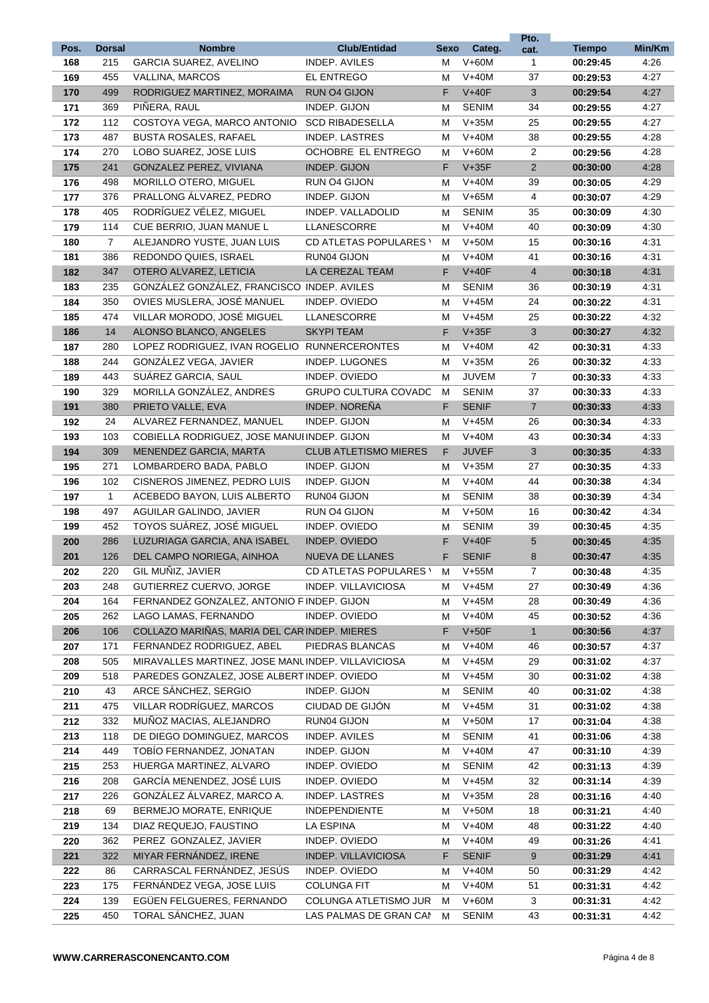| Pos.       | <b>Dorsal</b>  | <b>Nombre</b>                                                             | <b>Club/Entidad</b>           | Sexo   | Categ.             | Pto.                 | <b>Tiempo</b>        | Min/Km       |
|------------|----------------|---------------------------------------------------------------------------|-------------------------------|--------|--------------------|----------------------|----------------------|--------------|
| 168        | 215            | <b>GARCIA SUAREZ, AVELINO</b>                                             | <b>INDEP. AVILES</b>          | м      | $V+60M$            | cat.<br>$\mathbf{1}$ | 00:29:45             | 4:26         |
| 169        | 455            | VALLINA, MARCOS                                                           | EL ENTREGO                    | м      | $V+40M$            | 37                   | 00:29:53             | 4:27         |
| 170        | 499            | RODRIGUEZ MARTINEZ, MORAIMA                                               | RUN O4 GIJON                  | F      | $V+40F$            | 3                    | 00:29:54             | 4:27         |
| 171        | 369            | PIÑERA, RAUL                                                              | INDEP. GIJON                  | м      | <b>SENIM</b>       | 34                   | 00:29:55             | 4:27         |
| 172        | 112            | COSTOYA VEGA, MARCO ANTONIO                                               | <b>SCD RIBADESELLA</b>        | м      | $V+35M$            | 25                   | 00:29:55             | 4:27         |
| 173        | 487            | <b>BUSTA ROSALES, RAFAEL</b>                                              | <b>INDEP. LASTRES</b>         | м      | $V+40M$            | 38                   | 00:29:55             | 4:28         |
| 174        | 270            | LOBO SUAREZ, JOSE LUIS                                                    | OCHOBRE EL ENTREGO            | м      | $V+60M$            | $\overline{2}$       | 00:29:56             | 4:28         |
| 175        | 241            | GONZALEZ PEREZ, VIVIANA                                                   | INDEP. GIJON                  | F      | $V+35F$            | $\overline{2}$       | 00:30:00             | 4:28         |
| 176        | 498            | <b>MORILLO OTERO, MIGUEL</b>                                              | RUN 04 GIJON                  | м      | $V+40M$            | 39                   | 00:30:05             | 4:29         |
| 177        | 376            | PRALLONG ÁLVAREZ, PEDRO                                                   | INDEP. GIJON                  | м      | $V+65M$            | $\overline{4}$       | 00:30:07             | 4:29         |
| 178        | 405            | RODRÍGUEZ VÉLEZ, MIGUEL                                                   | INDEP. VALLADOLID             | м      | <b>SENIM</b>       | 35                   | 00:30:09             | 4:30         |
| 179        | 114            | CUE BERRIO, JUAN MANUE L                                                  | LLANESCORRE                   | м      | $V+40M$            | 40                   | 00:30:09             | 4:30         |
| 180        | $\overline{7}$ | ALEJANDRO YUSTE, JUAN LUIS                                                | CD ATLETAS POPULARES \        | м      | $V+50M$            | 15                   | 00:30:16             | 4:31         |
| 181        | 386            | REDONDO QUIES, ISRAEL                                                     | RUN04 GIJON                   | м      | $V+40M$            | 41                   | 00:30:16             | 4:31         |
| 182        | 347            | OTERO ALVAREZ, LETICIA                                                    | LA CEREZAL TEAM               | F.     | $V+40F$            | $\overline{4}$       | 00:30:18             | 4:31         |
| 183        | 235            | GONZÁLEZ GONZÁLEZ, FRANCISCO INDEP. AVILES                                |                               | м      | <b>SENIM</b>       | 36                   | 00:30:19             | 4:31         |
| 184        | 350            | OVIES MUSLERA, JOSÉ MANUEL                                                | INDEP. OVIEDO                 | м      | $V+45M$            | 24                   | 00:30:22             | 4:31         |
| 185        | 474            | VILLAR MORODO, JOSÉ MIGUEL                                                | <b>LLANESCORRE</b>            | м      | $V+45M$            | 25                   | 00:30:22             | 4:32         |
| 186        | 14             | ALONSO BLANCO, ANGELES                                                    | <b>SKYPI TEAM</b>             | F      | $V+35F$            | 3                    | 00:30:27             | 4:32         |
| 187        | 280            | LOPEZ RODRIGUEZ, IVAN ROGELIO RUNNERCERONTES                              |                               | М      | $V+40M$            | 42                   | 00:30:31             | 4:33         |
| 188        | 244            | GONZÁLEZ VEGA, JAVIER                                                     | <b>INDEP. LUGONES</b>         | м      | $V+35M$            | 26                   | 00:30:32             | 4:33         |
| 189        | 443            | SUÁREZ GARCIA, SAUL                                                       | INDEP. OVIEDO                 | м      | <b>JUVEM</b>       | $\overline{7}$       | 00:30:33             | 4:33         |
| 190        | 329            | MORILLA GONZÁLEZ, ANDRES                                                  | <b>GRUPO CULTURA COVADO</b>   | м      | <b>SENIM</b>       | 37                   | 00:30:33             | 4:33         |
| 191        | 380            | PRIETO VALLE, EVA                                                         | INDEP. NOREÑA                 | F      | <b>SENIF</b>       | $\overline{7}$       | 00:30:33             | 4:33         |
| 192        | 24             | ALVAREZ FERNANDEZ, MANUEL                                                 | INDEP. GIJON                  | м      | $V+45M$            | 26                   | 00:30:34             | 4:33         |
| 193        | 103            | COBIELLA RODRIGUEZ, JOSE MANUI INDEP. GIJON                               |                               | м      | $V+40M$            | 43                   | 00:30:34             | 4:33         |
| 194        | 309            | MENENDEZ GARCIA, MARTA                                                    | <b>CLUB ATLETISMO MIERES</b>  | F.     | <b>JUVEF</b>       | 3                    | 00:30:35             | 4:33         |
| 195        | 271            | LOMBARDERO BADA, PABLO                                                    | INDEP. GIJON                  | м      | $V+35M$            | 27                   | 00:30:35             | 4:33         |
| 196        | 102            | CISNEROS JIMENEZ, PEDRO LUIS                                              | INDEP. GIJON                  | м      | $V+40M$            | 44                   | 00:30:38             | 4:34         |
| 197        | $\mathbf{1}$   | ACEBEDO BAYON, LUIS ALBERTO                                               | RUN04 GIJON                   | м      | <b>SENIM</b>       | 38                   | 00:30:39             | 4:34         |
| 198        | 497            | AGUILAR GALINDO, JAVIER                                                   | RUN 04 GIJON                  | м      | $V+50M$            | 16                   | 00:30:42             | 4:34         |
| 199        | 452            | TOYOS SUÁREZ, JOSÉ MIGUEL                                                 | INDEP. OVIEDO                 | м      | <b>SENIM</b>       | 39                   | 00:30:45             | 4:35         |
| 200        | 286            | LUZURIAGA GARCIA, ANA ISABEL                                              | <b>INDEP. OVIEDO</b>          | F      | $V+40F$            | 5                    | 00:30:45             | 4:35         |
| 201        | 126            | DEL CAMPO NORIEGA, AINHOA                                                 | <b>NUEVA DE LLANES</b>        | F      | <b>SENIF</b>       | 8                    | 00:30:47             | 4:35         |
| 202        | 220            | GIL MUÑIZ, JAVIER                                                         | <b>CD ATLETAS POPULARES \</b> | M      | $V+55M$            | 7                    | 00:30:48             | 4:35         |
| 203        | 248            | GUTIERREZ CUERVO, JORGE                                                   | INDEP. VILLAVICIOSA           | М      | $V+45M$            | 27                   | 00:30:49             | 4:36         |
| 204        | 164            | FERNANDEZ GONZALEZ, ANTONIO F INDEP. GIJON                                |                               | м      | $V+45M$            | 28                   | 00:30:49             | 4:36         |
| 205        | 262            | LAGO LAMAS, FERNANDO                                                      | INDEP. OVIEDO                 | м      | $V+40M$            | 45                   | 00:30:52             | 4:36         |
| 206<br>207 | 106            | COLLAZO MARIÑAS, MARIA DEL CAR INDEP. MIERES<br>FERNANDEZ RODRIGUEZ, ABEL | PIEDRAS BLANCAS               | F      | $V+50F$<br>$V+40M$ | $\mathbf{1}$<br>46   | 00:30:56<br>00:30:57 | 4:37         |
| 208        | 171<br>505     | MIRAVALLES MARTINEZ, JOSE MANLINDEP. VILLAVICIOSA                         |                               | М<br>М | $V+45M$            | 29                   | 00:31:02             | 4:37<br>4:37 |
| 209        | 518            | PAREDES GONZALEZ, JOSE ALBERT INDEP. OVIEDO                               |                               | м      | $V+45M$            | 30                   | 00:31:02             | 4:38         |
| 210        | 43             | ARCE SÁNCHEZ, SERGIO                                                      | INDEP. GIJON                  | м      | <b>SENIM</b>       | 40                   | 00:31:02             | 4:38         |
| 211        | 475            | VILLAR RODRÍGUEZ, MARCOS                                                  | CIUDAD DE GIJÓN               | м      | $V+45M$            | 31                   | 00:31:02             | 4:38         |
| 212        | 332            | MUÑOZ MACIAS, ALEJANDRO                                                   | RUN04 GIJON                   | м      | $V+50M$            | 17                   | 00:31:04             | 4:38         |
| 213        | 118            | DE DIEGO DOMINGUEZ, MARCOS                                                | INDEP. AVILES                 | м      | <b>SENIM</b>       | 41                   | 00:31:06             | 4:38         |
| 214        | 449            | TOBIO FERNANDEZ, JONATAN                                                  | INDEP. GIJON                  | м      | $V+40M$            | 47                   | 00:31:10             | 4:39         |
| 215        | 253            | HUERGA MARTINEZ, ALVARO                                                   | INDEP. OVIEDO                 | м      | <b>SENIM</b>       | 42                   | 00:31:13             | 4:39         |
| 216        | 208            | GARCÍA MENENDEZ, JOSÉ LUIS                                                | INDEP. OVIEDO                 | м      | $V+45M$            | 32                   | 00:31:14             | 4:39         |
| 217        | 226            | GONZÁLEZ ÁLVAREZ, MARCO A.                                                | INDEP. LASTRES                | м      | $V+35M$            | 28                   | 00:31:16             | 4:40         |
| 218        | 69             | BERMEJO MORATE, ENRIQUE                                                   | <b>INDEPENDIENTE</b>          | М      | $V+50M$            | 18                   | 00:31:21             | 4:40         |
| 219        | 134            | DIAZ REQUEJO, FAUSTINO                                                    | LA ESPINA                     | м      | $V+40M$            | 48                   | 00:31:22             | 4:40         |
| 220        | 362            | PEREZ GONZALEZ, JAVIER                                                    | INDEP. OVIEDO                 | м      | $V+40M$            | 49                   | 00:31:26             | 4:41         |
| 221        | 322            | MIYAR FERNÁNDEZ, IRENE                                                    | INDEP. VILLAVICIOSA           | F      | <b>SENIF</b>       | 9                    | 00:31:29             | 4:41         |
| 222        | 86             | CARRASCAL FERNÁNDEZ, JESÚS                                                | INDEP. OVIEDO                 | м      | $V+40M$            | 50                   | 00:31:29             | 4:42         |
| 223        | 175            | FERNÁNDEZ VEGA, JOSE LUIS                                                 | <b>COLUNGA FIT</b>            | м      | $V+40M$            | 51                   | 00:31:31             | 4:42         |
| 224        | 139            | EGÜEN FELGUERES, FERNANDO                                                 | COLUNGA ATLETISMO JUR         | м      | $V+60M$            | 3                    | 00:31:31             | 4:42         |
| 225        | 450            | TORAL SÁNCHEZ, JUAN                                                       | LAS PALMAS DE GRAN CAM        | м      | <b>SENIM</b>       | 43                   | 00:31:31             | 4:42         |
|            |                |                                                                           |                               |        |                    |                      |                      |              |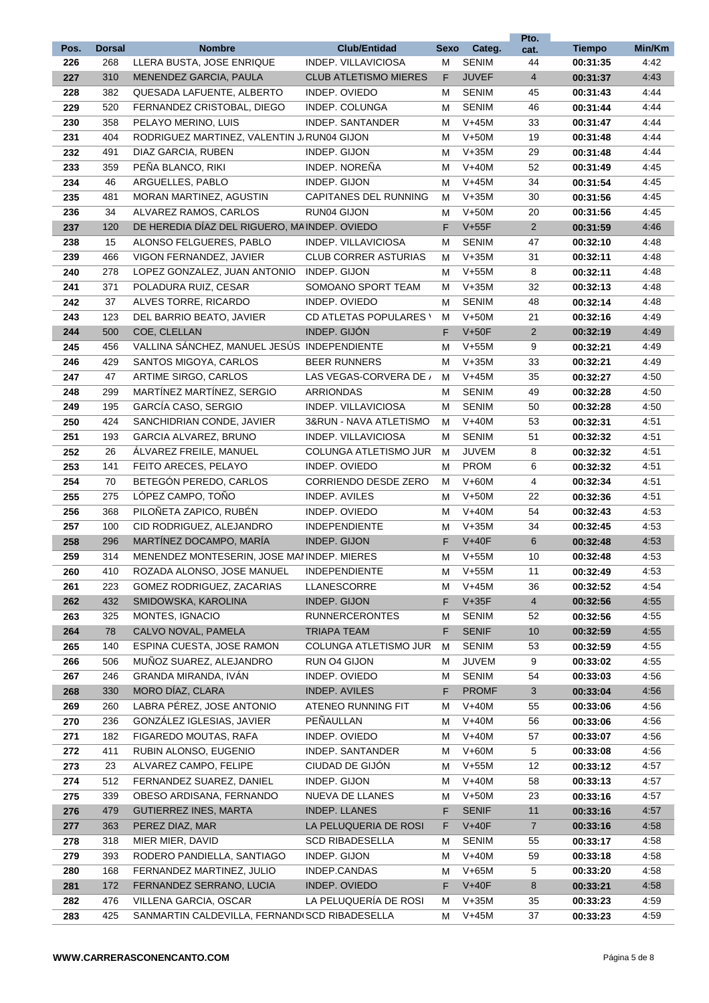|      |               |                                                |                              |      |              | Pto.            |               |        |
|------|---------------|------------------------------------------------|------------------------------|------|--------------|-----------------|---------------|--------|
| Pos. | <b>Dorsal</b> | <b>Nombre</b>                                  | <b>Club/Entidad</b>          | Sexo | Categ.       | cat.            | <b>Tiempo</b> | Min/Km |
| 226  | 268           | LLERA BUSTA, JOSE ENRIQUE                      | INDEP. VILLAVICIOSA          | М    | <b>SENIM</b> | 44              | 00:31:35      | 4:42   |
| 227  | 310           | MENENDEZ GARCIA, PAULA                         | <b>CLUB ATLETISMO MIERES</b> | F    | <b>JUVEF</b> | $\overline{4}$  | 00:31:37      | 4:43   |
| 228  | 382           | QUESADA LAFUENTE, ALBERTO                      | INDEP. OVIEDO                | м    | <b>SENIM</b> | 45              | 00:31:43      | 4:44   |
| 229  | 520           | FERNANDEZ CRISTOBAL, DIEGO                     | INDEP. COLUNGA               | м    | <b>SENIM</b> | 46              | 00:31:44      | 4:44   |
| 230  | 358           | PELAYO MERINO, LUIS                            | INDEP. SANTANDER             | м    | $V+45M$      | 33              | 00:31:47      | 4:44   |
| 231  | 404           | RODRIGUEZ MARTINEZ, VALENTIN J. RUN04 GIJON    |                              | м    | $V+50M$      | 19              | 00:31:48      | 4:44   |
| 232  | 491           | DIAZ GARCIA, RUBEN                             | INDEP. GIJON                 | м    | $V+35M$      | 29              | 00:31:48      | 4:44   |
| 233  | 359           | PEÑA BLANCO, RIKI                              | <b>INDEP. NORENA</b>         | м    | $V+40M$      | 52              | 00:31:49      | 4:45   |
| 234  | 46            | ARGUELLES, PABLO                               | INDEP. GIJON                 | м    | $V+45M$      | 34              | 00:31:54      | 4:45   |
| 235  | 481           | <b>MORAN MARTINEZ, AGUSTIN</b>                 | <b>CAPITANES DEL RUNNING</b> | м    | $V+35M$      | 30              | 00:31:56      | 4:45   |
| 236  | 34            | ALVAREZ RAMOS, CARLOS                          | RUN04 GIJON                  | м    | $V+50M$      | 20              | 00:31:56      | 4:45   |
| 237  | 120           | DE HEREDIA DÍAZ DEL RIGUERO, MA INDEP. OVIEDO  |                              | F    | $V+55F$      | $\overline{2}$  | 00:31:59      | 4:46   |
| 238  | 15            | ALONSO FELGUERES, PABLO                        | INDEP. VILLAVICIOSA          | м    | <b>SENIM</b> | 47              | 00:32:10      | 4:48   |
| 239  | 466           | VIGON FERNANDEZ, JAVIER                        | <b>CLUB CORRER ASTURIAS</b>  | м    | $V+35M$      | 31              | 00:32:11      | 4:48   |
| 240  | 278           | LOPEZ GONZALEZ, JUAN ANTONIO                   | INDEP. GIJON                 | м    | $V+55M$      | 8               | 00:32:11      | 4:48   |
| 241  | 371           | POLADURA RUIZ, CESAR                           | SOMOANO SPORT TEAM           | м    | $V+35M$      | 32              | 00:32:13      | 4:48   |
| 242  | 37            | ALVES TORRE, RICARDO                           | INDEP. OVIEDO                | м    | <b>SENIM</b> | 48              | 00:32:14      | 4:48   |
| 243  | 123           | DEL BARRIO BEATO, JAVIER                       | CD ATLETAS POPULARES \       | м    | $V+50M$      | 21              | 00:32:16      | 4:49   |
| 244  | 500           | COE. CLELLAN                                   | INDEP. GIJÓN                 | F    | $V+50F$      | $\overline{2}$  | 00:32:19      | 4:49   |
| 245  | 456           | VALLINA SÁNCHEZ, MANUEL JESÚS INDEPENDIENTE    |                              | м    | $V+55M$      | 9               | 00:32:21      | 4:49   |
| 246  | 429           | SANTOS MIGOYA, CARLOS                          | <b>BEER RUNNERS</b>          | м    | $V+35M$      | 33              | 00:32:21      | 4:49   |
| 247  | 47            | ARTIME SIRGO, CARLOS                           | LAS VEGAS-CORVERA DE /       | м    | $V+45M$      | 35              | 00:32:27      | 4:50   |
| 248  | 299           | MARTÍNEZ MARTÍNEZ, SERGIO                      | <b>ARRIONDAS</b>             | м    | <b>SENIM</b> | 49              | 00:32:28      | 4:50   |
| 249  | 195           | GARCÍA CASO, SERGIO                            | INDEP. VILLAVICIOSA          | м    | <b>SENIM</b> | 50              | 00:32:28      | 4:50   |
| 250  | 424           | SANCHIDRIAN CONDE, JAVIER                      | 3&RUN - NAVA ATLETISMO       | м    | $V+40M$      | 53              | 00:32:31      | 4:51   |
| 251  | 193           | <b>GARCIA ALVAREZ, BRUNO</b>                   | INDEP. VILLAVICIOSA          | м    | <b>SENIM</b> | 51              | 00:32:32      | 4:51   |
| 252  | 26            | ALVAREZ FREILE, MANUEL                         | COLUNGA ATLETISMO JUR        | м    | <b>JUVEM</b> | 8               | 00:32:32      | 4:51   |
| 253  | 141           | FEITO ARECES, PELAYO                           | INDEP. OVIEDO                | м    | <b>PROM</b>  | 6               | 00:32:32      | 4:51   |
| 254  | 70            | BETEGÓN PEREDO, CARLOS                         | <b>CORRIENDO DESDE ZERO</b>  | м    | $V+60M$      | 4               | 00:32:34      | 4:51   |
| 255  | 275           | LÓPEZ CAMPO, TOÑO                              | INDEP. AVILES                | м    | $V+50M$      | 22              | 00:32:36      | 4:51   |
| 256  | 368           | PILOÑETA ZAPICO. RUBÉN                         | INDEP. OVIEDO                | м    | $V+40M$      | 54              | 00:32:43      | 4:53   |
| 257  | 100           | CID RODRIGUEZ, ALEJANDRO                       | <b>INDEPENDIENTE</b>         | м    | $V+35M$      | 34              | 00:32:45      | 4:53   |
| 258  | 296           | MARTÍNEZ DOCAMPO, MARÍA                        | INDEP. GIJON                 | F    | $V+40F$      | $6\phantom{1}$  | 00:32:48      | 4:53   |
| 259  | 314           | MENENDEZ MONTESERIN, JOSE MAI INDEP. MIERES    |                              | м    | $V+55M$      | 10              | 00:32:48      | 4:53   |
| 260  | 410           | ROZADA ALONSO, JOSE MANUEL                     | <b>INDEPENDIENTE</b>         | м    | $V+55M$      | 11              | 00:32:49      | 4:53   |
| 261  | 223           | GOMEZ RODRIGUEZ, ZACARIAS                      | LLANESCORRE                  | м    | $V+45M$      | 36              | 00:32:52      | 4:54   |
| 262  | 432           | SMIDOWSKA, KAROLINA                            | INDEP. GIJON                 | F.   | $V+35F$      | $\overline{4}$  | 00:32:56      | 4:55   |
| 263  | 325           | MONTES, IGNACIO                                | <b>RUNNERCERONTES</b>        | м    | <b>SENIM</b> | 52              | 00:32:56      | 4:55   |
| 264  | 78            | CALVO NOVAL, PAMELA                            | <b>TRIAPA TEAM</b>           | F.   | <b>SENIF</b> | 10 <sup>°</sup> | 00:32:59      | 4:55   |
| 265  | 140           | ESPINA CUESTA, JOSE RAMON                      | COLUNGA ATLETISMO JUR        | м    | <b>SENIM</b> | 53              | 00:32:59      | 4:55   |
| 266  | 506           | MUÑOZ SUAREZ, ALEJANDRO                        | RUN 04 GIJON                 | м    | <b>JUVEM</b> | 9               | 00:33:02      | 4:55   |
| 267  | 246           | GRANDA MIRANDA, IVAN                           | INDEP. OVIEDO                | м    | <b>SENIM</b> | 54              | 00:33:03      | 4:56   |
| 268  | 330           | MORO DÍAZ, CLARA                               | <b>INDEP. AVILES</b>         | F    | <b>PROMF</b> | $\mathbf{3}$    | 00:33:04      | 4:56   |
| 269  | 260           | LABRA PÉREZ, JOSE ANTONIO                      | ATENEO RUNNING FIT           | М    | $V+40M$      | 55              | 00:33:06      | 4:56   |
| 270  | 236           | GONZÁLEZ IGLESIAS, JAVIER                      | PEÑAULLAN                    | м    | $V+40M$      | 56              | 00:33:06      | 4:56   |
| 271  | 182           | FIGAREDO MOUTAS, RAFA                          | INDEP. OVIEDO                | м    | $V+40M$      | 57              | 00:33:07      | 4:56   |
| 272  | 411           | RUBIN ALONSO, EUGENIO                          | INDEP. SANTANDER             | м    | $V+60M$      | 5               | 00:33:08      | 4:56   |
| 273  | 23            | ALVAREZ CAMPO, FELIPE                          | CIUDAD DE GIJÓN              | м    | $V+55M$      | 12              | 00:33:12      | 4:57   |
| 274  | 512           | FERNANDEZ SUAREZ, DANIEL                       | INDEP. GIJON                 | м    | $V+40M$      | 58              | 00:33:13      | 4:57   |
| 275  | 339           | OBESO ARDISANA, FERNANDO                       | NUEVA DE LLANES              | м    | $V+50M$      | 23              | 00:33:16      | 4:57   |
| 276  | 479           | <b>GUTIERREZ INES, MARTA</b>                   | INDEP. LLANES                | F    | <b>SENIF</b> | 11              | 00:33:16      | 4:57   |
| 277  | 363           | PEREZ DIAZ, MAR                                | LA PELUQUERIA DE ROSI        | F    | $V+40F$      | $\overline{7}$  | 00:33:16      | 4:58   |
| 278  | 318           | MIER MIER, DAVID                               | <b>SCD RIBADESELLA</b>       | М    | <b>SENIM</b> | 55              | 00:33:17      | 4:58   |
| 279  | 393           | RODERO PANDIELLA, SANTIAGO                     | INDEP. GIJON                 | м    | $V+40M$      | 59              | 00:33:18      | 4:58   |
| 280  | 168           | FERNANDEZ MARTINEZ, JULIO                      | INDEP.CANDAS                 | м    | $V+65M$      | 5               | 00:33:20      | 4:58   |
| 281  | 172           | FERNANDEZ SERRANO, LUCIA                       | INDEP. OVIEDO                | F    | $V+40F$      | 8               | 00:33:21      | 4:58   |
| 282  | 476           | VILLENA GARCIA, OSCAR                          | LA PELUQUERÍA DE ROSI        | М    | $V+35M$      | 35              | 00:33:23      | 4:59   |
| 283  | 425           | SANMARTIN CALDEVILLA, FERNANDI SCD RIBADESELLA |                              | м    | $V+45M$      | 37              | 00:33:23      | 4.59   |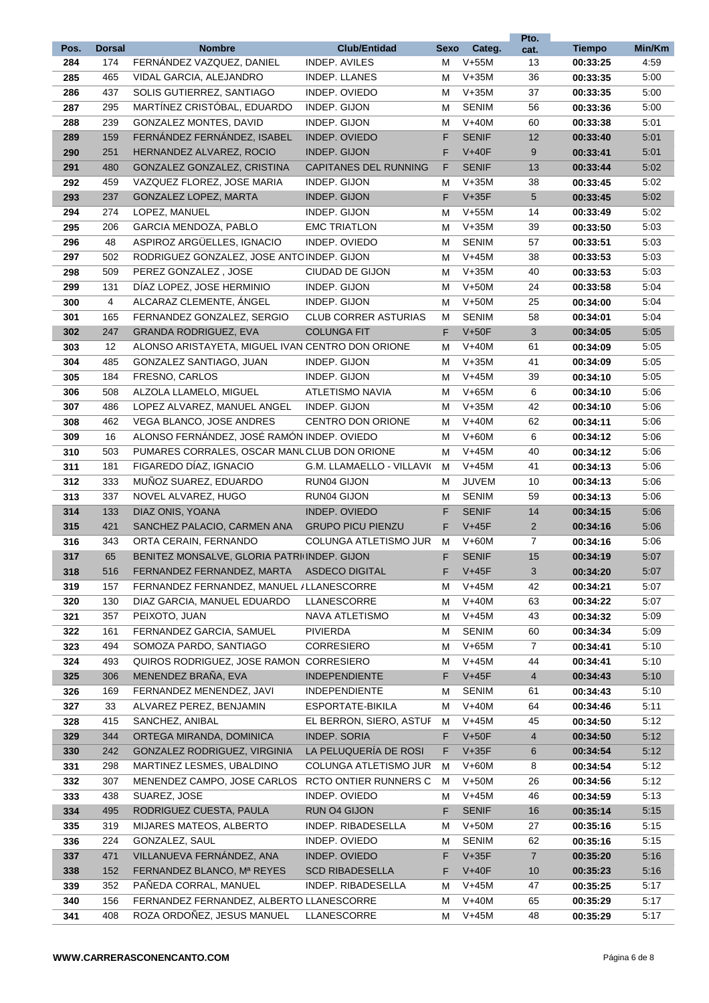|            |               |                                                          |                                       |        |                         | Pto.           |                      |              |
|------------|---------------|----------------------------------------------------------|---------------------------------------|--------|-------------------------|----------------|----------------------|--------------|
| Pos.       | <b>Dorsal</b> | <b>Nombre</b>                                            | <b>Club/Entidad</b>                   | Sexo   | Categ.                  | cat.           | <b>Tiempo</b>        | Min/Km       |
| 284        | 174           | FERNÁNDEZ VAZQUEZ, DANIEL                                | INDEP. AVILES                         | м      | $V+55M$                 | 13             | 00:33:25             | 4:59         |
| 285        | 465           | VIDAL GARCIA, ALEJANDRO                                  | <b>INDEP. LLANES</b><br>INDEP. OVIEDO | м      | $V+35M$                 | 36             | 00:33:35             | 5:00         |
| 286        | 437<br>295    | SOLIS GUTIERREZ, SANTIAGO<br>MARTÍNEZ CRISTÓBAL. EDUARDO | INDEP. GIJON                          | м      | $V+35M$<br><b>SENIM</b> | 37<br>56       | 00:33:35             | 5:00<br>5:00 |
| 287<br>288 | 239           | <b>GONZALEZ MONTES, DAVID</b>                            | INDEP. GIJON                          | м<br>м | $V+40M$                 | 60             | 00:33:36<br>00:33:38 | 5:01         |
|            | 159           | FERNÁNDEZ FERNÁNDEZ, ISABEL                              | INDEP. OVIEDO                         | F.     | <b>SENIF</b>            | 12             |                      | 5:01         |
| 289<br>290 | 251           | HERNANDEZ ALVAREZ, ROCIO                                 | <b>INDEP. GIJON</b>                   | F.     | $V+40F$                 | 9              | 00:33:40<br>00:33:41 | 5:01         |
|            | 480           | GONZALEZ GONZALEZ, CRISTINA                              | <b>CAPITANES DEL RUNNING</b>          | F      | <b>SENIF</b>            | 13             |                      | 5:02         |
| 291<br>292 | 459           | VAZQUEZ FLOREZ, JOSE MARIA                               | INDEP. GIJON                          | м      | $V+35M$                 | 38             | 00:33:44<br>00:33:45 | 5:02         |
|            | 237           | GONZALEZ LOPEZ, MARTA                                    | INDEP. GIJON                          | F.     | $V+35F$                 | 5              |                      | 5:02         |
| 293        |               | LOPEZ, MANUEL                                            | INDEP. GIJON                          |        |                         | 14             | 00:33:45             |              |
| 294        | 274<br>206    | GARCIA MENDOZA, PABLO                                    | <b>EMC TRIATLON</b>                   | м      | $V+55M$<br>$V+35M$      | 39             | 00:33:49             | 5:02<br>5:03 |
| 295        |               | ASPIROZ ARGÜELLES, IGNACIO                               |                                       | м      |                         |                | 00:33:50             |              |
| 296        | 48            |                                                          | INDEP. OVIEDO                         | м      | <b>SENIM</b>            | 57             | 00:33:51             | 5:03         |
| 297        | 502           | RODRIGUEZ GONZALEZ, JOSE ANTC INDEP. GIJON               |                                       | м      | $V+45M$<br>$V+35M$      | 38<br>40       | 00:33:53             | 5:03         |
| 298        | 509           | PEREZ GONZALEZ, JOSE                                     | CIUDAD DE GIJON                       | м      |                         |                | 00:33:53             | 5:03         |
| 299        | 131           | DÍAZ LOPEZ, JOSE HERMINIO                                | INDEP. GIJON                          | м      | $V+50M$                 | 24             | 00:33:58             | 5:04         |
| 300        | 4             | ALCARAZ CLEMENTE, ÁNGEL                                  | INDEP. GIJON                          | м      | $V+50M$                 | 25             | 00:34:00             | 5:04         |
| 301        | 165           | FERNANDEZ GONZALEZ, SERGIO                               | <b>CLUB CORRER ASTURIAS</b>           | м      | <b>SENIM</b>            | 58             | 00:34:01             | 5:04         |
| 302        | 247           | GRANDA RODRIGUEZ, EVA                                    | <b>COLUNGA FIT</b>                    | F      | $V+50F$                 | 3              | 00:34:05             | 5:05         |
| 303        | 12            | ALONSO ARISTAYETA, MIGUEL IVAN CENTRO DON ORIONE         |                                       | М      | $V+40M$                 | 61             | 00:34:09             | 5:05         |
| 304        | 485           | GONZALEZ SANTIAGO, JUAN                                  | INDEP. GIJON                          | м      | $V+35M$                 | 41             | 00:34:09             | 5:05         |
| 305        | 184           | FRESNO, CARLOS                                           | INDEP. GIJON                          | м      | $V+45M$                 | 39             | 00:34:10             | 5:05         |
| 306        | 508           | ALZOLA LLAMELO, MIGUEL                                   | ATLETISMO NAVIA                       | м      | $V+65M$                 | 6              | 00:34:10             | 5:06         |
| 307        | 486           | LOPEZ ALVAREZ, MANUEL ANGEL                              | INDEP. GIJON                          | м      | $V+35M$                 | 42             | 00:34:10             | 5:06         |
| 308        | 462           | VEGA BLANCO, JOSE ANDRES                                 | CENTRO DON ORIONE                     | м      | $V+40M$                 | 62             | 00:34:11             | 5:06         |
| 309        | 16            | ALONSO FERNÁNDEZ, JOSÉ RAMÓN INDEP. OVIEDO               |                                       | м      | $V+60M$                 | 6              | 00:34:12             | 5:06         |
| 310        | 503           | PUMARES CORRALES, OSCAR MANL CLUB DON ORIONE             |                                       | м      | $V+45M$                 | 40             | 00:34:12             | 5:06         |
| 311        | 181           | FIGAREDO DÍAZ, IGNACIO                                   | G.M. LLAMAELLO - VILLAVI(             | м      | $V+45M$                 | 41             | 00:34:13             | 5:06         |
| 312        | 333           | MUÑOZ SUAREZ, EDUARDO                                    | RUN04 GIJON                           | м      | <b>JUVEM</b>            | 10             | 00:34:13             | 5:06         |
| 313        | 337           | NOVEL ALVAREZ. HUGO                                      | RUN04 GIJON                           | м      | <b>SENIM</b>            | 59             | 00:34:13             | 5:06         |
| 314        | 133           | DIAZ ONIS, YOANA                                         | INDEP. OVIEDO                         | F.     | <b>SENIF</b>            | 14             | 00:34:15             | 5:06         |
| 315        | 421           | SANCHEZ PALACIO, CARMEN ANA                              | <b>GRUPO PICU PIENZU</b>              | F      | $V+45F$                 | $\overline{2}$ | 00:34:16             | 5:06         |
| 316        | 343           | ORTA CERAIN, FERNANDO                                    | COLUNGA ATLETISMO JUR                 | м      | $V+60M$                 | $\overline{7}$ | 00:34:16             | 5:06         |
| 317        | 65            | BENITEZ MONSALVE, GLORIA PATRI INDEP. GIJON              |                                       | F      | <b>SENIF</b>            | 15             | 00:34:19             | 5:07         |
| 318        | 516           | FERNANDEZ FERNANDEZ, MARTA                               | ASDECO DIGITAL                        | F      | $V+45F$                 | 3              | 00:34:20             | 5:07         |
| 319        | 157           | FERNANDEZ FERNANDEZ, MANUEL / LLANESCORRE                |                                       | М      | $V+45M$                 | 42             | 00:34:21             | 5:07         |
| 320        | 130           | DIAZ GARCIA, MANUEL EDUARDO                              | LLANESCORRE                           | м      | $V+40M$                 | 63             | 00:34:22             | 5:07         |
| 321        | 357           | PEIXOTO, JUAN                                            | NAVA ATLETISMO                        | м      | $V+45M$                 | 43             | 00:34:32             | 5:09         |
| 322        | 161           | FERNANDEZ GARCIA, SAMUEL                                 | <b>PIVIERDA</b>                       | м      | <b>SENIM</b>            | 60             | 00:34:34             | 5:09         |
| 323        | 494           | SOMOZA PARDO, SANTIAGO                                   | CORRESIERO                            | м      | $V+65M$                 | $\overline{7}$ | 00:34:41             | 5:10         |
| 324        | 493           | QUIROS RODRIGUEZ, JOSE RAMON CORRESIERO                  |                                       | м      | $V+45M$                 | 44             | 00:34:41             | 5:10         |
| 325        | 306           | MENENDEZ BRAÑA, EVA                                      | <b>INDEPENDIENTE</b>                  | F      | $V+45F$                 | $\overline{4}$ | 00:34:43             | 5:10         |
| 326        | 169           | FERNANDEZ MENENDEZ, JAVI                                 | <b>INDEPENDIENTE</b>                  | м      | <b>SENIM</b>            | 61             | 00:34:43             | 5:10         |
| 327        | 33            | ALVAREZ PEREZ, BENJAMIN                                  | ESPORTATE-BIKILA                      | м      | $V+40M$                 | 64             | 00:34:46             | 5:11         |
| 328        | 415           | SANCHEZ, ANIBAL                                          | EL BERRON, SIERO, ASTUF               | м      | $V+45M$                 | 45             | 00:34:50             | 5:12         |
| 329        | 344           | ORTEGA MIRANDA, DOMINICA                                 | INDEP. SORIA                          | F.     | $V+50F$                 | 4              | 00:34:50             | 5:12         |
| 330        | 242           | GONZALEZ RODRIGUEZ, VIRGINIA                             | LA PELUQUERÍA DE ROSI                 | F      | $V+35F$                 | 6              | 00:34:54             | 5:12         |
| 331        | 298           | MARTINEZ LESMES, UBALDINO                                | COLUNGA ATLETISMO JUR                 | м      | $V+60M$                 | 8              | 00:34:54             | 5:12         |
| 332        | 307           | MENENDEZ CAMPO, JOSE CARLOS                              | RCTO ONTIER RUNNERS C                 | м      | $V+50M$                 | 26             | 00:34:56             | 5:12         |
| 333        | 438           | SUAREZ, JOSE                                             | INDEP. OVIEDO                         | м      | $V+45M$                 | 46             | 00:34:59             | 5:13         |
| 334        | 495           | RODRIGUEZ CUESTA, PAULA                                  | RUN O4 GIJON                          | F      | <b>SENIF</b>            | 16             | 00:35:14             | 5:15         |
| 335        | 319           | MIJARES MATEOS, ALBERTO                                  | INDEP. RIBADESELLA                    | М      | $V+50M$                 | 27             | 00:35:16             | 5:15         |
| 336        | 224           | GONZALEZ, SAUL                                           | INDEP. OVIEDO                         | м      | <b>SENIM</b>            | 62             | 00:35:16             | 5:15         |
| 337        | 471           | VILLANUEVA FERNÁNDEZ, ANA                                | INDEP. OVIEDO                         | F      | $V+35F$                 | $\overline{7}$ | 00:35:20             | 5:16         |
| 338        | 152           | FERNANDEZ BLANCO, Mª REYES                               | <b>SCD RIBADESELLA</b>                | F.     | $V+40F$                 | 10             | 00:35:23             | 5:16         |
| 339        | 352           | PAÑEDA CORRAL, MANUEL                                    | INDEP. RIBADESELLA                    | м      | $V+45M$                 | 47             | 00:35:25             | 5:17         |
| 340        | 156           | FERNANDEZ FERNANDEZ, ALBERTO LLANESCORRE                 |                                       | м      | $V+40M$                 | 65             | 00:35:29             | 5:17         |
| 341        | 408           | ROZA ORDOÑEZ, JESUS MANUEL                               | LLANESCORRE                           | м      | $V+45M$                 | 48             | 00:35:29             | 5:17         |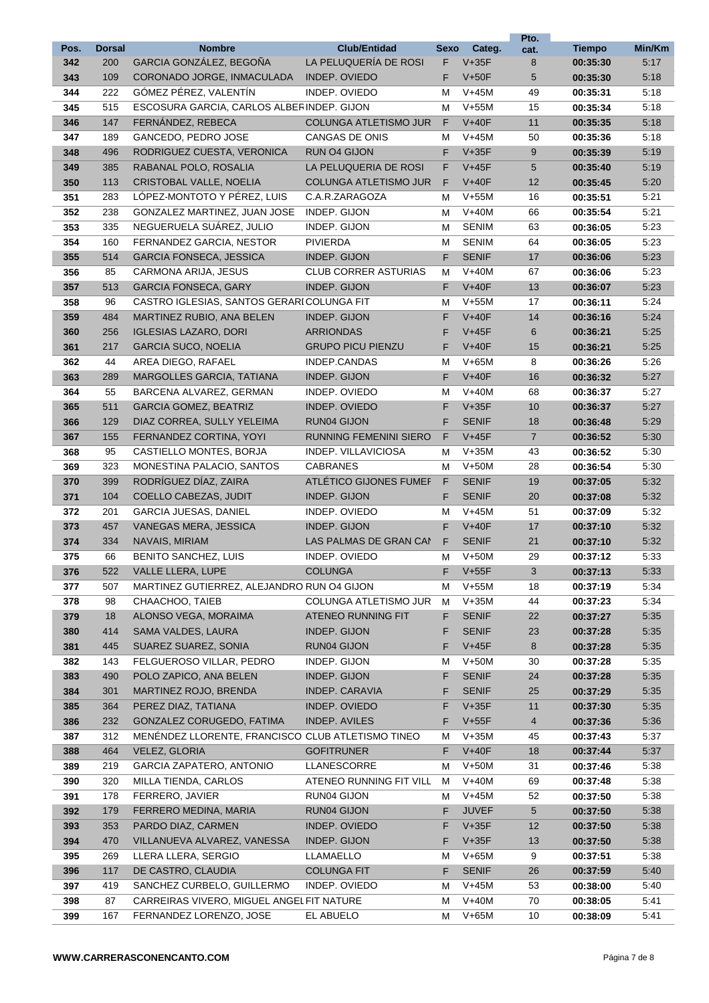|      |               |                                                   |                               |      |              | Pto.           |               |        |
|------|---------------|---------------------------------------------------|-------------------------------|------|--------------|----------------|---------------|--------|
| Pos. | <b>Dorsal</b> | <b>Nombre</b>                                     | <b>Club/Entidad</b>           | Sexo | Categ.       | cat.           | <b>Tiempo</b> | Min/Km |
| 342  | 200           | GARCIA GONZÁLEZ, BEGOÑA                           | LA PELUQUERÍA DE ROSI         | F    | $V+35F$      | 8              | 00:35:30      | 5:17   |
| 343  | 109           | CORONADO JORGE, INMACULADA                        | INDEP. OVIEDO                 | F    | $V+50F$      | 5              | 00:35:30      | 5:18   |
| 344  | 222           | GÓMEZ PÉREZ, VALENTÍN                             | INDEP. OVIEDO                 | М    | $V+45M$      | 49             | 00:35:31      | 5:18   |
| 345  | 515           | ESCOSURA GARCIA, CARLOS ALBER INDEP, GIJON        |                               | м    | $V+55M$      | 15             | 00:35:34      | 5:18   |
| 346  | 147           | FERNÁNDEZ, REBECA                                 | COLUNGA ATLETISMO JUR         | F    | $V+40F$      | 11             | 00:35:35      | 5:18   |
| 347  | 189           | GANCEDO, PEDRO JOSE                               | CANGAS DE ONIS                | м    | $V+45M$      | 50             | 00:35:36      | 5:18   |
| 348  | 496           | RODRIGUEZ CUESTA, VERONICA                        | <b>RUN O4 GIJON</b>           | F    | $V+35F$      | 9              | 00:35:39      | 5:19   |
| 349  | 385           | RABANAL POLO, ROSALIA                             | LA PELUQUERIA DE ROSI         | F.   | $V+45F$      | 5              | 00:35:40      | 5:19   |
| 350  | 113           | CRISTOBAL VALLE, NOELIA                           | COLUNGA ATLETISMO JUR         | F    | $V+40F$      | 12             | 00:35:45      | 5:20   |
| 351  | 283           | LÓPEZ-MONTOTO Y PÉREZ. LUIS                       | C.A.R.ZARAGOZA                | М    | $V+55M$      | 16             | 00:35:51      | 5:21   |
| 352  | 238           | GONZALEZ MARTINEZ, JUAN JOSE                      | INDEP. GIJON                  | М    | $V+40M$      | 66             | 00:35:54      | 5:21   |
| 353  | 335           | NEGUERUELA SUÁREZ, JULIO                          | INDEP. GIJON                  | м    | <b>SENIM</b> | 63             | 00:36:05      | 5:23   |
| 354  | 160           | FERNANDEZ GARCIA, NESTOR                          | <b>PIVIERDA</b>               | м    | <b>SENIM</b> | 64             | 00:36:05      | 5:23   |
| 355  | 514           | <b>GARCIA FONSECA, JESSICA</b>                    | INDEP. GIJON                  | F    | <b>SENIF</b> | 17             | 00:36:06      | 5:23   |
| 356  | 85            | CARMONA ARIJA, JESUS                              | <b>CLUB CORRER ASTURIAS</b>   | м    | $V+40M$      | 67             | 00:36:06      | 5:23   |
| 357  | 513           | <b>GARCIA FONSECA, GARY</b>                       | INDEP. GIJON                  | F.   | $V+40F$      | 13             | 00:36:07      | 5:23   |
| 358  | 96            | CASTRO IGLESIAS, SANTOS GERARI COLUNGA FIT        |                               | М    | $V+55M$      | 17             | 00:36:11      | 5:24   |
| 359  | 484           | MARTINEZ RUBIO, ANA BELEN                         | INDEP. GIJON                  | F    | $V+40F$      | 14             | 00:36:16      | 5:24   |
| 360  | 256           | <b>IGLESIAS LAZARO, DORI</b>                      | <b>ARRIONDAS</b>              | F    | $V+45F$      | 6              | 00:36:21      | 5:25   |
| 361  | 217           | <b>GARCIA SUCO, NOELIA</b>                        | <b>GRUPO PICU PIENZU</b>      | F    | $V+40F$      | 15             | 00:36:21      | 5:25   |
| 362  | 44            | AREA DIEGO, RAFAEL                                | INDEP.CANDAS                  | М    | $V+65M$      | 8              | 00:36:26      | 5:26   |
| 363  | 289           | MARGOLLES GARCIA, TATIANA                         | INDEP. GIJON                  | F.   | $V+40F$      | 16             | 00:36:32      | 5:27   |
| 364  | 55            | BARCENA ALVAREZ, GERMAN                           | INDEP. OVIEDO                 | м    | $V+40M$      | 68             | 00:36:37      | 5:27   |
| 365  | 511           | <b>GARCIA GOMEZ, BEATRIZ</b>                      | INDEP. OVIEDO                 | F    | $V+35F$      | 10             | 00:36:37      | 5:27   |
| 366  | 129           | DIAZ CORREA, SULLY YELEIMA                        | <b>RUN04 GIJON</b>            | F    | <b>SENIF</b> | 18             | 00:36:48      | 5:29   |
| 367  | 155           | FERNANDEZ CORTINA, YOYI                           | <b>RUNNING FEMENINI SIERO</b> | F    | $V+45F$      | $\overline{7}$ | 00:36:52      | 5:30   |
| 368  | 95            | CASTIELLO MONTES, BORJA                           | INDEP. VILLAVICIOSA           | М    | $V+35M$      | 43             | 00:36:52      | 5:30   |
| 369  | 323           | MONESTINA PALACIO, SANTOS                         | <b>CABRANES</b>               | м    | $V+50M$      | 28             | 00:36:54      | 5:30   |
| 370  | 399           | RODRÍGUEZ DÍAZ, ZAIRA                             | ATLÉTICO GIJONES FUMEF        | F    | <b>SENIF</b> | 19             | 00:37:05      | 5:32   |
| 371  | 104           | <b>COELLO CABEZAS, JUDIT</b>                      | INDEP. GIJON                  | F    | <b>SENIF</b> | 20             | 00:37:08      | 5:32   |
| 372  | 201           | <b>GARCIA JUESAS, DANIEL</b>                      | INDEP. OVIEDO                 | М    | $V+45M$      | 51             | 00:37:09      | 5:32   |
| 373  | 457           | VANEGAS MERA, JESSICA                             | <b>INDEP. GIJON</b>           | F.   | $V+40F$      | 17             | 00:37:10      | 5:32   |
| 374  | 334           | NAVAIS, MIRIAM                                    | LAS PALMAS DE GRAN CAN        | F    | <b>SENIF</b> | 21             | 00:37:10      | 5:32   |
| 375  | 66            | <b>BENITO SANCHEZ, LUIS</b>                       | INDEP. OVIEDO                 | м    | $V+50M$      | 29             | 00:37:12      | 5:33   |
| 376  | 522           | <b>VALLE LLERA, LUPE</b>                          | <b>COLUNGA</b>                | F    | $V+55F$      | 3              | 00:37:13      | 5:33   |
| 377  | 507           | MARTINEZ GUTIERREZ, ALEJANDRO RUN O4 GIJON        |                               | М    | $V+55M$      | 18             | 00:37:19      | 5:34   |
| 378  | 98            | CHAACHOO, TAIEB                                   | COLUNGA ATLETISMO JUR         | M    | $V+35M$      | 44             | 00:37:23      | 5:34   |
| 379  | 18            | ALONSO VEGA, MORAIMA                              | ATENEO RUNNING FIT            | F    | <b>SENIF</b> | 22             | 00:37:27      | 5:35   |
| 380  | 414           | SAMA VALDES, LAURA                                | INDEP. GIJON                  | F    | <b>SENIF</b> | 23             | 00:37:28      | 5:35   |
| 381  | 445           | SUAREZ SUAREZ, SONIA                              | RUN04 GIJON                   | F    | $V+45F$      | 8              | 00:37:28      | 5:35   |
| 382  | 143           | FELGUEROSO VILLAR, PEDRO                          | INDEP. GIJON                  | М    | $V+50M$      | 30             | 00:37:28      | 5:35   |
| 383  | 490           | POLO ZAPICO, ANA BELEN                            | INDEP. GIJON                  | F    | <b>SENIF</b> | 24             | 00:37:28      | 5.35   |
| 384  | 301           | MARTINEZ ROJO, BRENDA                             | INDEP. CARAVIA                | F    | <b>SENIF</b> | 25             | 00:37:29      | 5.35   |
| 385  | 364           | PEREZ DIAZ, TATIANA                               | INDEP. OVIEDO                 | F    | $V+35F$      | 11             | 00:37:30      | 5:35   |
| 386  | 232           | GONZALEZ CORUGEDO, FATIMA                         | <b>INDEP. AVILES</b>          | F    | $V+55F$      | $\overline{4}$ | 00:37:36      | 5:36   |
| 387  | 312           | MENÉNDEZ LLORENTE, FRANCISCO CLUB ATLETISMO TINEO |                               | М    | $V+35M$      | 45             | 00:37:43      | 5:37   |
| 388  | 464           | VELEZ, GLORIA                                     | <b>GOFITRUNER</b>             | F    | $V+40F$      | 18             | 00:37:44      | 5:37   |
| 389  | 219           | <b>GARCIA ZAPATERO, ANTONIO</b>                   | LLANESCORRE                   | M    | $V+50M$      | 31             | 00:37:46      | 5:38   |
| 390  | 320           | MILLA TIENDA, CARLOS                              | ATENEO RUNNING FIT VILL       | м    | $V+40M$      | 69             | 00:37:48      | 5:38   |
| 391  | 178           | FERRERO, JAVIER                                   | RUN04 GIJON                   | м    | $V+45M$      | 52             | 00:37:50      | 5:38   |
| 392  | 179           | FERRERO MEDINA, MARIA                             | RUN04 GIJON                   | F    | <b>JUVEF</b> | 5              | 00:37:50      | 5:38   |
| 393  | 353           | PARDO DIAZ, CARMEN                                | INDEP. OVIEDO                 | F    | $V+35F$      | 12             | 00:37:50      | 5:38   |
| 394  | 470           | VILLANUEVA ALVAREZ, VANESSA                       | INDEP. GIJON                  | F    | $V+35F$      | 13             | 00:37:50      | 5:38   |
| 395  | 269           | LLERA LLERA, SERGIO                               | <b>LLAMAELLO</b>              | М    | $V+65M$      | 9              | 00:37:51      | 5:38   |
| 396  | 117           | DE CASTRO, CLAUDIA                                | <b>COLUNGA FIT</b>            | F    | <b>SENIF</b> | 26             | 00:37:59      | 5:40   |
| 397  | 419           | SANCHEZ CURBELO, GUILLERMO                        | INDEP. OVIEDO                 | м    | $V+45M$      | 53             | 00:38:00      | 5:40   |
| 398  | 87            | CARREIRAS VIVERO, MIGUEL ANGEL FIT NATURE         |                               | М    | $V+40M$      | 70             | 00:38:05      | 5:41   |
| 399  | 167           | FERNANDEZ LORENZO, JOSE                           | EL ABUELO                     | м    | $V+65M$      | 10             | 00:38:09      | 5:41   |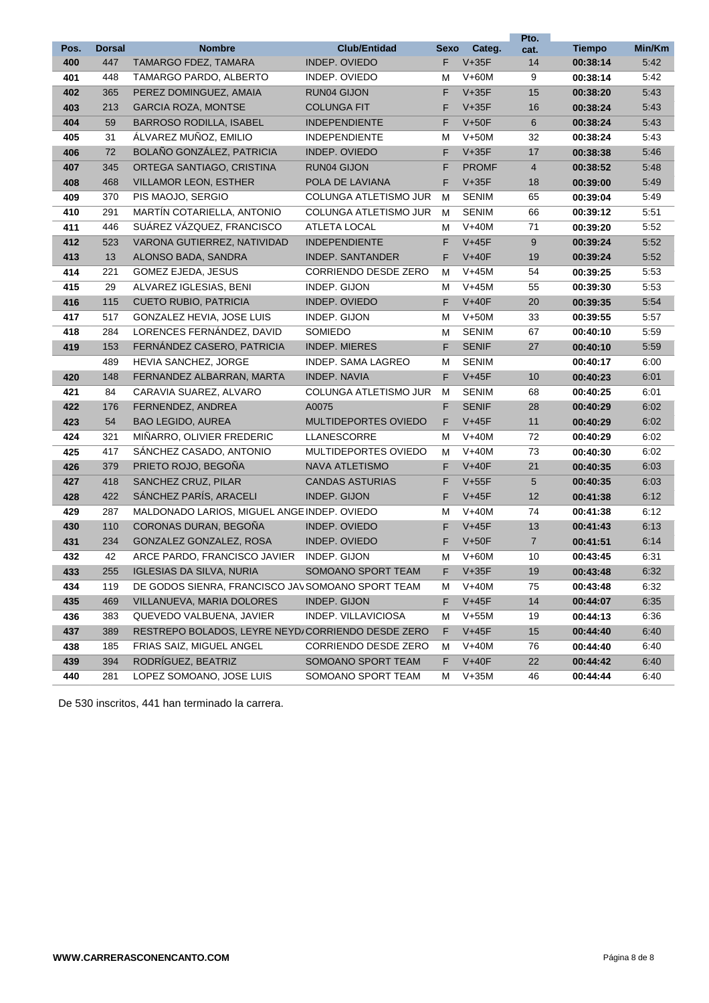| Pos. | <b>Dorsal</b> | <b>Nombre</b>                                     | <b>Club/Entidad</b>         | Sexo | Categ.       | Pto.           | <b>Tiempo</b> | Min/Km |
|------|---------------|---------------------------------------------------|-----------------------------|------|--------------|----------------|---------------|--------|
| 400  | 447           | TAMARGO FDEZ, TAMARA                              | INDEP. OVIEDO               | F    | $V+35F$      | cat.<br>14     | 00:38:14      | 5:42   |
| 401  | 448           | TAMARGO PARDO, ALBERTO                            | INDEP. OVIEDO               | М    | $V+60M$      | 9              | 00:38:14      | 5:42   |
| 402  | 365           | PEREZ DOMINGUEZ, AMAIA                            | RUN04 GIJON                 | F    | $V+35F$      | 15             | 00:38:20      | 5:43   |
| 403  | 213           | <b>GARCIA ROZA, MONTSE</b>                        | <b>COLUNGA FIT</b>          | F    | $V+35F$      | 16             | 00:38:24      | 5:43   |
| 404  | 59            | <b>BARROSO RODILLA, ISABEL</b>                    | <b>INDEPENDIENTE</b>        | F    | $V+50F$      | 6              | 00:38:24      | 5:43   |
| 405  | 31            | ÁLVAREZ MUÑOZ, EMILIO                             | <b>INDEPENDIENTE</b>        | М    | $V+50M$      | 32             | 00:38:24      | 5:43   |
| 406  | 72            | BOLAÑO GONZÁLEZ, PATRICIA                         | INDEP. OVIEDO               | F    | $V+35F$      | 17             | 00:38:38      | 5:46   |
| 407  | 345           | ORTEGA SANTIAGO, CRISTINA                         | <b>RUN04 GIJON</b>          | F    | <b>PROMF</b> | $\overline{4}$ | 00:38:52      | 5:48   |
| 408  | 468           | <b>VILLAMOR LEON, ESTHER</b>                      | POLA DE LAVIANA             | F    | $V+35F$      | 18             | 00:39:00      | 5:49   |
| 409  | 370           | PIS MAOJO, SERGIO                                 | COLUNGA ATLETISMO JUR       | M    | <b>SENIM</b> | 65             | 00:39:04      | 5:49   |
| 410  | 291           | MARTÍN COTARIELLA, ANTONIO                        | COLUNGA ATLETISMO JUR       | M    | <b>SENIM</b> | 66             | 00:39:12      | 5:51   |
| 411  | 446           | SUÁREZ VÁZQUEZ, FRANCISCO                         | ATLETA LOCAL                | м    | $V+40M$      | 71             | 00:39:20      | 5:52   |
| 412  | 523           | VARONA GUTIERREZ, NATIVIDAD                       | <b>INDEPENDIENTE</b>        | F.   | $V+45F$      | 9              | 00:39:24      | 5:52   |
| 413  | 13            | ALONSO BADA, SANDRA                               | <b>INDEP. SANTANDER</b>     | F    | $V+40F$      | 19             | 00:39:24      | 5:52   |
| 414  | 221           | GOMEZ EJEDA, JESUS                                | <b>CORRIENDO DESDE ZERO</b> | М    | $V+45M$      | 54             | 00:39:25      | 5:53   |
| 415  | 29            | ALVAREZ IGLESIAS, BENI                            | INDEP. GIJON                | м    | $V+45M$      | 55             | 00:39:30      | 5:53   |
| 416  | 115           | <b>CUETO RUBIO, PATRICIA</b>                      | INDEP. OVIEDO               | F    | $V+40F$      | 20             | 00:39:35      | 5:54   |
| 417  | 517           | GONZALEZ HEVIA, JOSE LUIS                         | INDEP. GIJON                | м    | $V+50M$      | 33             | 00:39:55      | 5:57   |
| 418  | 284           | LORENCES FERNÁNDEZ, DAVID                         | SOMIEDO                     | м    | <b>SENIM</b> | 67             | 00:40:10      | 5:59   |
| 419  | 153           | FERNÁNDEZ CASERO, PATRICIA                        | <b>INDEP. MIERES</b>        | F    | <b>SENIF</b> | 27             | 00:40:10      | 5:59   |
|      | 489           | HEVIA SANCHEZ, JORGE                              | <b>INDEP. SAMA LAGREO</b>   | м    | <b>SENIM</b> |                | 00:40:17      | 6:00   |
| 420  | 148           | FERNANDEZ ALBARRAN, MARTA                         | INDEP. NAVIA                | F.   | $V+45F$      | 10             | 00:40:23      | 6:01   |
| 421  | 84            | CARAVIA SUAREZ, ALVARO                            | COLUNGA ATLETISMO JUR       | M    | <b>SENIM</b> | 68             | 00:40:25      | 6:01   |
| 422  | 176           | FERNENDEZ, ANDREA                                 | A0075                       | F    | <b>SENIF</b> | 28             | 00:40:29      | 6:02   |
| 423  | 54            | <b>BAO LEGIDO, AUREA</b>                          | <b>MULTIDEPORTES OVIEDO</b> | F    | $V+45F$      | 11             | 00:40:29      | 6:02   |
| 424  | 321           | MIÑARRO, OLIVIER FREDERIC                         | LLANESCORRE                 | М    | $V+40M$      | 72             | 00:40:29      | 6:02   |
| 425  | 417           | SANCHEZ CASADO, ANTONIO                           | MULTIDEPORTES OVIEDO        | м    | $V+40M$      | 73             | 00:40:30      | 6:02   |
| 426  | 379           | PRIETO ROJO, BEGOÑA                               | <b>NAVA ATLETISMO</b>       | F    | $V+40F$      | 21             | 00:40:35      | 6:03   |
| 427  | 418           | SANCHEZ CRUZ, PILAR                               | <b>CANDAS ASTURIAS</b>      | F    | $V+55F$      | 5              | 00:40:35      | 6:03   |
| 428  | 422           | SÁNCHEZ PARÍS, ARACELI                            | INDEP. GIJON                | F    | $V+45F$      | 12             | 00:41:38      | 6:12   |
| 429  | 287           | MALDONADO LARIOS, MIGUEL ANGE INDEP. OVIEDO       |                             | М    | $V+40M$      | 74             | 00:41:38      | 6:12   |
| 430  | 110           | CORONAS DURAN, BEGOÑA                             | INDEP. OVIEDO               | F    | $V+45F$      | 13             | 00:41:43      | 6:13   |
| 431  | 234           | GONZALEZ GONZALEZ, ROSA                           | INDEP. OVIEDO               | F    | $V+50F$      | $\overline{7}$ | 00:41:51      | 6:14   |
| 432  | 42            | ARCE PARDO, FRANCISCO JAVIER                      | INDEP. GIJON                | м    | $V+60M$      | 10             | 00:43:45      | 6:31   |
| 433  | 255           | <b>IGLESIAS DA SILVA, NURIA</b>                   | SOMOANO SPORT TEAM          | F    | $V+35F$      | 19             | 00:43:48      | 6:32   |
| 434  | 119           | DE GODOS SIENRA, FRANCISCO JA\SOMOANO SPORT TEAM  |                             | М    | $V+40M$      | 75             | 00:43:48      | 6:32   |
| 435  | 469           | VILLANUEVA, MARIA DOLORES                         | INDEP. GIJON                | F    | $V+45F$      | 14             | 00:44:07      | 6:35   |
| 436  | 383           | QUEVEDO VALBUENA, JAVIER                          | INDEP. VILLAVICIOSA         | M    | $V+55M$      | 19             | 00:44:13      | 6:36   |
| 437  | 389           | RESTREPO BOLADOS, LEYRE NEYD/CORRIENDO DESDE ZERO |                             | F    | $V+45F$      | 15             | 00:44:40      | 6:40   |
| 438  | 185           | FRIAS SAIZ, MIGUEL ANGEL                          | CORRIENDO DESDE ZERO        | М    | $V+40M$      | 76             | 00:44:40      | 6:40   |
| 439  | 394           | RODRÍGUEZ, BEATRIZ                                | SOMOANO SPORT TEAM          | F    | $V+40F$      | 22             | 00:44:42      | 6:40   |
| 440  | 281           | LOPEZ SOMOANO, JOSE LUIS                          | SOMOANO SPORT TEAM          | м    | $V+35M$      | 46             | 00:44:44      | 6:40   |

De 530 inscritos, 441 han terminado la carrera.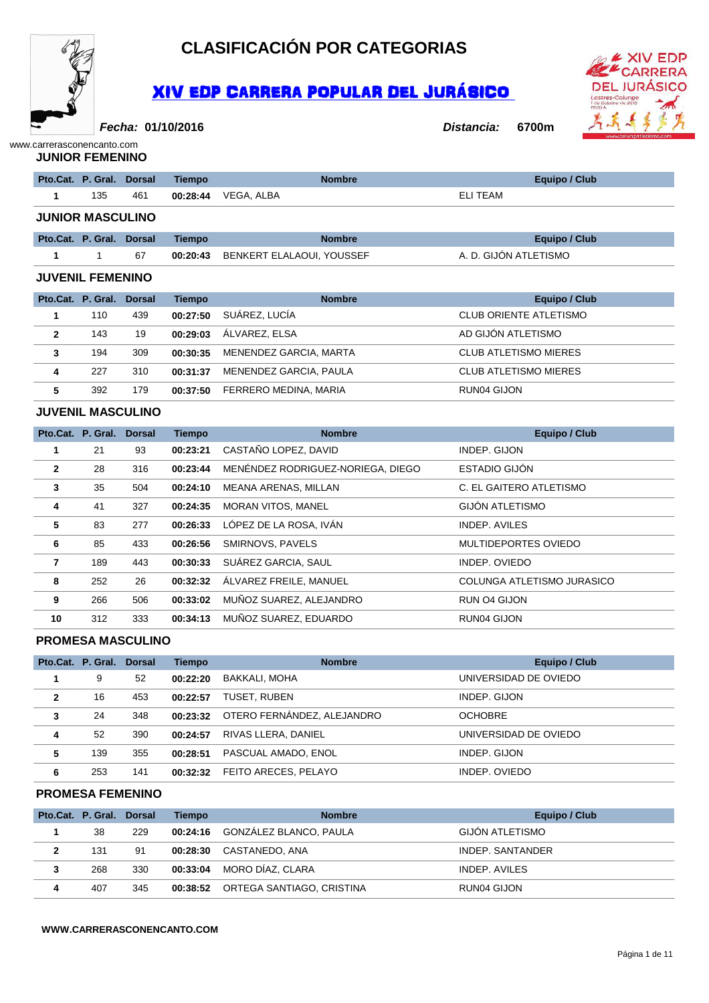

### **CLASIFICACIÓN POR CATEGORIAS**

### XIV EDP CARRERA POPULAR DEL JURÁSICO



**Fecha:**

#### **01/10/2016 Distancia: 6700m**

#### www.carrerasconencanto.com **JUNIOR FEMENINO**

|                         | Pto.Cat. P. Gral. | <b>Dorsal</b> | <b>Tiempo</b> | <b>Nombre</b>                    | <b>Equipo / Club</b>          |  |  |
|-------------------------|-------------------|---------------|---------------|----------------------------------|-------------------------------|--|--|
| 1                       | 135               | 461           | 00:28:44      | VEGA, ALBA                       | <b>ELI TEAM</b>               |  |  |
| <b>JUNIOR MASCULINO</b> |                   |               |               |                                  |                               |  |  |
|                         | Pto.Cat. P. Gral. | <b>Dorsal</b> | <b>Tiempo</b> | <b>Nombre</b>                    | <b>Equipo / Club</b>          |  |  |
| 1                       | $\mathbf{1}$      | 67            | 00:20:43      | <b>BENKERT ELALAOUI, YOUSSEF</b> | A. D. GIJÓN ATLETISMO         |  |  |
| <b>JUVENIL FEMENINO</b> |                   |               |               |                                  |                               |  |  |
|                         |                   |               |               |                                  |                               |  |  |
|                         | Pto.Cat. P. Gral. | <b>Dorsal</b> | <b>Tiempo</b> | <b>Nombre</b>                    | <b>Equipo / Club</b>          |  |  |
|                         | 110               | 439           | 00:27:50      | SUÁREZ, LUCÍA                    | <b>CLUB ORIENTE ATLETISMO</b> |  |  |
| $\overline{2}$          | 143               | 19            | 00:29:03      | ÁLVAREZ, ELSA                    | AD GIJÓN ATLETISMO            |  |  |

**4** 227 310 **00:31:37** MENENDEZ GARCIA, PAULA CLUB ATLETISMO MIERES

**5** 392 179 **00:37:50** FERRERO MEDINA, MARIA RUN04 GIJON

#### **JUVENIL MASCULINO**

|                | Pto.Cat. P. Gral. | <b>Dorsal</b> | <b>Tiempo</b> | <b>Nombre</b>                     | <b>Equipo / Club</b>       |
|----------------|-------------------|---------------|---------------|-----------------------------------|----------------------------|
| 1              | 21                | 93            | 00:23:21      | CASTAÑO LOPEZ, DAVID              | INDEP. GIJON               |
| $\overline{2}$ | 28                | 316           | 00:23:44      | MENÉNDEZ RODRIGUEZ-NORIEGA, DIEGO | ESTADIO GIJÓN              |
| $\mathbf{3}$   | 35                | 504           | 00:24:10      | MEANA ARENAS, MILLAN              | C. EL GAITERO ATLETISMO    |
| 4              | 41                | 327           | 00:24:35      | <b>MORAN VITOS, MANEL</b>         | GIJÓN ATLETISMO            |
| 5              | 83                | 277           | 00:26:33      | LÓPEZ DE LA ROSA, IVÁN            | <b>INDEP. AVILES</b>       |
| 6              | 85                | 433           | 00:26:56      | SMIRNOVS, PAVELS                  | MULTIDEPORTES OVIEDO       |
| 7              | 189               | 443           | 00:30:33      | SUÁREZ GARCIA, SAUL               | INDEP. OVIEDO              |
| 8              | 252               | 26            | 00:32:32      | ÁLVAREZ FREILE, MANUEL            | COLUNGA ATLETISMO JURASICO |
| 9              | 266               | 506           | 00:33:02      | MUÑOZ SUAREZ, ALEJANDRO           | RUN 04 GIJON               |
| 10             | 312               | 333           | 00:34:13      | MUÑOZ SUAREZ, EDUARDO             | RUN04 GIJON                |

#### **PROMESA MASCULINO**

|                | Pto.Cat. P. Gral. Dorsal |     | <b>Tiempo</b> | <b>Nombre</b>              | <b>Equipo / Club</b>  |
|----------------|--------------------------|-----|---------------|----------------------------|-----------------------|
|                | 9                        | 52  | 00:22:20      | BAKKALI. MOHA              | UNIVERSIDAD DE OVIEDO |
| $\overline{2}$ | 16                       | 453 | 00:22:57      | TUSET. RUBEN               | INDEP. GIJON          |
| 3              | 24                       | 348 | 00:23:32      | OTERO FERNÁNDEZ, ALEJANDRO | <b>OCHOBRE</b>        |
| 4              | 52                       | 390 | 00:24:57      | RIVAS LLERA, DANIEL        | UNIVERSIDAD DE OVIEDO |
| 5              | 139                      | 355 | 00:28:51      | PASCUAL AMADO, ENOL        | INDEP. GIJON          |
| 6              | 253                      | 141 | 00:32:32      | FEITO ARECES, PELAYO       | INDEP. OVIEDO         |

#### **PROMESA FEMENINO**

|   | Pto.Cat. P. Gral. Dorsal |     | Tiempo   | <b>Nombre</b>             | Equipo / Club    |
|---|--------------------------|-----|----------|---------------------------|------------------|
|   | 38                       | 229 | 00:24:16 | GONZÁLEZ BLANCO, PAULA    | GIJÓN ATLETISMO  |
| 2 | 131                      | 91  | 00:28:30 | CASTANEDO, ANA            | INDEP. SANTANDER |
| 3 | 268                      | 330 | 00:33:04 | MORO DÍAZ. CLARA          | INDEP. AVILES    |
| 4 | 407                      | 345 | 00:38:52 | ORTEGA SANTIAGO, CRISTINA | RUN04 GIJON      |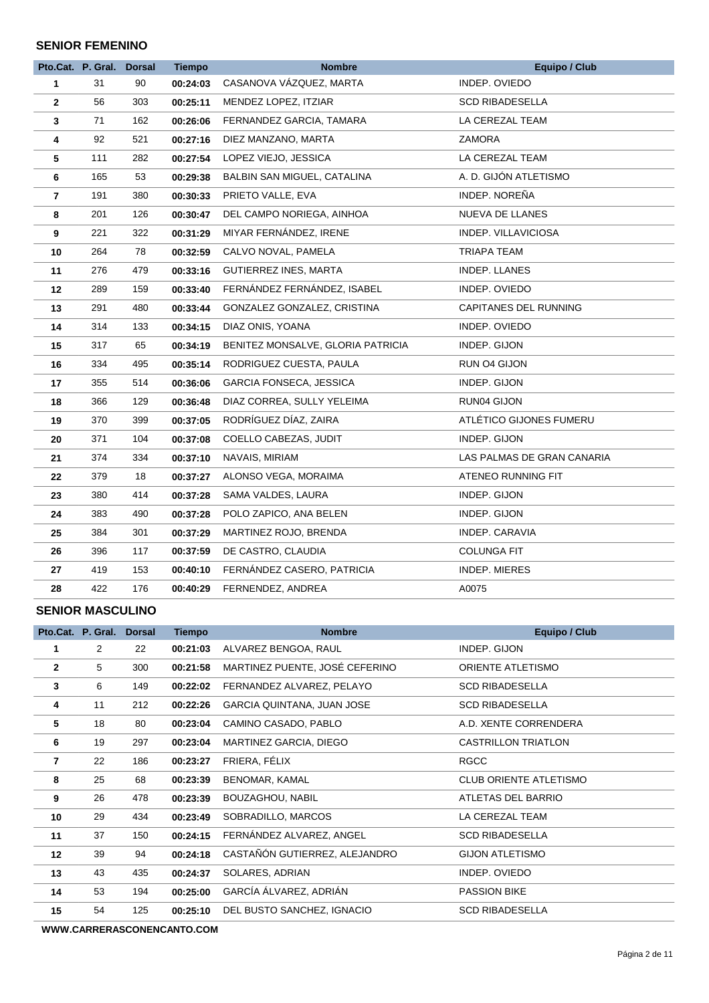#### **SENIOR FEMENINO**

|              | Pto.Cat. P. Gral. Dorsal |     | <b>Tiempo</b> | <b>Nombre</b>                     | <b>Equipo / Club</b>         |
|--------------|--------------------------|-----|---------------|-----------------------------------|------------------------------|
| $\mathbf{1}$ | 31                       | 90  | 00:24:03      | CASANOVA VÁZQUEZ, MARTA           | INDEP. OVIEDO                |
| $\mathbf{2}$ | 56                       | 303 | 00:25:11      | MENDEZ LOPEZ, ITZIAR              | SCD RIBADESELLA              |
| $\mathbf{3}$ | 71                       | 162 | 00:26:06      | FERNANDEZ GARCIA, TAMARA          | LA CEREZAL TEAM              |
| 4            | 92                       | 521 | 00:27:16      | DIEZ MANZANO, MARTA               | ZAMORA                       |
| 5            | 111                      | 282 | 00:27:54      | LOPEZ VIEJO, JESSICA              | LA CEREZAL TEAM              |
| 6            | 165                      | 53  | 00:29:38      | BALBIN SAN MIGUEL, CATALINA       | A. D. GIJÓN ATLETISMO        |
| 7            | 191                      | 380 | 00:30:33      | PRIETO VALLE, EVA                 | INDEP. NOREÑA                |
| 8            | 201                      | 126 | 00:30:47      | DEL CAMPO NORIEGA, AINHOA         | NUEVA DE LLANES              |
| 9            | 221                      | 322 | 00:31:29      | MIYAR FERNÁNDEZ, IRENE            | INDEP. VILLAVICIOSA          |
| 10           | 264                      | 78  | 00:32:59      | CALVO NOVAL, PAMELA               | TRIAPA TEAM                  |
| 11           | 276                      | 479 | 00:33:16      | <b>GUTIERREZ INES, MARTA</b>      | INDEP. LLANES                |
| 12           | 289                      | 159 | 00:33:40      | FERNÁNDEZ FERNÁNDEZ, ISABEL       | INDEP. OVIEDO                |
| 13           | 291                      | 480 | 00:33:44      | GONZALEZ GONZALEZ, CRISTINA       | <b>CAPITANES DEL RUNNING</b> |
| 14           | 314                      | 133 | 00:34:15      | DIAZ ONIS, YOANA                  | INDEP. OVIEDO                |
| 15           | 317                      | 65  | 00:34:19      | BENITEZ MONSALVE, GLORIA PATRICIA | INDEP. GIJON                 |
| 16           | 334                      | 495 | 00:35:14      | RODRIGUEZ CUESTA, PAULA           | RUN 04 GIJON                 |
| 17           | 355                      | 514 | 00:36:06      | <b>GARCIA FONSECA, JESSICA</b>    | INDEP. GIJON                 |
| 18           | 366                      | 129 | 00:36:48      | DIAZ CORREA, SULLY YELEIMA        | RUN04 GIJON                  |
| 19           | 370                      | 399 | 00:37:05      | RODRÍGUEZ DÍAZ, ZAIRA             | ATLÉTICO GIJONES FUMERU      |
| 20           | 371                      | 104 | 00:37:08      | COELLO CABEZAS, JUDIT             | INDEP. GIJON                 |
| 21           | 374                      | 334 | 00:37:10      | NAVAIS, MIRIAM                    | LAS PALMAS DE GRAN CANARIA   |
| 22           | 379                      | 18  | 00:37:27      | ALONSO VEGA, MORAIMA              | ATENEO RUNNING FIT           |
| 23           | 380                      | 414 | 00:37:28      | SAMA VALDES, LAURA                | INDEP. GIJON                 |
| 24           | 383                      | 490 | 00:37:28      | POLO ZAPICO, ANA BELEN            | INDEP. GIJON                 |
| 25           | 384                      | 301 | 00:37:29      | MARTINEZ ROJO, BRENDA             | INDEP. CARAVIA               |
| 26           | 396                      | 117 | 00:37:59      | DE CASTRO, CLAUDIA                | <b>COLUNGA FIT</b>           |
| 27           | 419                      | 153 | 00:40:10      | FERNÁNDEZ CASERO, PATRICIA        | <b>INDEP. MIERES</b>         |
| 28           | 422                      | 176 | 00:40:29      | FERNENDEZ, ANDREA                 | A0075                        |

#### **SENIOR MASCULINO**

|                | Pto.Cat. P. Gral. | <b>Dorsal</b> | <b>Tiempo</b> | <b>Nombre</b>                     | <b>Equipo / Club</b>          |
|----------------|-------------------|---------------|---------------|-----------------------------------|-------------------------------|
| 1              | 2                 | 22            | 00:21:03      | ALVAREZ BENGOA, RAUL              | INDEP. GIJON                  |
| $\overline{2}$ | 5                 | 300           | 00:21:58      | MARTINEZ PUENTE, JOSÉ CEFERINO    | ORIENTE ATLETISMO             |
| 3              | 6                 | 149           | 00:22:02      | FERNANDEZ ALVAREZ, PELAYO         | <b>SCD RIBADESELLA</b>        |
| 4              | 11                | 212           | 00:22:26      | <b>GARCIA QUINTANA, JUAN JOSE</b> | <b>SCD RIBADESELLA</b>        |
| 5              | 18                | 80            | 00:23:04      | CAMINO CASADO, PABLO              | A.D. XENTE CORRENDERA         |
| 6              | 19                | 297           | 00:23:04      | MARTINEZ GARCIA, DIEGO            | <b>CASTRILLON TRIATLON</b>    |
| 7              | 22                | 186           | 00:23:27      | FRIERA, FÉLIX                     | <b>RGCC</b>                   |
| 8              | 25                | 68            | 00:23:39      | BENOMAR, KAMAL                    | <b>CLUB ORIENTE ATLETISMO</b> |
| 9              | 26                | 478           | 00:23:39      | BOUZAGHOU, NABIL                  | ATLETAS DEL BARRIO            |
| 10             | 29                | 434           | 00:23:49      | SOBRADILLO, MARCOS                | LA CEREZAL TEAM               |
| 11             | 37                | 150           | 00:24:15      | FERNANDEZ ALVAREZ, ANGEL          | <b>SCD RIBADESELLA</b>        |
| 12             | 39                | 94            | 00:24:18      | CASTAÑÓN GUTIERREZ, ALEJANDRO     | <b>GIJON ATLETISMO</b>        |
| 13             | 43                | 435           | 00:24:37      | SOLARES, ADRIAN                   | INDEP. OVIEDO                 |
| 14             | 53                | 194           | 00:25:00      | GARCÍA ÁLVAREZ, ADRIÁN            | <b>PASSION BIKE</b>           |
| 15             | 54                | 125           | 00:25:10      | DEL BUSTO SANCHEZ, IGNACIO        | <b>SCD RIBADESELLA</b>        |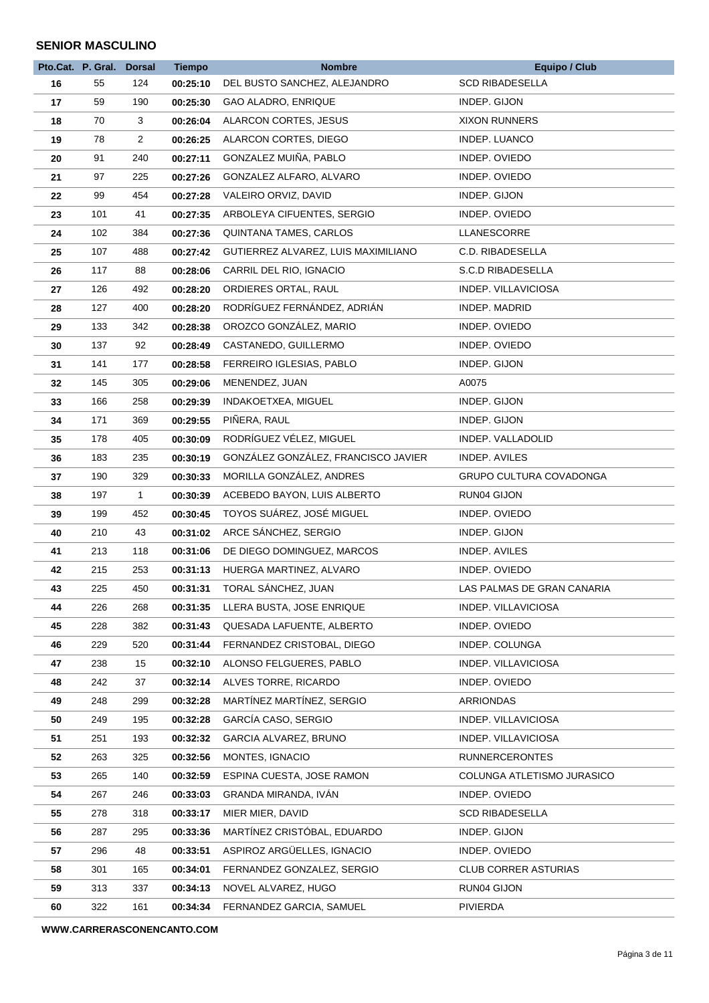#### **SENIOR MASCULINO**

| Pto.Cat. P. Gral. Dorsal   | <b>Tiempo</b> | <b>Nombre</b>                       | <b>Equipo / Club</b>           |
|----------------------------|---------------|-------------------------------------|--------------------------------|
| 16<br>124<br>55            | 00:25:10      | DEL BUSTO SANCHEZ, ALEJANDRO        | <b>SCD RIBADESELLA</b>         |
| 190<br>17<br>59            | 00:25:30      | GAO ALADRO, ENRIQUE                 | INDEP. GIJON                   |
| 3<br>70<br>18              | 00:26:04      | ALARCON CORTES, JESUS               | <b>XIXON RUNNERS</b>           |
| 78<br>$\overline{2}$<br>19 | 00:26:25      | ALARCON CORTES, DIEGO               | INDEP. LUANCO                  |
| 91<br>240<br>20            | 00:27:11      | GONZALEZ MUIÑA, PABLO               | INDEP. OVIEDO                  |
| 97<br>225<br>21            | 00:27:26      | GONZALEZ ALFARO, ALVARO             | INDEP. OVIEDO                  |
| 99<br>454<br>22            | 00:27:28      | VALEIRO ORVIZ, DAVID                | INDEP. GIJON                   |
| 23<br>101<br>41            | 00:27:35      | ARBOLEYA CIFUENTES, SERGIO          | INDEP. OVIEDO                  |
| 24<br>102<br>384           | 00:27:36      | <b>QUINTANA TAMES, CARLOS</b>       | LLANESCORRE                    |
| 25<br>107<br>488           | 00:27:42      | GUTIERREZ ALVAREZ, LUIS MAXIMILIANO | C.D. RIBADESELLA               |
| 26<br>117<br>88            | 00:28:06      | CARRIL DEL RIO, IGNACIO             | S.C.D RIBADESELLA              |
| 27<br>126<br>492           | 00:28:20      | ORDIERES ORTAL, RAUL                | INDEP. VILLAVICIOSA            |
| 400<br>28<br>127           | 00:28:20      | RODRÍGUEZ FERNÁNDEZ, ADRIÁN         | INDEP. MADRID                  |
| 29<br>133<br>342           | 00:28:38      | OROZCO GONZÁLEZ, MARIO              | INDEP. OVIEDO                  |
| 92<br>30<br>137            | 00:28:49      | CASTANEDO, GUILLERMO                | INDEP. OVIEDO                  |
| 141<br>177<br>31           | 00:28:58      | FERREIRO IGLESIAS, PABLO            | INDEP. GIJON                   |
| 145<br>305<br>32           | 00:29:06      | MENENDEZ, JUAN                      | A0075                          |
| 33<br>166<br>258           | 00:29:39      | INDAKOETXEA, MIGUEL                 | INDEP. GIJON                   |
| 34<br>171<br>369           | 00:29:55      | PIÑERA, RAUL                        | INDEP. GIJON                   |
| 35<br>405<br>178           | 00:30:09      | RODRÍGUEZ VÉLEZ, MIGUEL             | INDEP. VALLADOLID              |
| 36<br>183<br>235           | 00:30:19      | GONZÁLEZ GONZÁLEZ, FRANCISCO JAVIER | INDEP. AVILES                  |
| 329<br>37<br>190           | 00:30:33      | MORILLA GONZÁLEZ, ANDRES            | <b>GRUPO CULTURA COVADONGA</b> |
| 38<br>197<br>$\mathbf{1}$  | 00:30:39      | ACEBEDO BAYON, LUIS ALBERTO         | RUN04 GIJON                    |
| 199<br>39<br>452           | 00:30:45      | TOYOS SUÁREZ, JOSÉ MIGUEL           | INDEP. OVIEDO                  |
| 210<br>43<br>40            | 00:31:02      | ARCE SÁNCHEZ, SERGIO                | INDEP. GIJON                   |
| 213<br>118<br>41           | 00:31:06      | DE DIEGO DOMINGUEZ, MARCOS          | INDEP. AVILES                  |
| 215<br>253<br>42           | 00:31:13      | HUERGA MARTINEZ, ALVARO             | INDEP. OVIEDO                  |
| 43<br>225<br>450           | 00:31:31      | TORAL SÁNCHEZ, JUAN                 | LAS PALMAS DE GRAN CANARIA     |
| 44<br>226<br>268           | 00:31:35      | LLERA BUSTA, JOSE ENRIQUE           | INDEP. VILLAVICIOSA            |
| 45<br>382<br>228           | 00:31:43      | QUESADA LAFUENTE, ALBERTO           | INDEP. OVIEDO                  |
| 520<br>46<br>229           | 00:31:44      | FERNANDEZ CRISTOBAL, DIEGO          | INDEP. COLUNGA                 |
| 47<br>238<br>15            | 00:32:10      | ALONSO FELGUERES, PABLO             | INDEP. VILLAVICIOSA            |
| 48<br>242<br>37            | 00:32:14      | ALVES TORRE, RICARDO                | INDEP. OVIEDO                  |
| 299<br>248<br>49           | 00:32:28      | MARTÍNEZ MARTÍNEZ, SERGIO           | ARRIONDAS                      |
| 50<br>249<br>195           | 00:32:28      | GARCÍA CASO, SERGIO                 | INDEP. VILLAVICIOSA            |
| 51<br>251<br>193           | 00:32:32      | GARCIA ALVAREZ, BRUNO               | INDEP. VILLAVICIOSA            |
| 52<br>263<br>325           | 00:32:56      | MONTES, IGNACIO                     | <b>RUNNERCERONTES</b>          |
| 53<br>140<br>265           | 00:32:59      | ESPINA CUESTA, JOSE RAMON           | COLUNGA ATLETISMO JURASICO     |
| 54<br>267<br>246           | 00:33:03      | GRANDA MIRANDA, IVÁN                | INDEP. OVIEDO                  |
| 55<br>278<br>318           | 00:33:17      | MIER MIER, DAVID                    | <b>SCD RIBADESELLA</b>         |
| 56<br>287<br>295           | 00:33:36      | MARTÍNEZ CRISTÓBAL, EDUARDO         | INDEP. GIJON                   |
| 57<br>296<br>48            | 00:33:51      | ASPIROZ ARGÜELLES, IGNACIO          | INDEP. OVIEDO                  |
| 58<br>301<br>165           | 00:34:01      | FERNANDEZ GONZALEZ, SERGIO          | <b>CLUB CORRER ASTURIAS</b>    |
| 337<br>59<br>313           |               |                                     |                                |
|                            | 00:34:13      | NOVEL ALVAREZ, HUGO                 | RUN04 GIJON                    |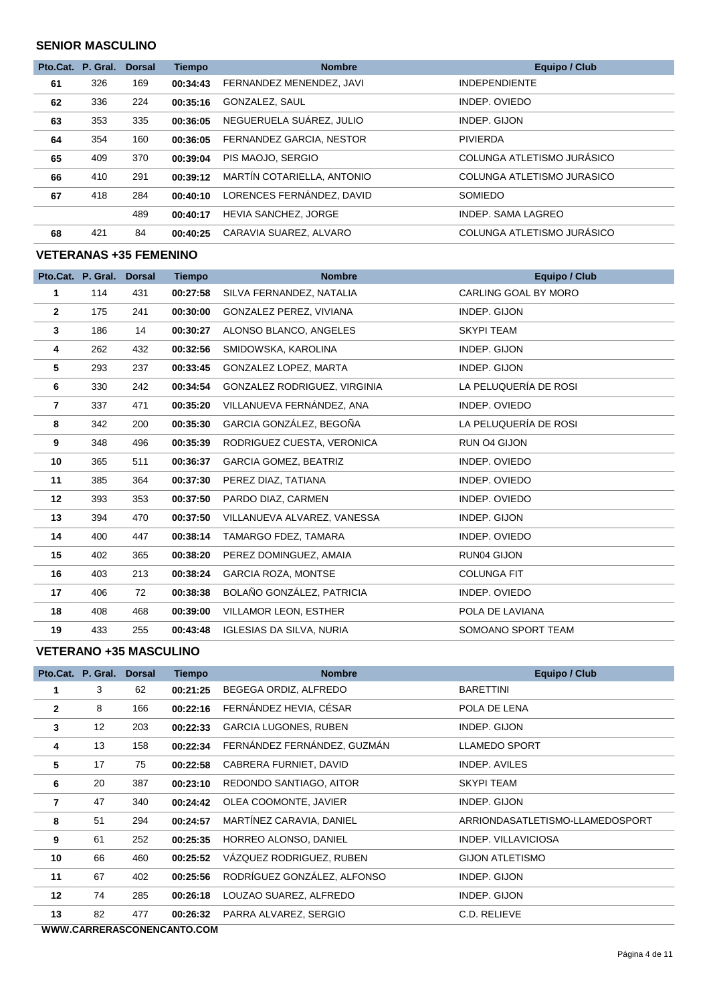#### **SENIOR MASCULINO**

|    | Pto.Cat. P. Gral. | <b>Dorsal</b> | <b>Tiempo</b> | <b>Nombre</b>               | <b>Equipo / Club</b>       |
|----|-------------------|---------------|---------------|-----------------------------|----------------------------|
| 61 | 326               | 169           | 00:34:43      | FERNANDEZ MENENDEZ, JAVI    | <b>INDEPENDIENTE</b>       |
| 62 | 336               | 224           | 00:35:16      | GONZALEZ, SAUL              | INDEP, OVIEDO              |
| 63 | 353               | 335           | 00:36:05      | NEGUERUELA SUÁREZ, JULIO    | INDEP. GIJON               |
| 64 | 354               | 160           | 00:36:05      | FERNANDEZ GARCIA, NESTOR    | <b>PIVIERDA</b>            |
| 65 | 409               | 370           | 00:39:04      | PIS MAOJO, SERGIO           | COLUNGA ATLETISMO JURÁSICO |
| 66 | 410               | 291           | 00:39:12      | MARTÍN COTARIELLA, ANTONIO  | COLUNGA ATLETISMO JURASICO |
| 67 | 418               | 284           | 00:40:10      | LORENCES FERNÁNDEZ, DAVID   | SOMIEDO                    |
|    |                   | 489           | 00:40:17      | <b>HEVIA SANCHEZ, JORGE</b> | INDEP. SAMA LAGREO         |
| 68 | 421               | 84            | 00:40:25      | CARAVIA SUAREZ, ALVARO      | COLUNGA ATLETISMO JURÁSICO |

#### **VETERANAS +35 FEMENINO**

|                   | Pto.Cat. P. Gral. | <b>Dorsal</b> | <b>Tiempo</b> | <b>Nombre</b>                | Equipo / Club         |
|-------------------|-------------------|---------------|---------------|------------------------------|-----------------------|
| 1.                | 114               | 431           | 00:27:58      | SILVA FERNANDEZ, NATALIA     | CARLING GOAL BY MORO  |
| $\mathbf{2}$      | 175               | 241           | 00:30:00      | GONZALEZ PEREZ, VIVIANA      | INDEP. GIJON          |
| 3                 | 186               | 14            | 00:30:27      | ALONSO BLANCO, ANGELES       | <b>SKYPI TEAM</b>     |
| 4                 | 262               | 432           | 00:32:56      | SMIDOWSKA, KAROLINA          | INDEP. GIJON          |
| 5                 | 293               | 237           | 00:33:45      | GONZALEZ LOPEZ, MARTA        | INDEP. GIJON          |
| 6                 | 330               | 242           | 00:34:54      | GONZALEZ RODRIGUEZ, VIRGINIA | LA PELUQUERÍA DE ROSI |
| 7                 | 337               | 471           | 00:35:20      | VILLANUEVA FERNÁNDEZ, ANA    | INDEP. OVIEDO         |
| 8                 | 342               | 200           | 00:35:30      | GARCIA GONZÁLEZ, BEGOÑA      | LA PELUQUERÍA DE ROSI |
| 9                 | 348               | 496           | 00:35:39      | RODRIGUEZ CUESTA, VERONICA   | RUN O4 GIJON          |
| 10                | 365               | 511           | 00:36:37      | <b>GARCIA GOMEZ, BEATRIZ</b> | INDEP. OVIEDO         |
| 11                | 385               | 364           | 00:37:30      | PEREZ DIAZ, TATIANA          | INDEP. OVIEDO         |
| $12 \overline{ }$ | 393               | 353           | 00:37:50      | PARDO DIAZ, CARMEN           | INDEP. OVIEDO         |
| 13                | 394               | 470           | 00:37:50      | VILLANUEVA ALVAREZ, VANESSA  | INDEP. GIJON          |
| 14                | 400               | 447           | 00:38:14      | TAMARGO FDEZ, TAMARA         | INDEP. OVIEDO         |
| 15                | 402               | 365           | 00:38:20      | PEREZ DOMINGUEZ, AMAIA       | RUN04 GIJON           |
| 16                | 403               | 213           | 00:38:24      | <b>GARCIA ROZA, MONTSE</b>   | <b>COLUNGA FIT</b>    |
| 17                | 406               | 72            | 00:38:38      | BOLAÑO GONZÁLEZ, PATRICIA    | INDEP. OVIEDO         |
| 18                | 408               | 468           | 00:39:00      | <b>VILLAMOR LEON, ESTHER</b> | POLA DE LAVIANA       |
| 19                | 433               | 255           | 00:43:48      | IGLESIAS DA SILVA, NURIA     | SOMOANO SPORT TEAM    |

#### **VETERANO +35 MASCULINO**

|                | Pto.Cat. P. Gral. | <b>Dorsal</b> | <b>Tiempo</b> | <b>Nombre</b>                | Equipo / Club                   |
|----------------|-------------------|---------------|---------------|------------------------------|---------------------------------|
|                | 3                 | 62            | 00:21:25      | BEGEGA ORDIZ, ALFREDO        | <b>BARETTINI</b>                |
| $\overline{2}$ | 8                 | 166           | 00:22:16      | FERNÁNDEZ HEVIA, CÉSAR       | POLA DE LENA                    |
| 3              | $12 \overline{ }$ | 203           | 00:22:33      | <b>GARCIA LUGONES, RUBEN</b> | INDEP. GIJON                    |
| 4              | 13                | 158           | 00:22:34      | FERNÁNDEZ FERNÁNDEZ, GUZMÁN  | <b>LLAMEDO SPORT</b>            |
| 5              | 17                | 75            | 00:22:58      | CABRERA FURNIET, DAVID       | INDEP. AVILES                   |
| 6              | 20                | 387           | 00:23:10      | REDONDO SANTIAGO, AITOR      | <b>SKYPI TEAM</b>               |
| 7              | 47                | 340           | 00:24:42      | OLEA COOMONTE, JAVIER        | INDEP. GIJON                    |
| 8              | 51                | 294           | 00:24:57      | MARTÍNEZ CARAVIA, DANIEL     | ARRIONDASATLETISMO-LLAMEDOSPORT |
| 9              | 61                | 252           | 00:25:35      | HORREO ALONSO, DANIEL        | INDEP. VILLAVICIOSA             |
| 10             | 66                | 460           | 00:25:52      | VAZQUEZ RODRIGUEZ, RUBEN     | <b>GIJON ATLETISMO</b>          |
| 11             | 67                | 402           | 00:25:56      | RODRÍGUEZ GONZÁLEZ, ALFONSO  | INDEP. GIJON                    |
| 12             | 74                | 285           | 00:26:18      | LOUZAO SUAREZ, ALFREDO       | INDEP. GIJON                    |
| 13             | 82                | 477           | 00:26:32      | PARRA ALVAREZ, SERGIO        | C.D. RELIEVE                    |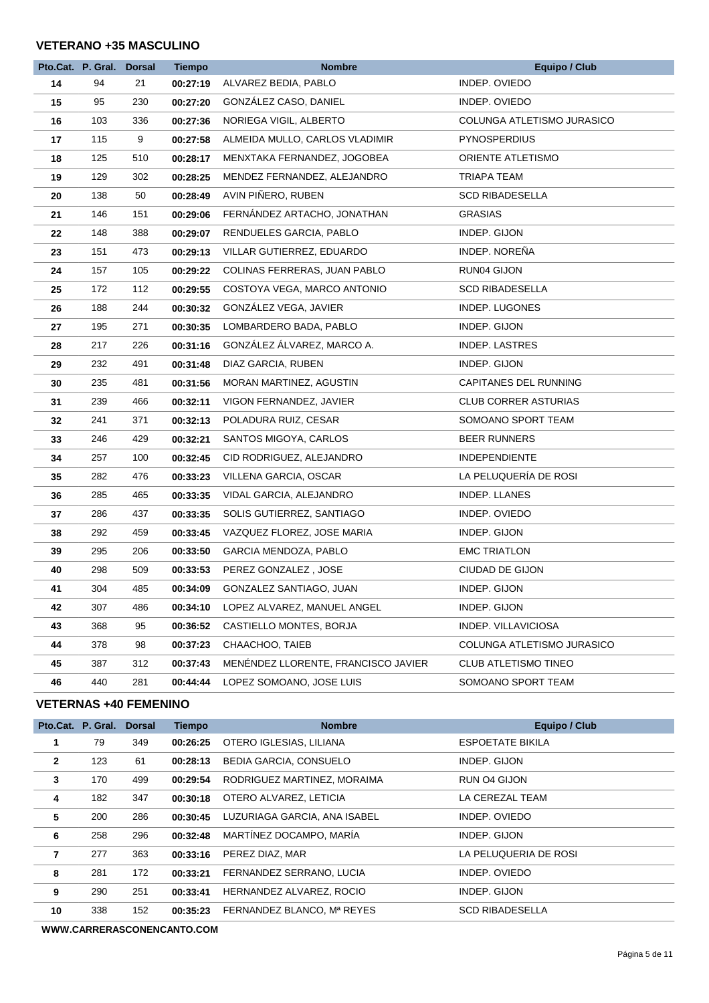#### **VETERANO +35 MASCULINO**

|    | Pto.Cat. P. Gral. Dorsal |     | <b>Tiempo</b> | <b>Nombre</b>                       | <b>Equipo / Club</b>        |
|----|--------------------------|-----|---------------|-------------------------------------|-----------------------------|
| 14 | 94                       | 21  | 00:27:19      | ALVAREZ BEDIA, PABLO                | INDEP. OVIEDO               |
| 15 | 95                       | 230 | 00:27:20      | GONZÁLEZ CASO, DANIEL               | INDEP. OVIEDO               |
| 16 | 103                      | 336 | 00:27:36      | NORIEGA VIGIL, ALBERTO              | COLUNGA ATLETISMO JURASICO  |
| 17 | 115                      | 9   | 00:27:58      | ALMEIDA MULLO, CARLOS VLADIMIR      | <b>PYNOSPERDIUS</b>         |
| 18 | 125                      | 510 | 00:28:17      | MENXTAKA FERNANDEZ, JOGOBEA         | ORIENTE ATLETISMO           |
| 19 | 129                      | 302 | 00:28:25      | MENDEZ FERNANDEZ, ALEJANDRO         | TRIAPA TEAM                 |
| 20 | 138                      | 50  | 00:28:49      | AVIN PIÑERO, RUBEN                  | <b>SCD RIBADESELLA</b>      |
| 21 | 146                      | 151 | 00:29:06      | FERNÁNDEZ ARTACHO, JONATHAN         | <b>GRASIAS</b>              |
| 22 | 148                      | 388 | 00:29:07      | RENDUELES GARCIA, PABLO             | INDEP. GIJON                |
| 23 | 151                      | 473 | 00:29:13      | VILLAR GUTIERREZ, EDUARDO           | INDEP. NOREÑA               |
| 24 | 157                      | 105 | 00:29:22      | COLINAS FERRERAS, JUAN PABLO        | RUN04 GIJON                 |
| 25 | 172                      | 112 | 00:29:55      | COSTOYA VEGA, MARCO ANTONIO         | SCD RIBADESELLA             |
| 26 | 188                      | 244 | 00:30:32      | GONZALEZ VEGA, JAVIER               | INDEP. LUGONES              |
| 27 | 195                      | 271 | 00:30:35      | LOMBARDERO BADA, PABLO              | INDEP. GIJON                |
| 28 | 217                      | 226 | 00:31:16      | GONZÁLEZ ÁLVAREZ, MARCO A.          | <b>INDEP. LASTRES</b>       |
| 29 | 232                      | 491 | 00:31:48      | DIAZ GARCIA, RUBEN                  | INDEP. GIJON                |
| 30 | 235                      | 481 | 00:31:56      | MORAN MARTINEZ, AGUSTIN             | CAPITANES DEL RUNNING       |
| 31 | 239                      | 466 | 00:32:11      | VIGON FERNANDEZ, JAVIER             | <b>CLUB CORRER ASTURIAS</b> |
| 32 | 241                      | 371 | 00:32:13      | POLADURA RUIZ, CESAR                | SOMOANO SPORT TEAM          |
| 33 | 246                      | 429 | 00:32:21      | SANTOS MIGOYA, CARLOS               | <b>BEER RUNNERS</b>         |
| 34 | 257                      | 100 | 00:32:45      | CID RODRIGUEZ, ALEJANDRO            | <b>INDEPENDIENTE</b>        |
| 35 | 282                      | 476 | 00:33:23      | VILLENA GARCIA, OSCAR               | LA PELUQUERÍA DE ROSI       |
| 36 | 285                      | 465 | 00:33:35      | VIDAL GARCIA, ALEJANDRO             | INDEP. LLANES               |
| 37 | 286                      | 437 | 00:33:35      | SOLIS GUTIERREZ, SANTIAGO           | INDEP. OVIEDO               |
| 38 | 292                      | 459 | 00:33:45      | VAZQUEZ FLOREZ, JOSE MARIA          | INDEP. GIJON                |
| 39 | 295                      | 206 | 00:33:50      | GARCIA MENDOZA, PABLO               | <b>EMC TRIATLON</b>         |
| 40 | 298                      | 509 | 00:33:53      | PEREZ GONZALEZ, JOSE                | CIUDAD DE GIJON             |
| 41 | 304                      | 485 | 00:34:09      | GONZALEZ SANTIAGO, JUAN             | INDEP. GIJON                |
| 42 | 307                      | 486 | 00:34:10      | LOPEZ ALVAREZ, MANUEL ANGEL         | INDEP. GIJON                |
| 43 | 368                      | 95  | 00:36:52      | CASTIELLO MONTES, BORJA             | INDEP. VILLAVICIOSA         |
| 44 | 378                      | 98  | 00:37:23      | CHAACHOO, TAIEB                     | COLUNGA ATLETISMO JURASICO  |
| 45 | 387                      | 312 | 00:37:43      | MENENDEZ LLORENTE, FRANCISCO JAVIER | <b>CLUB ATLETISMO TINEO</b> |
| 46 | 440                      | 281 | 00:44:44      | LOPEZ SOMOANO, JOSE LUIS            | SOMOANO SPORT TEAM          |

#### **VETERNAS +40 FEMENINO**

|              | Pto.Cat. P. Gral. | <b>Dorsal</b> | <b>Tiempo</b> | <b>Nombre</b>                 | <b>Equipo / Club</b>    |
|--------------|-------------------|---------------|---------------|-------------------------------|-------------------------|
|              | 79                | 349           | 00:26:25      | OTERO IGLESIAS, LILIANA       | <b>ESPOETATE BIKILA</b> |
| $\mathbf{2}$ | 123               | 61            | 00:28:13      | <b>BEDIA GARCIA, CONSUELO</b> | INDEP. GIJON            |
| 3            | 170               | 499           | 00:29:54      | RODRIGUEZ MARTINEZ, MORAIMA   | RUN 04 GIJON            |
| 4            | 182               | 347           | 00:30:18      | OTERO ALVAREZ, LETICIA        | LA CEREZAL TEAM         |
| 5            | 200               | 286           | 00:30:45      | LUZURIAGA GARCIA, ANA ISABEL  | INDEP. OVIEDO           |
| 6            | 258               | 296           | 00:32:48      | MARTÍNEZ DOCAMPO, MARÍA       | INDEP. GIJON            |
| 7            | 277               | 363           | 00:33:16      | PEREZ DIAZ, MAR               | LA PELUQUERIA DE ROSI   |
| 8            | 281               | 172           | 00:33:21      | FERNANDEZ SERRANO, LUCIA      | INDEP. OVIEDO           |
| 9            | 290               | 251           | 00:33:41      | HERNANDEZ ALVAREZ, ROCIO      | INDEP. GIJON            |
| 10           | 338               | 152           | 00:35:23      | FERNANDEZ BLANCO, Mª REYES    | <b>SCD RIBADESELLA</b>  |
|              |                   |               |               |                               |                         |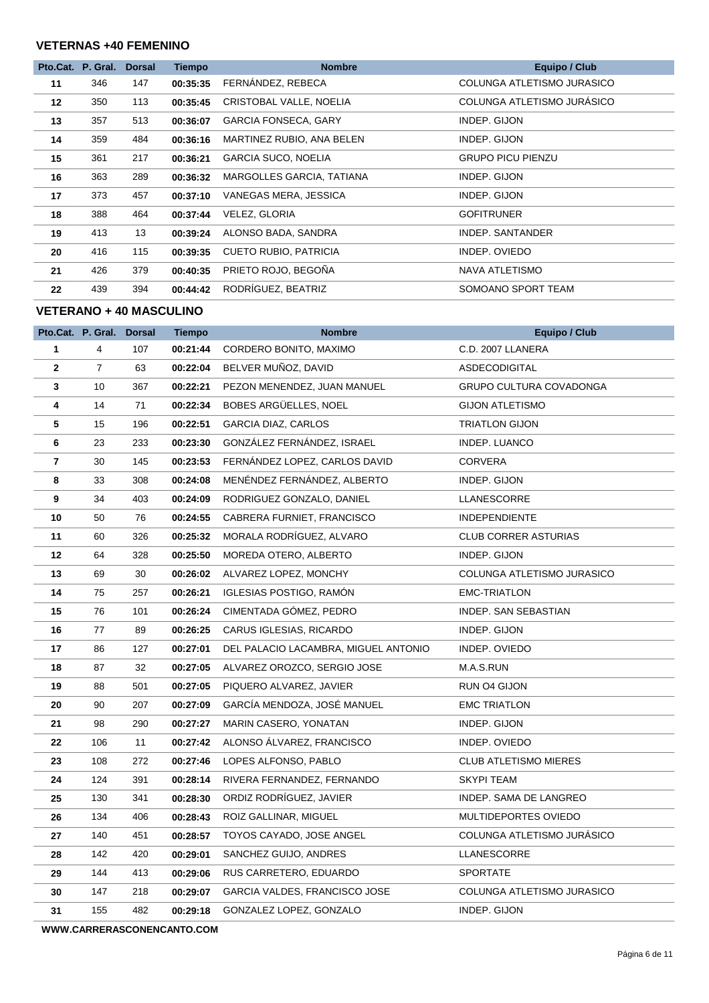#### **VETERNAS +40 FEMENINO**

|    | Pto.Cat. P. Gral. | <b>Dorsal</b> | <b>Tiempo</b> | <b>Nombre</b>                | <b>Equipo / Club</b>       |
|----|-------------------|---------------|---------------|------------------------------|----------------------------|
| 11 | 346               | 147           | 00:35:35      | FERNÁNDEZ, REBECA            | COLUNGA ATLETISMO JURASICO |
| 12 | 350               | 113           | 00:35:45      | CRISTOBAL VALLE, NOELIA      | COLUNGA ATLETISMO JURASICO |
| 13 | 357               | 513           | 00:36:07      | <b>GARCIA FONSECA, GARY</b>  | INDEP. GIJON               |
| 14 | 359               | 484           | 00:36:16      | MARTINEZ RUBIO, ANA BELEN    | INDEP. GIJON               |
| 15 | 361               | 217           | 00:36:21      | <b>GARCIA SUCO, NOELIA</b>   | <b>GRUPO PICU PIENZU</b>   |
| 16 | 363               | 289           | 00:36:32      | MARGOLLES GARCIA, TATIANA    | INDEP. GIJON               |
| 17 | 373               | 457           | 00:37:10      | VANEGAS MERA, JESSICA        | INDEP. GIJON               |
| 18 | 388               | 464           | 00:37:44      | VELEZ, GLORIA                | <b>GOFITRUNER</b>          |
| 19 | 413               | 13            | 00:39:24      | ALONSO BADA, SANDRA          | INDEP. SANTANDER           |
| 20 | 416               | 115           | 00:39:35      | <b>CUETO RUBIO, PATRICIA</b> | INDEP. OVIEDO              |
| 21 | 426               | 379           | 00:40:35      | PRIETO ROJO, BEGOÑA          | NAVA ATLETISMO             |
| 22 | 439               | 394           | 00:44:42      | RODRÍGUEZ, BEATRIZ           | SOMOANO SPORT TEAM         |

#### **VETERANO + 40 MASCULINO**

|              | Pto.Cat. P. Gral. Dorsal |     | <b>Tiempo</b> | <b>Nombre</b>                        | <b>Equipo / Club</b>           |
|--------------|--------------------------|-----|---------------|--------------------------------------|--------------------------------|
| 1            | 4                        | 107 | 00:21:44      | CORDERO BONITO, MAXIMO               | C.D. 2007 LLANERA              |
| $\mathbf{2}$ | $\overline{7}$           | 63  | 00:22:04      | BELVER MUÑOZ, DAVID                  | ASDECODIGITAL                  |
| 3            | 10                       | 367 | 00:22:21      | PEZON MENENDEZ, JUAN MANUEL          | <b>GRUPO CULTURA COVADONGA</b> |
| 4            | 14                       | 71  | 00:22:34      | BOBES ARGÜELLES, NOEL                | <b>GIJON ATLETISMO</b>         |
| 5            | 15                       | 196 | 00:22:51      | <b>GARCIA DIAZ, CARLOS</b>           | <b>TRIATLON GIJON</b>          |
| 6            | 23                       | 233 | 00:23:30      | GONZÁLEZ FERNÁNDEZ, ISRAEL           | INDEP. LUANCO                  |
| 7            | 30                       | 145 | 00:23:53      | FERNANDEZ LOPEZ, CARLOS DAVID        | CORVERA                        |
| 8            | 33                       | 308 | 00:24:08      | MENÉNDEZ FERNÁNDEZ, ALBERTO          | INDEP. GIJON                   |
| 9            | 34                       | 403 | 00:24:09      | RODRIGUEZ GONZALO, DANIEL            | LLANESCORRE                    |
| 10           | 50                       | 76  | 00:24:55      | CABRERA FURNIET, FRANCISCO           | <b>INDEPENDIENTE</b>           |
| 11           | 60                       | 326 | 00:25:32      | MORALA RODRÍGUEZ, ALVARO             | <b>CLUB CORRER ASTURIAS</b>    |
| $12 \,$      | 64                       | 328 | 00:25:50      | MOREDA OTERO, ALBERTO                | INDEP. GIJON                   |
| 13           | 69                       | 30  | 00:26:02      | ALVAREZ LOPEZ, MONCHY                | COLUNGA ATLETISMO JURASICO     |
| 14           | 75                       | 257 | 00:26:21      | <b>IGLESIAS POSTIGO, RAMÓN</b>       | <b>EMC-TRIATLON</b>            |
| 15           | 76                       | 101 | 00:26:24      | CIMENTADA GÓMEZ, PEDRO               | INDEP. SAN SEBASTIAN           |
| 16           | 77                       | 89  | 00:26:25      | CARUS IGLESIAS, RICARDO              | INDEP. GIJON                   |
| 17           | 86                       | 127 | 00:27:01      | DEL PALACIO LACAMBRA, MIGUEL ANTONIO | INDEP. OVIEDO                  |
| 18           | 87                       | 32  | 00:27:05      | ALVAREZ OROZCO, SERGIO JOSE          | M.A.S.RUN                      |
| 19           | 88                       | 501 | 00:27:05      | PIQUERO ALVAREZ, JAVIER              | RUN O4 GIJON                   |
| 20           | 90                       | 207 | 00:27:09      | GARCÍA MENDOZA, JOSÉ MANUEL          | <b>EMC TRIATLON</b>            |
| 21           | 98                       | 290 | 00:27:27      | MARIN CASERO, YONATAN                | INDEP. GIJON                   |
| 22           | 106                      | 11  | 00:27:42      | ALONSO ALVAREZ, FRANCISCO            | INDEP. OVIEDO                  |
| 23           | 108                      | 272 | 00:27:46      | LOPES ALFONSO, PABLO                 | <b>CLUB ATLETISMO MIERES</b>   |
| 24           | 124                      | 391 | 00:28:14      | RIVERA FERNANDEZ, FERNANDO           | <b>SKYPI TEAM</b>              |
| 25           | 130                      | 341 | 00:28:30      | ORDIZ RODRIGUEZ, JAVIER              | INDEP. SAMA DE LANGREO         |
| 26           | 134                      | 406 | 00:28:43      | ROIZ GALLINAR, MIGUEL                | MULTIDEPORTES OVIEDO           |
| 27           | 140                      | 451 | 00:28:57      | TOYOS CAYADO, JOSE ANGEL             | COLUNGA ATLETISMO JURÁSICO     |
| 28           | 142                      | 420 | 00:29:01      | SANCHEZ GUIJO, ANDRES                | LLANESCORRE                    |
| 29           | 144                      | 413 | 00:29:06      | RUS CARRETERO, EDUARDO               | <b>SPORTATE</b>                |
| 30           | 147                      | 218 | 00:29:07      | GARCIA VALDES, FRANCISCO JOSE        | COLUNGA ATLETISMO JURASICO     |
| 31           | 155                      | 482 | 00:29:18      | GONZALEZ LOPEZ, GONZALO              | INDEP. GIJON                   |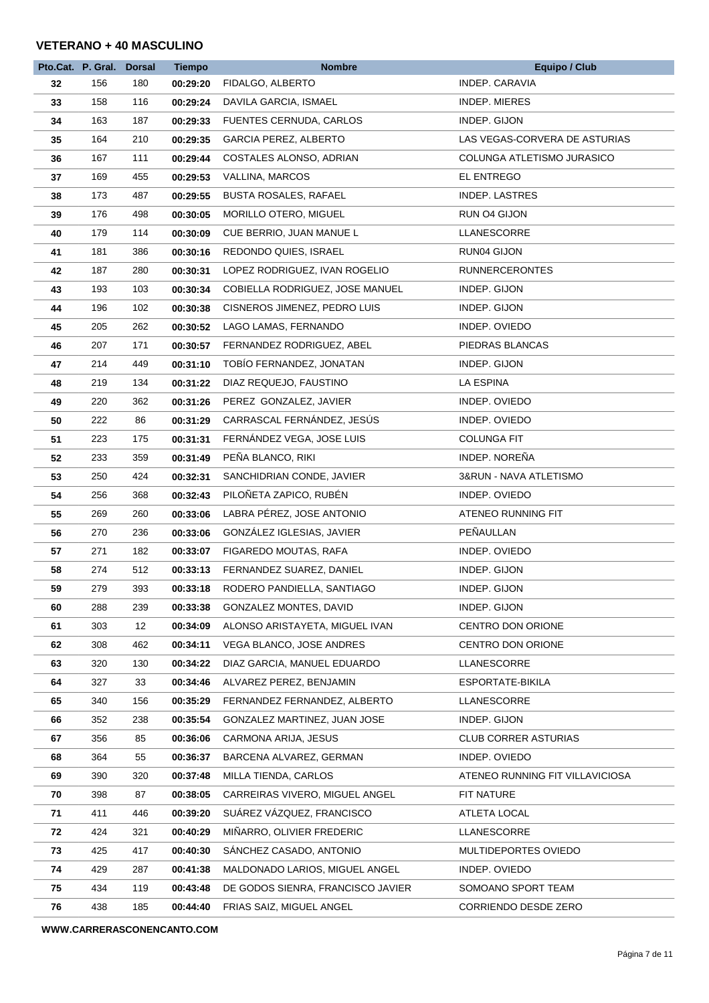#### **VETERANO + 40 MASCULINO**

|    | Pto.Cat. P. Gral. Dorsal |     | <b>Tiempo</b> | <b>Nombre</b>                     | <b>Equipo / Club</b>            |
|----|--------------------------|-----|---------------|-----------------------------------|---------------------------------|
| 32 | 156                      | 180 | 00:29:20      | FIDALGO, ALBERTO                  | <b>INDEP. CARAVIA</b>           |
| 33 | 158                      | 116 | 00:29:24      | DAVILA GARCIA, ISMAEL             | <b>INDEP. MIERES</b>            |
| 34 | 163                      | 187 | 00:29:33      | FUENTES CERNUDA, CARLOS           | INDEP. GIJON                    |
| 35 | 164                      | 210 | 00:29:35      | <b>GARCIA PEREZ, ALBERTO</b>      | LAS VEGAS-CORVERA DE ASTURIAS   |
| 36 | 167                      | 111 | 00:29:44      | COSTALES ALONSO, ADRIAN           | COLUNGA ATLETISMO JURASICO      |
| 37 | 169                      | 455 | 00:29:53      | VALLINA, MARCOS                   | EL ENTREGO                      |
| 38 | 173                      | 487 | 00:29:55      | <b>BUSTA ROSALES, RAFAEL</b>      | <b>INDEP. LASTRES</b>           |
| 39 | 176                      | 498 | 00:30:05      | MORILLO OTERO, MIGUEL             | RUN O4 GIJON                    |
| 40 | 179                      | 114 | 00:30:09      | CUE BERRIO, JUAN MANUE L          | LLANESCORRE                     |
| 41 | 181                      | 386 | 00:30:16      | REDONDO QUIES, ISRAEL             | RUN04 GIJON                     |
| 42 | 187                      | 280 | 00:30:31      | LOPEZ RODRIGUEZ, IVAN ROGELIO     | <b>RUNNERCERONTES</b>           |
| 43 | 193                      | 103 | 00:30:34      | COBIELLA RODRIGUEZ, JOSE MANUEL   | INDEP. GIJON                    |
| 44 | 196                      | 102 | 00:30:38      | CISNEROS JIMENEZ, PEDRO LUIS      | INDEP. GIJON                    |
| 45 | 205                      | 262 | 00:30:52      | LAGO LAMAS, FERNANDO              | INDEP. OVIEDO                   |
| 46 | 207                      | 171 | 00:30:57      | FERNANDEZ RODRIGUEZ, ABEL         | PIEDRAS BLANCAS                 |
| 47 | 214                      | 449 | 00:31:10      | TOBÍO FERNANDEZ, JONATAN          | INDEP. GIJON                    |
| 48 | 219                      | 134 | 00:31:22      | DIAZ REQUEJO, FAUSTINO            | LA ESPINA                       |
| 49 | 220                      | 362 | 00:31:26      | PEREZ GONZALEZ, JAVIER            | INDEP. OVIEDO                   |
| 50 | 222                      | 86  | 00:31:29      | CARRASCAL FERNÁNDEZ, JESÚS        | INDEP. OVIEDO                   |
| 51 | 223                      | 175 | 00:31:31      | FERNÁNDEZ VEGA, JOSE LUIS         | <b>COLUNGA FIT</b>              |
| 52 | 233                      | 359 | 00:31:49      | PEÑA BLANCO, RIKI                 | INDEP. NOREÑA                   |
| 53 | 250                      | 424 | 00:32:31      | SANCHIDRIAN CONDE, JAVIER         | 3&RUN - NAVA ATLETISMO          |
| 54 | 256                      | 368 | 00:32:43      | PILOÑETA ZAPICO, RUBÉN            | INDEP. OVIEDO                   |
| 55 | 269                      | 260 | 00:33:06      | LABRA PÉREZ, JOSE ANTONIO         | ATENEO RUNNING FIT              |
| 56 | 270                      | 236 | 00:33:06      | GONZÁLEZ IGLESIAS, JAVIER         | PEÑAULLAN                       |
| 57 | 271                      | 182 | 00:33:07      | FIGAREDO MOUTAS, RAFA             | INDEP. OVIEDO                   |
| 58 | 274                      | 512 | 00:33:13      | FERNANDEZ SUAREZ, DANIEL          | INDEP. GIJON                    |
| 59 | 279                      | 393 | 00:33:18      | RODERO PANDIELLA, SANTIAGO        | INDEP. GIJON                    |
| 60 | 288                      | 239 | 00:33:38      | GONZALEZ MONTES, DAVID            | INDEP. GIJON                    |
| 61 | 303                      | 12  | 00:34:09      | ALONSO ARISTAYETA, MIGUEL IVAN    | CENTRO DON ORIONE               |
| 62 | 308                      | 462 | 00:34:11      | <b>VEGA BLANCO, JOSE ANDRES</b>   | CENTRO DON ORIONE               |
| 63 | 320                      | 130 | 00:34:22      | DIAZ GARCIA, MANUEL EDUARDO       | LLANESCORRE                     |
| 64 | 327                      | 33  | 00:34:46      | ALVAREZ PEREZ, BENJAMIN           | ESPORTATE-BIKILA                |
| 65 | 340                      | 156 | 00:35:29      | FERNANDEZ FERNANDEZ, ALBERTO      | LLANESCORRE                     |
| 66 | 352                      | 238 | 00:35:54      | GONZALEZ MARTINEZ, JUAN JOSE      | INDEP. GIJON                    |
| 67 | 356                      | 85  | 00:36:06      | CARMONA ARIJA, JESUS              | CLUB CORRER ASTURIAS            |
| 68 | 364                      | 55  | 00:36:37      | BARCENA ALVAREZ, GERMAN           | INDEP. OVIEDO                   |
| 69 | 390                      | 320 | 00:37:48      | MILLA TIENDA, CARLOS              | ATENEO RUNNING FIT VILLAVICIOSA |
| 70 | 398                      | 87  | 00:38:05      | CARREIRAS VIVERO, MIGUEL ANGEL    | FIT NATURE                      |
| 71 | 411                      | 446 | 00:39:20      | SUÁREZ VÁZQUEZ, FRANCISCO         | ATLETA LOCAL                    |
| 72 | 424                      | 321 | 00:40:29      | MIÑARRO, OLIVIER FREDERIC         | LLANESCORRE                     |
| 73 | 425                      | 417 | 00:40:30      | SANCHEZ CASADO, ANTONIO           | MULTIDEPORTES OVIEDO            |
| 74 | 429                      | 287 | 00:41:38      | MALDONADO LARIOS, MIGUEL ANGEL    | INDEP. OVIEDO                   |
| 75 | 434                      | 119 | 00:43:48      | DE GODOS SIENRA, FRANCISCO JAVIER | SOMOANO SPORT TEAM              |
| 76 | 438                      | 185 | 00:44:40      | FRIAS SAIZ, MIGUEL ANGEL          | CORRIENDO DESDE ZERO            |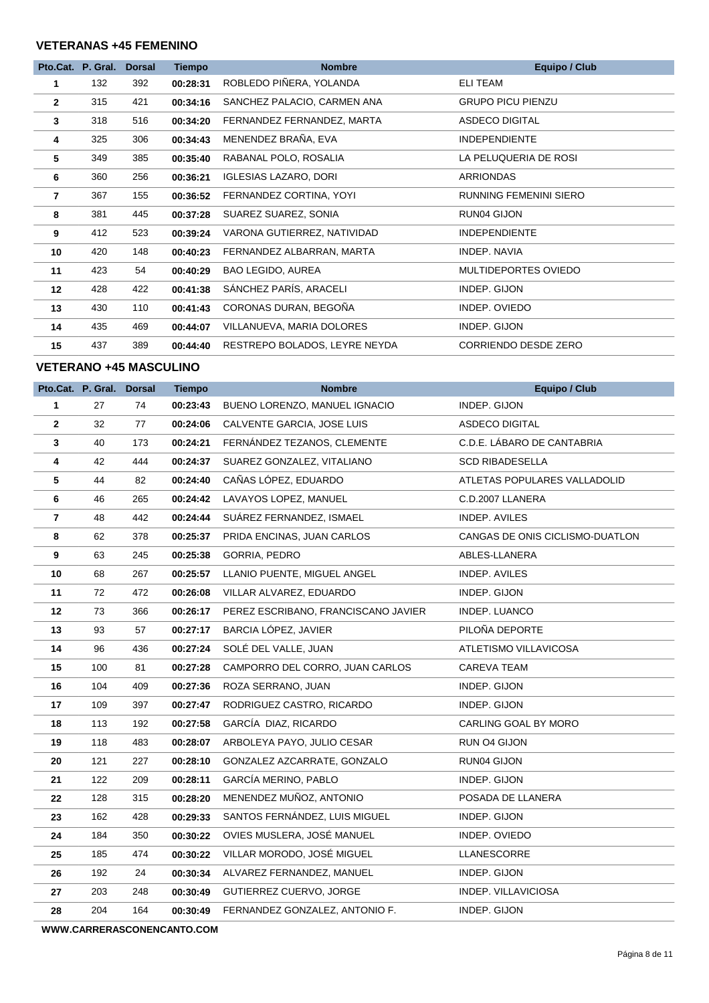#### **VETERANAS +45 FEMENINO**

|                | Pto.Cat. P. Gral. | <b>Dorsal</b> | <b>Tiempo</b> | <b>Nombre</b>                 | <b>Equipo / Club</b>          |
|----------------|-------------------|---------------|---------------|-------------------------------|-------------------------------|
| 1              | 132               | 392           | 00:28:31      | ROBLEDO PIÑERA, YOLANDA       | <b>ELI TEAM</b>               |
| $\overline{2}$ | 315               | 421           | 00:34:16      | SANCHEZ PALACIO, CARMEN ANA   | <b>GRUPO PICU PIENZU</b>      |
| $\mathbf{3}$   | 318               | 516           | 00:34:20      | FERNANDEZ FERNANDEZ, MARTA    | <b>ASDECO DIGITAL</b>         |
| 4              | 325               | 306           | 00:34:43      | MENENDEZ BRAÑA, EVA           | <b>INDEPENDIENTE</b>          |
| 5              | 349               | 385           | 00:35:40      | RABANAL POLO, ROSALIA         | LA PELUQUERIA DE ROSI         |
| 6              | 360               | 256           | 00:36:21      | <b>IGLESIAS LAZARO, DORI</b>  | <b>ARRIONDAS</b>              |
| $\overline{7}$ | 367               | 155           | 00:36:52      | FERNANDEZ CORTINA, YOYI       | <b>RUNNING FEMENINI SIERO</b> |
| 8              | 381               | 445           | 00:37:28      | SUAREZ SUAREZ, SONIA          | RUN04 GIJON                   |
| 9              | 412               | 523           | 00:39:24      | VARONA GUTIERREZ, NATIVIDAD   | <b>INDEPENDIENTE</b>          |
| 10             | 420               | 148           | 00:40:23      | FERNANDEZ ALBARRAN, MARTA     | INDEP, NAVIA                  |
| 11             | 423               | 54            | 00:40:29      | BAO LEGIDO, AUREA             | MULTIDEPORTES OVIEDO          |
| 12             | 428               | 422           | 00:41:38      | SÁNCHEZ PARÍS, ARACELI        | INDEP. GIJON                  |
| 13             | 430               | 110           | 00:41:43      | CORONAS DURAN, BEGOÑA         | INDEP. OVIEDO                 |
| 14             | 435               | 469           | 00:44:07      | VILLANUEVA, MARIA DOLORES     | INDEP. GIJON                  |
| 15             | 437               | 389           | 00:44:40      | RESTREPO BOLADOS, LEYRE NEYDA | CORRIENDO DESDE ZERO          |

#### **VETERANO +45 MASCULINO**

|              | Pto.Cat. P. Gral. Dorsal |     | <b>Tiempo</b> | <b>Nombre</b>                       | <b>Equipo / Club</b>            |
|--------------|--------------------------|-----|---------------|-------------------------------------|---------------------------------|
| 1            | 27                       | 74  | 00:23:43      | BUENO LORENZO, MANUEL IGNACIO       | INDEP. GIJON                    |
| $\mathbf{2}$ | 32                       | 77  | 00:24:06      | CALVENTE GARCIA, JOSE LUIS          | ASDECO DIGITAL                  |
| 3            | 40                       | 173 | 00:24:21      | FERNÁNDEZ TEZANOS, CLEMENTE         | C.D.E. LÁBARO DE CANTABRIA      |
| 4            | 42                       | 444 | 00:24:37      | SUAREZ GONZALEZ, VITALIANO          | <b>SCD RIBADESELLA</b>          |
| 5            | 44                       | 82  | 00:24:40      | CAÑAS LÓPEZ, EDUARDO                | ATLETAS POPULARES VALLADOLID    |
| 6            | 46                       | 265 | 00:24:42      | LAVAYOS LOPEZ, MANUEL               | C.D.2007 LLANERA                |
| 7            | 48                       | 442 | 00:24:44      | SUÁREZ FERNANDEZ, ISMAEL            | INDEP. AVILES                   |
| 8            | 62                       | 378 | 00:25:37      | PRIDA ENCINAS, JUAN CARLOS          | CANGAS DE ONIS CICLISMO-DUATLON |
| 9            | 63                       | 245 | 00:25:38      | GORRIA, PEDRO                       | ABLES-LLANERA                   |
| 10           | 68                       | 267 | 00:25:57      | LLANIO PUENTE, MIGUEL ANGEL         | INDEP. AVILES                   |
| 11           | 72                       | 472 | 00:26:08      | VILLAR ALVAREZ, EDUARDO             | INDEP. GIJON                    |
| 12           | 73                       | 366 | 00:26:17      | PEREZ ESCRIBANO, FRANCISCANO JAVIER | INDEP. LUANCO                   |
| 13           | 93                       | 57  | 00:27:17      | BARCIA LÓPEZ, JAVIER                | PILOÑA DEPORTE                  |
| 14           | 96                       | 436 | 00:27:24      | SOLÉ DEL VALLE, JUAN                | ATLETISMO VILLAVICOSA           |
| 15           | 100                      | 81  | 00:27:28      | CAMPORRO DEL CORRO, JUAN CARLOS     | CAREVA TEAM                     |
| 16           | 104                      | 409 | 00:27:36      | ROZA SERRANO, JUAN                  | INDEP. GIJON                    |
| 17           | 109                      | 397 | 00:27:47      | RODRIGUEZ CASTRO, RICARDO           | INDEP. GIJON                    |
| 18           | 113                      | 192 | 00:27:58      | GARCÍA DIAZ, RICARDO                | CARLING GOAL BY MORO            |
| 19           | 118                      | 483 | 00:28:07      | ARBOLEYA PAYO, JULIO CESAR          | RUN 04 GIJON                    |
| 20           | 121                      | 227 | 00:28:10      | GONZALEZ AZCARRATE, GONZALO         | RUN04 GIJON                     |
| 21           | 122                      | 209 | 00:28:11      | GARCÍA MERINO, PABLO                | INDEP. GIJON                    |
| 22           | 128                      | 315 | 00:28:20      | MENENDEZ MUÑOZ, ANTONIO             | POSADA DE LLANERA               |
| 23           | 162                      | 428 | 00:29:33      | SANTOS FERNÁNDEZ, LUIS MIGUEL       | INDEP. GIJON                    |
| 24           | 184                      | 350 | 00:30:22      | OVIES MUSLERA, JOSÉ MANUEL          | INDEP. OVIEDO                   |
| 25           | 185                      | 474 | 00:30:22      | VILLAR MORODO, JOSÉ MIGUEL          | LLANESCORRE                     |
| 26           | 192                      | 24  | 00:30:34      | ALVAREZ FERNANDEZ, MANUEL           | INDEP. GIJON                    |
| 27           | 203                      | 248 | 00:30:49      | GUTIERREZ CUERVO, JORGE             | INDEP. VILLAVICIOSA             |
| 28           | 204                      | 164 | 00:30:49      | FERNANDEZ GONZALEZ, ANTONIO F.      | INDEP. GIJON                    |
|              |                          |     |               |                                     |                                 |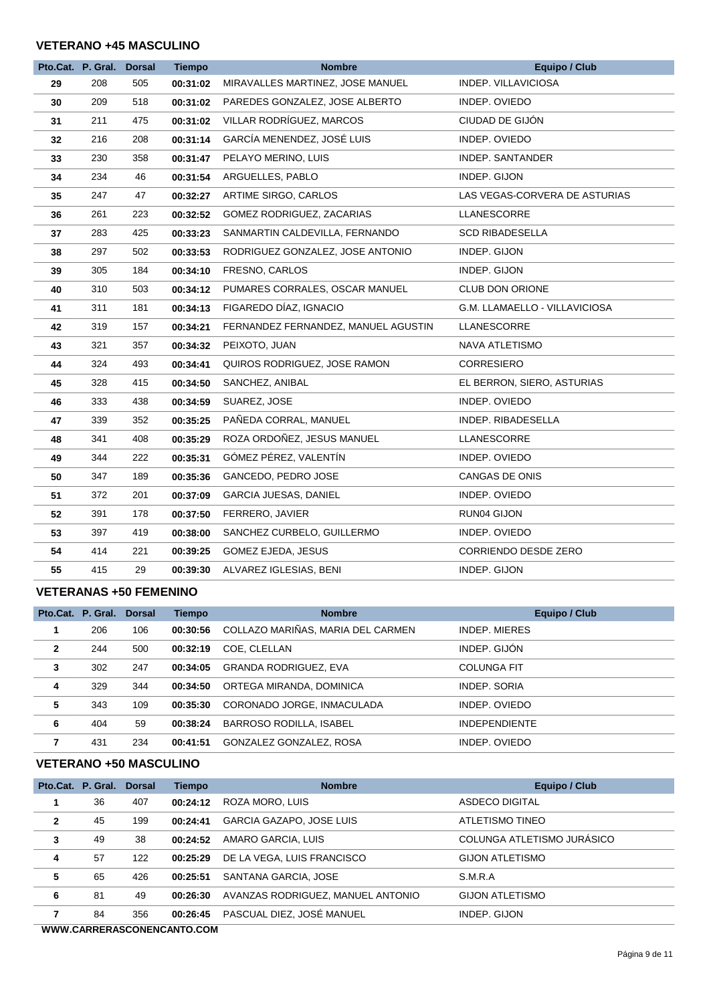#### **VETERANO +45 MASCULINO**

|    | Pto.Cat. P. Gral. | <b>Dorsal</b> | <b>Tiempo</b> | <b>Nombre</b>                       | <b>Equipo / Club</b>          |
|----|-------------------|---------------|---------------|-------------------------------------|-------------------------------|
| 29 | 208               | 505           | 00:31:02      | MIRAVALLES MARTINEZ, JOSE MANUEL    | INDEP. VILLAVICIOSA           |
| 30 | 209               | 518           | 00:31:02      | PAREDES GONZALEZ, JOSE ALBERTO      | INDEP. OVIEDO                 |
| 31 | 211               | 475           | 00:31:02      | VILLAR RODRÍGUEZ, MARCOS            | CIUDAD DE GIJÓN               |
| 32 | 216               | 208           | 00:31:14      | GARCÍA MENENDEZ, JOSÉ LUIS          | INDEP. OVIEDO                 |
| 33 | 230               | 358           | 00:31:47      | PELAYO MERINO, LUIS                 | <b>INDEP. SANTANDER</b>       |
| 34 | 234               | 46            | 00:31:54      | ARGUELLES, PABLO                    | INDEP. GIJON                  |
| 35 | 247               | 47            | 00:32:27      | ARTIME SIRGO, CARLOS                | LAS VEGAS-CORVERA DE ASTURIAS |
| 36 | 261               | 223           | 00:32:52      | GOMEZ RODRIGUEZ, ZACARIAS           | LLANESCORRE                   |
| 37 | 283               | 425           | 00:33:23      | SANMARTIN CALDEVILLA, FERNANDO      | <b>SCD RIBADESELLA</b>        |
| 38 | 297               | 502           | 00:33:53      | RODRIGUEZ GONZALEZ, JOSE ANTONIO    | INDEP. GIJON                  |
| 39 | 305               | 184           | 00:34:10      | FRESNO, CARLOS                      | INDEP. GIJON                  |
| 40 | 310               | 503           | 00:34:12      | PUMARES CORRALES, OSCAR MANUEL      | CLUB DON ORIONE               |
| 41 | 311               | 181           | 00:34:13      | FIGAREDO DÍAZ, IGNACIO              | G.M. LLAMAELLO - VILLAVICIOSA |
| 42 | 319               | 157           | 00:34:21      | FERNANDEZ FERNANDEZ, MANUEL AGUSTIN | LLANESCORRE                   |
| 43 | 321               | 357           | 00:34:32      | PEIXOTO, JUAN                       | NAVA ATLETISMO                |
| 44 | 324               | 493           | 00:34:41      | QUIROS RODRIGUEZ, JOSE RAMON        | <b>CORRESIERO</b>             |
| 45 | 328               | 415           | 00:34:50      | SANCHEZ, ANIBAL                     | EL BERRON, SIERO, ASTURIAS    |
| 46 | 333               | 438           | 00:34:59      | SUAREZ, JOSE                        | INDEP. OVIEDO                 |
| 47 | 339               | 352           | 00:35:25      | PAÑEDA CORRAL, MANUEL               | INDEP. RIBADESELLA            |
| 48 | 341               | 408           | 00:35:29      | ROZA ORDOÑEZ, JESUS MANUEL          | LLANESCORRE                   |
| 49 | 344               | 222           | 00:35:31      | GÓMEZ PÉREZ, VALENTÍN               | INDEP. OVIEDO                 |
| 50 | 347               | 189           | 00:35:36      | GANCEDO, PEDRO JOSE                 | CANGAS DE ONIS                |
| 51 | 372               | 201           | 00:37:09      | <b>GARCIA JUESAS, DANIEL</b>        | INDEP. OVIEDO                 |
| 52 | 391               | 178           | 00:37:50      | FERRERO, JAVIER                     | RUN04 GIJON                   |
| 53 | 397               | 419           | 00:38:00      | SANCHEZ CURBELO, GUILLERMO          | INDEP. OVIEDO                 |
| 54 | 414               | 221           | 00:39:25      | GOMEZ EJEDA, JESUS                  | CORRIENDO DESDE ZERO          |
| 55 | 415               | 29            | 00:39:30      | ALVAREZ IGLESIAS, BENI              | INDEP. GIJON                  |

#### **VETERANAS +50 FEMENINO**

|                | Pto.Cat. P. Gral. Dorsal |     | <b>Tiempo</b> | <b>Nombre</b>                     | <b>Equipo / Club</b> |
|----------------|--------------------------|-----|---------------|-----------------------------------|----------------------|
|                | 206                      | 106 | 00:30:56      | COLLAZO MARIÑAS, MARIA DEL CARMEN | INDEP, MIERES        |
| $\overline{2}$ | 244                      | 500 | 00:32:19      | COE. CLELLAN                      | INDEP. GIJÓN         |
| 3              | 302                      | 247 | 00:34:05      | <b>GRANDA RODRIGUEZ, EVA</b>      | <b>COLUNGA FIT</b>   |
| 4              | 329                      | 344 | 00:34:50      | ORTEGA MIRANDA, DOMINICA          | INDEP, SORIA         |
| 5              | 343                      | 109 | 00:35:30      | CORONADO JORGE, INMACULADA        | INDEP. OVIEDO        |
| 6              | 404                      | 59  | 00:38:24      | <b>BARROSO RODILLA, ISABEL</b>    | <b>INDEPENDIENTE</b> |
|                | 431                      | 234 | 00:41:51      | GONZALEZ GONZALEZ, ROSA           | INDEP. OVIEDO        |

#### **VETERANO +50 MASCULINO**

|                | Pto.Cat. P. Gral. Dorsal |     | <b>Tiempo</b> | <b>Nombre</b>                     | Equipo / Club              |
|----------------|--------------------------|-----|---------------|-----------------------------------|----------------------------|
| 1              | 36                       | 407 | 00:24:12      | ROZA MORO, LUIS                   | ASDECO DIGITAL             |
| $\overline{2}$ | 45                       | 199 | 00:24:41      | GARCIA GAZAPO, JOSE LUIS          | ATLETISMO TINEO            |
| $\mathbf{3}$   | 49                       | 38  | 00:24:52      | AMARO GARCIA, LUIS                | COLUNGA ATLETISMO JURÁSICO |
| 4              | 57                       | 122 | 00:25:29      | DE LA VEGA, LUIS FRANCISCO        | <b>GIJON ATLETISMO</b>     |
| 5              | 65                       | 426 | 00:25:51      | SANTANA GARCIA, JOSE              | S.M.R.A                    |
| 6              | 81                       | 49  | 00:26:30      | AVANZAS RODRIGUEZ, MANUEL ANTONIO | <b>GIJON ATLETISMO</b>     |
| 7              | 84                       | 356 | 00:26:45      | PASCUAL DIEZ, JOSÉ MANUEL         | INDEP. GIJON               |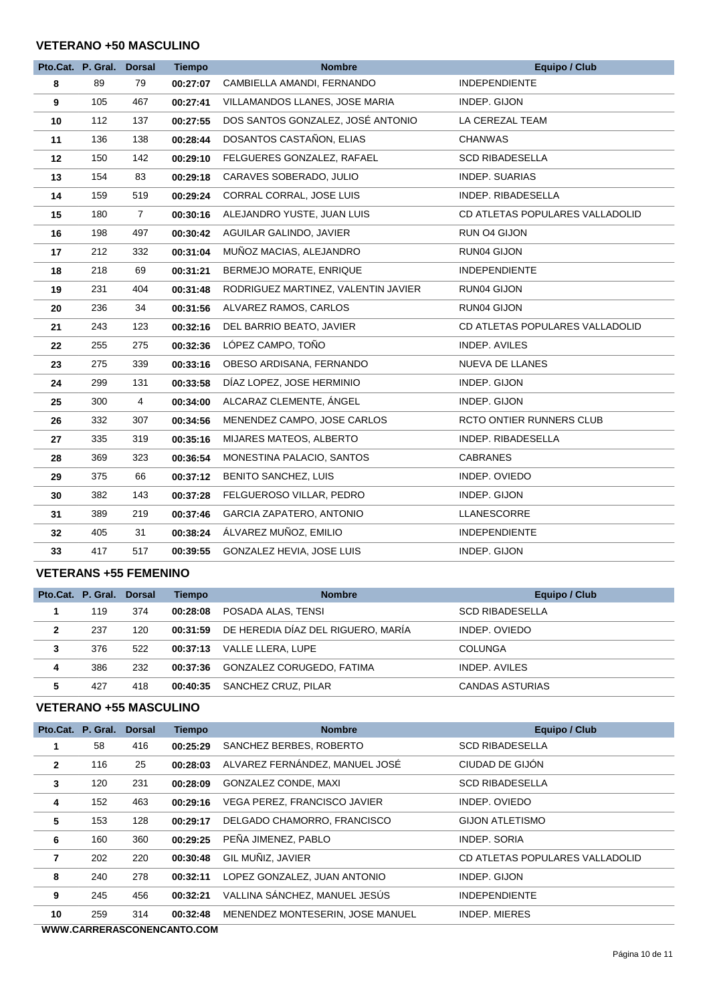#### **VETERANO +50 MASCULINO**

|    | Pto.Cat. P. Gral. Dorsal |                | <b>Tiempo</b> | <b>Nombre</b>                       | <b>Equipo / Club</b>            |
|----|--------------------------|----------------|---------------|-------------------------------------|---------------------------------|
| 8  | 89                       | 79             | 00:27:07      | CAMBIELLA AMANDI, FERNANDO          | <b>INDEPENDIENTE</b>            |
| 9  | 105                      | 467            | 00:27:41      | VILLAMANDOS LLANES, JOSE MARIA      | INDEP. GIJON                    |
| 10 | 112                      | 137            | 00:27:55      | DOS SANTOS GONZALEZ, JOSÉ ANTONIO   | LA CEREZAL TEAM                 |
| 11 | 136                      | 138            | 00:28:44      | DOSANTOS CASTAÑON, ELIAS            | <b>CHANWAS</b>                  |
| 12 | 150                      | 142            | 00:29:10      | FELGUERES GONZALEZ, RAFAEL          | <b>SCD RIBADESELLA</b>          |
| 13 | 154                      | 83             | 00:29:18      | CARAVES SOBERADO, JULIO             | <b>INDEP. SUARIAS</b>           |
| 14 | 159                      | 519            | 00:29:24      | CORRAL CORRAL, JOSE LUIS            | INDEP. RIBADESELLA              |
| 15 | 180                      | $\overline{7}$ | 00:30:16      | ALEJANDRO YUSTE, JUAN LUIS          | CD ATLETAS POPULARES VALLADOLID |
| 16 | 198                      | 497            | 00:30:42      | AGUILAR GALINDO, JAVIER             | RUN O4 GIJON                    |
| 17 | 212                      | 332            | 00:31:04      | MUÑOZ MACIAS, ALEJANDRO             | RUN04 GIJON                     |
| 18 | 218                      | 69             | 00:31:21      | BERMEJO MORATE, ENRIQUE             | <b>INDEPENDIENTE</b>            |
| 19 | 231                      | 404            | 00:31:48      | RODRIGUEZ MARTINEZ, VALENTIN JAVIER | RUN04 GIJON                     |
| 20 | 236                      | 34             | 00:31:56      | ALVAREZ RAMOS, CARLOS               | RUN04 GIJON                     |
| 21 | 243                      | 123            | 00:32:16      | DEL BARRIO BEATO, JAVIER            | CD ATLETAS POPULARES VALLADOLID |
| 22 | 255                      | 275            | 00:32:36      | LÓPEZ CAMPO, TOÑO                   | INDEP. AVILES                   |
| 23 | 275                      | 339            | 00:33:16      | OBESO ARDISANA, FERNANDO            | NUEVA DE LLANES                 |
| 24 | 299                      | 131            | 00:33:58      | DÍAZ LOPEZ, JOSE HERMINIO           | INDEP. GIJON                    |
| 25 | 300                      | $\overline{4}$ | 00:34:00      | ALCARAZ CLEMENTE, ÁNGEL             | INDEP. GIJON                    |
| 26 | 332                      | 307            | 00:34:56      | MENENDEZ CAMPO, JOSE CARLOS         | RCTO ONTIER RUNNERS CLUB        |
| 27 | 335                      | 319            | 00:35:16      | MIJARES MATEOS, ALBERTO             | INDEP. RIBADESELLA              |
| 28 | 369                      | 323            | 00:36:54      | MONESTINA PALACIO, SANTOS           | <b>CABRANES</b>                 |
| 29 | 375                      | 66             | 00:37:12      | <b>BENITO SANCHEZ, LUIS</b>         | INDEP. OVIEDO                   |
| 30 | 382                      | 143            | 00:37:28      | FELGUEROSO VILLAR, PEDRO            | INDEP. GIJON                    |
| 31 | 389                      | 219            | 00:37:46      | <b>GARCIA ZAPATERO, ANTONIO</b>     | LLANESCORRE                     |
| 32 | 405                      | 31             | 00:38:24      | ÁLVAREZ MUÑOZ, EMILIO               | <b>INDEPENDIENTE</b>            |
| 33 | 417                      | 517            | 00:39:55      | GONZALEZ HEVIA, JOSE LUIS           | INDEP. GIJON                    |

#### **VETERANS +55 FEMENINO**

|              | Pto.Cat. P. Gral. Dorsal |     | Tiempo   | <b>Nombre</b>                      | Equipo / Club          |
|--------------|--------------------------|-----|----------|------------------------------------|------------------------|
|              | 119                      | 374 | 00:28:08 | POSADA ALAS, TENSI                 | <b>SCD RIBADESELLA</b> |
| $\mathbf{2}$ | 237                      | 120 | 00:31:59 | DE HEREDIA DÍAZ DEL RIGUERO, MARÍA | INDEP, OVIEDO          |
| 3            | 376                      | 522 | 00:37:13 | VALLE LLERA, LUPE                  | <b>COLUNGA</b>         |
| 4            | 386                      | 232 | 00:37:36 | GONZALEZ CORUGEDO, FATIMA          | INDEP, AVILES          |
| 5            | 427                      | 418 | 00:40:35 | SANCHEZ CRUZ, PILAR                | <b>CANDAS ASTURIAS</b> |

#### **VETERANO +55 MASCULINO**

|              | Pto.Cat. P. Gral. | <b>Dorsal</b> | <b>Tiempo</b> | <b>Nombre</b>                    | <b>Equipo / Club</b>            |  |
|--------------|-------------------|---------------|---------------|----------------------------------|---------------------------------|--|
|              | 58                | 416           | 00:25:29      | SANCHEZ BERBES, ROBERTO          | <b>SCD RIBADESELLA</b>          |  |
| $\mathbf{2}$ | 116               | 25            | 00:28:03      | ALVAREZ FERNÁNDEZ, MANUEL JOSÉ   | CIUDAD DE GIJÓN                 |  |
| 3            | 120               | 231           | 00:28:09      | GONZALEZ CONDE, MAXI             | <b>SCD RIBADESELLA</b>          |  |
| 4            | 152               | 463           | 00:29:16      | VEGA PEREZ, FRANCISCO JAVIER     | INDEP. OVIEDO                   |  |
| 5            | 153               | 128           | 00:29:17      | DELGADO CHAMORRO, FRANCISCO      | <b>GIJON ATLETISMO</b>          |  |
| 6            | 160               | 360           | 00:29:25      | PEÑA JIMENEZ, PABLO              | INDEP. SORIA                    |  |
| 7            | 202               | 220           | 00:30:48      | GIL MUÑIZ, JAVIER                | CD ATLETAS POPULARES VALLADOLID |  |
| 8            | 240               | 278           | 00:32:11      | LOPEZ GONZALEZ, JUAN ANTONIO     | INDEP. GIJON                    |  |
| 9            | 245               | 456           | 00:32:21      | VALLINA SÁNCHEZ, MANUEL JESÚS    | <b>INDEPENDIENTE</b>            |  |
| 10           | 259               | 314           | 00:32:48      | MENENDEZ MONTESERIN, JOSE MANUEL | INDEP. MIERES                   |  |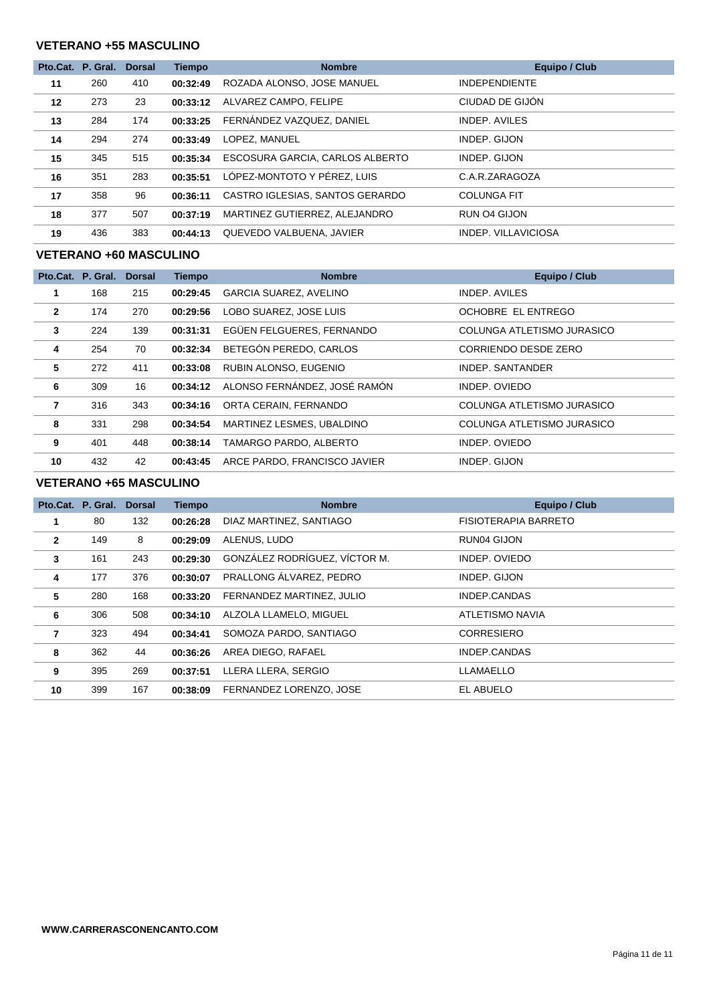#### **VETERANO +55 MASCULINO**

|    | Pto.Cat. P. Gral. | <b>Dorsal</b> | <b>Tiempo</b> | <b>Nombre</b>                   | Equipo / Club        |
|----|-------------------|---------------|---------------|---------------------------------|----------------------|
| 11 | 260               | 410           | 00:32:49      | ROZADA ALONSO, JOSE MANUEL      | <b>INDEPENDIENTE</b> |
| 12 | 273               | 23            | 00:33:12      | ALVAREZ CAMPO, FELIPE           | CIUDAD DE GIJÓN      |
| 13 | 284               | 174           | 00:33:25      | FERNÁNDEZ VAZQUEZ, DANIEL       | <b>INDEP. AVILES</b> |
| 14 | 294               | 274           | 00:33:49      | LOPEZ. MANUEL                   | INDEP. GIJON         |
| 15 | 345               | 515           | 00:35:34      | ESCOSURA GARCIA, CARLOS ALBERTO | INDEP. GIJON         |
| 16 | 351               | 283           | 00:35:51      | LÓPEZ-MONTOTO Y PÉREZ, LUIS     | C.A.R.ZARAGOZA       |
| 17 | 358               | 96            | 00:36:11      | CASTRO IGLESIAS, SANTOS GERARDO | <b>COLUNGA FIT</b>   |
| 18 | 377               | 507           | 00:37:19      | MARTINEZ GUTIERREZ, ALEJANDRO   | RUN O4 GIJON         |
| 19 | 436               | 383           | 00:44:13      | QUEVEDO VALBUENA, JAVIER        | INDEP. VILLAVICIOSA  |

#### **VETERANO +60 MASCULINO**

|                | Pto.Cat. P. Gral. | <b>Dorsal</b> | <b>Tiempo</b> | <b>Nombre</b>                | <b>Equipo / Club</b>       |
|----------------|-------------------|---------------|---------------|------------------------------|----------------------------|
| 1              | 168               | 215           | 00:29:45      | GARCIA SUAREZ, AVELINO       | INDEP. AVILES              |
| $\overline{2}$ | 174               | 270           | 00:29:56      | LOBO SUAREZ, JOSE LUIS       | OCHOBRE EL ENTREGO         |
| 3              | 224               | 139           | 00:31:31      | EGÜEN FELGUERES, FERNANDO    | COLUNGA ATLETISMO JURASICO |
| 4              | 254               | 70            | 00:32:34      | BETEGÓN PEREDO, CARLOS       | CORRIENDO DESDE ZERO       |
| 5              | 272               | 411           | 00:33:08      | RUBIN ALONSO, EUGENIO        | INDEP. SANTANDER           |
| 6              | 309               | 16            | 00:34:12      | ALONSO FERNÁNDEZ, JOSÉ RAMÓN | INDEP. OVIEDO              |
| 7              | 316               | 343           | 00:34:16      | ORTA CERAIN, FERNANDO        | COLUNGA ATLETISMO JURASICO |
| 8              | 331               | 298           | 00:34:54      | MARTINEZ LESMES, UBALDINO    | COLUNGA ATLETISMO JURASICO |
| 9              | 401               | 448           | 00:38:14      | TAMARGO PARDO, ALBERTO       | INDEP. OVIEDO              |
| 10             | 432               | 42            | 00:43:45      | ARCE PARDO, FRANCISCO JAVIER | INDEP. GIJON               |

#### **VETERANO +65 MASCULINO**

|              | Pto.Cat. P. Gral. | <b>Dorsal</b> | <b>Tiempo</b> | <b>Nombre</b>                 | Equipo / Club        |
|--------------|-------------------|---------------|---------------|-------------------------------|----------------------|
|              | 80                | 132           | 00:26:28      | DIAZ MARTINEZ, SANTIAGO       | FISIOTERAPIA BARRETO |
| $\mathbf{2}$ | 149               | 8             | 00:29:09      | ALENUS, LUDO                  | RUN04 GIJON          |
| 3            | 161               | 243           | 00:29:30      | GONZÁLEZ RODRÍGUEZ, VÍCTOR M. | INDEP, OVIEDO        |
| 4            | 177               | 376           | 00:30:07      | PRALLONG ÁLVAREZ, PEDRO       | INDEP. GIJON         |
| 5            | 280               | 168           | 00:33:20      | FERNANDEZ MARTINEZ, JULIO     | INDEP.CANDAS         |
| 6            | 306               | 508           | 00:34:10      | ALZOLA LLAMELO, MIGUEL        | ATLETISMO NAVIA      |
| 7            | 323               | 494           | 00:34:41      | SOMOZA PARDO, SANTIAGO        | <b>CORRESIERO</b>    |
| 8            | 362               | 44            | 00:36:26      | AREA DIEGO, RAFAEL            | INDEP.CANDAS         |
| 9            | 395               | 269           | 00:37:51      | LLERA LLERA, SERGIO           | LLAMAELLO            |
| 10           | 399               | 167           | 00:38:09      | FERNANDEZ LORENZO, JOSE       | EL ABUELO            |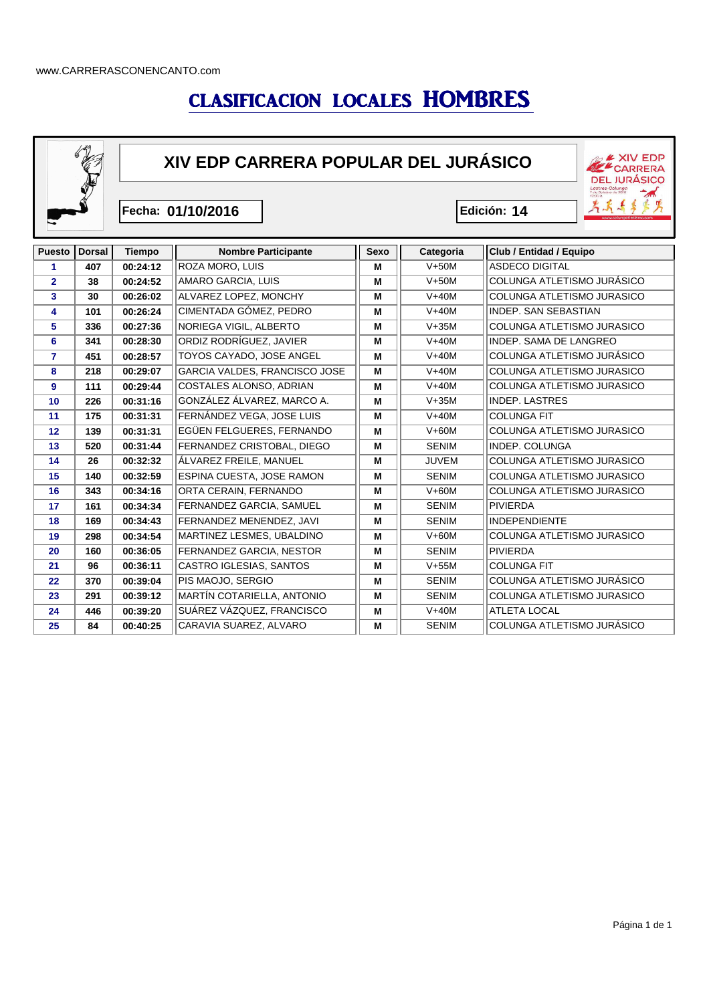## CLASIFICACION LOCALES HOMBRES



**XIV EDP CARRERA POPULAR DEL JURÁSICO**

**Fecha: 01/10/2016 Edición:**

Edición: 14

EXIV EDP **DEL JURÁSICO** Lastres-Colungo<br>Lastres-Colungo<br>12:00 h.

第五年多先

 $\rightarrow$ 

| <b>Puesto</b>  | <b>Dorsal</b> | <b>Tiempo</b> | <b>Nombre Participante</b>      | Sexo | Categoria    | Club / Entidad / Equipo       |
|----------------|---------------|---------------|---------------------------------|------|--------------|-------------------------------|
| 1              | 407           | 00:24:12      | ROZA MORO, LUIS                 | м    | $V+50M$      | <b>ASDECO DIGITAL</b>         |
| $\overline{2}$ | 38            | 00:24:52      | AMARO GARCIA, LUIS              | м    | $V+50M$      | COLUNGA ATLETISMO JURÁSICO    |
| 3              | 30            | 00:26:02      | ALVAREZ LOPEZ, MONCHY           | M    | $V+40M$      | COLUNGA ATLETISMO JURASICO    |
| 4              | 101           | 00:26:24      | CIMENTADA GÓMEZ, PEDRO          | M    | $V+40M$      | <b>INDEP. SAN SEBASTIAN</b>   |
| 5              | 336           | 00:27:36      | NORIEGA VIGIL, ALBERTO          | M    | $V+35M$      | COLUNGA ATLETISMO JURASICO    |
| 6              | 341           | 00:28:30      | ORDIZ RODRÍGUEZ, JAVIER         | M    | $V+40M$      | <b>INDEP. SAMA DE LANGREO</b> |
| $\overline{7}$ | 451           | 00:28:57      | TOYOS CAYADO, JOSE ANGEL        | M    | $V+40M$      | COLUNGA ATLETISMO JURÁSICO    |
| 8              | 218           | 00:29:07      | GARCIA VALDES, FRANCISCO JOSE   | M    | $V+40M$      | COLUNGA ATLETISMO JURASICO    |
| 9              | 111           | 00:29:44      | COSTALES ALONSO, ADRIAN         | M    | $V+40M$      | COLUNGA ATLETISMO JURASICO    |
| 10             | 226           | 00:31:16      | GONZÁLEZ ÁLVAREZ, MARCO A.      | M    | $V+35M$      | <b>INDEP. LASTRES</b>         |
| 11             | 175           | 00:31:31      | FERNÁNDEZ VEGA, JOSE LUIS       | M    | $V+40M$      | <b>COLUNGA FIT</b>            |
| 12             | 139           | 00:31:31      | EGÜEN FELGUERES, FERNANDO       | M    | $V+60M$      | COLUNGA ATLETISMO JURASICO    |
| 13             | 520           | 00:31:44      | FERNANDEZ CRISTOBAL, DIEGO      | M    | <b>SENIM</b> | <b>INDEP. COLUNGA</b>         |
| 14             | 26            | 00:32:32      | ÁLVAREZ FREILE. MANUEL          | M    | <b>JUVEM</b> | COLUNGA ATLETISMO JURASICO    |
| 15             | 140           | 00:32:59      | ESPINA CUESTA, JOSE RAMON       | М    | <b>SENIM</b> | COLUNGA ATLETISMO JURASICO    |
| 16             | 343           | 00:34:16      | ORTA CERAIN, FERNANDO           | M    | $V+60M$      | COLUNGA ATLETISMO JURASICO    |
| 17             | 161           | 00:34:34      | FERNANDEZ GARCIA, SAMUEL        | M    | <b>SENIM</b> | <b>PIVIERDA</b>               |
| 18             | 169           | 00:34:43      | FERNANDEZ MENENDEZ, JAVI        | M    | <b>SENIM</b> | <b>INDEPENDIENTE</b>          |
| 19             | 298           | 00:34:54      | MARTINEZ LESMES, UBALDINO       | М    | $V+60M$      | COLUNGA ATLETISMO JURASICO    |
| 20             | 160           | 00:36:05      | <b>FERNANDEZ GARCIA, NESTOR</b> | М    | <b>SENIM</b> | <b>PIVIERDA</b>               |
| 21             | 96            | 00:36:11      | CASTRO IGLESIAS, SANTOS         | M    | $V+55M$      | <b>COLUNGA FIT</b>            |
| 22             | 370           | 00:39:04      | PIS MAOJO, SERGIO               | M    | <b>SENIM</b> | COLUNGA ATLETISMO JURÁSICO    |
| 23             | 291           | 00:39:12      | MARTÍN COTARIELLA, ANTONIO      | M    | <b>SENIM</b> | COLUNGA ATLETISMO JURASICO    |
| 24             | 446           | 00:39:20      | SUÁREZ VÁZQUEZ, FRANCISCO       | M    | $V+40M$      | <b>ATLETA LOCAL</b>           |
| 25             | 84            | 00:40:25      | CARAVIA SUAREZ, ALVARO          | М    | <b>SENIM</b> | COLUNGA ATLETISMO JURÁSICO    |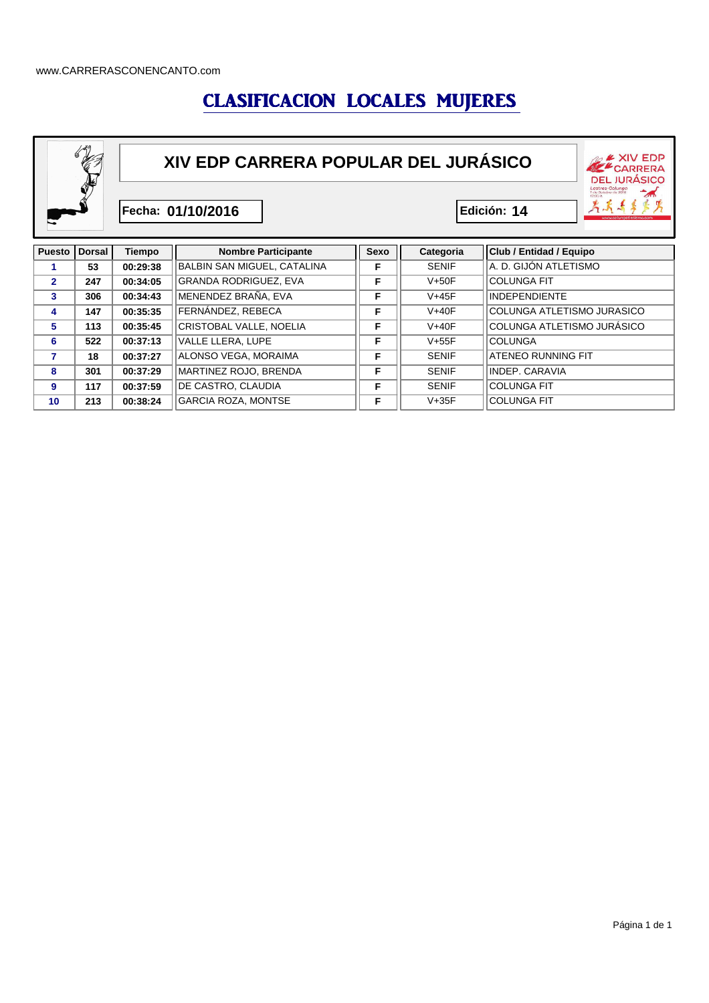### CLASIFICACION LOCALES MUJERES



|    | 247 | 00.34.05 | GRANDA RODRIGUEZ, EVA      |   | $V+50F$      | ICOLUNGA FIT                      |
|----|-----|----------|----------------------------|---|--------------|-----------------------------------|
| 3  | 306 | 00:34:43 | MENENDEZ BRAÑA. EVA        | Е | $V+45F$      | INDEPENDIENTE                     |
| 4  | 147 | 00:35:35 | FERNÁNDEZ. REBECA          | Е | $V+40F$      | <b>COLUNGA ATLETISMO JURASICO</b> |
| 5  | 113 | 00:35:45 | CRISTOBAL VALLE. NOELIA    | Е | $V+40F$      | COLUNGA ATLETISMO JURASICO        |
| 6  | 522 | 00:37:13 | VALLE LLERA. LUPE          | Е | $V+55F$      | <b>COLUNGA</b>                    |
| 7  | 18  | 00:37:27 | ALONSO VEGA, MORAIMA       | Е | <b>SENIF</b> | <b>ATENEO RUNNING FIT</b>         |
| 8  | 301 | 00:37:29 | MARTINEZ ROJO, BRENDA      | Е | <b>SENIF</b> | INDEP. CARAVIA                    |
| 9  | 117 | 00:37:59 | DE CASTRO, CLAUDIA         | Е | <b>SENIF</b> | <b>COLUNGA FIT</b>                |
| 10 | 213 | 00:38:24 | <b>GARCIA ROZA, MONTSE</b> | Е | $V+35F$      | <b>COLUNGA FIT</b>                |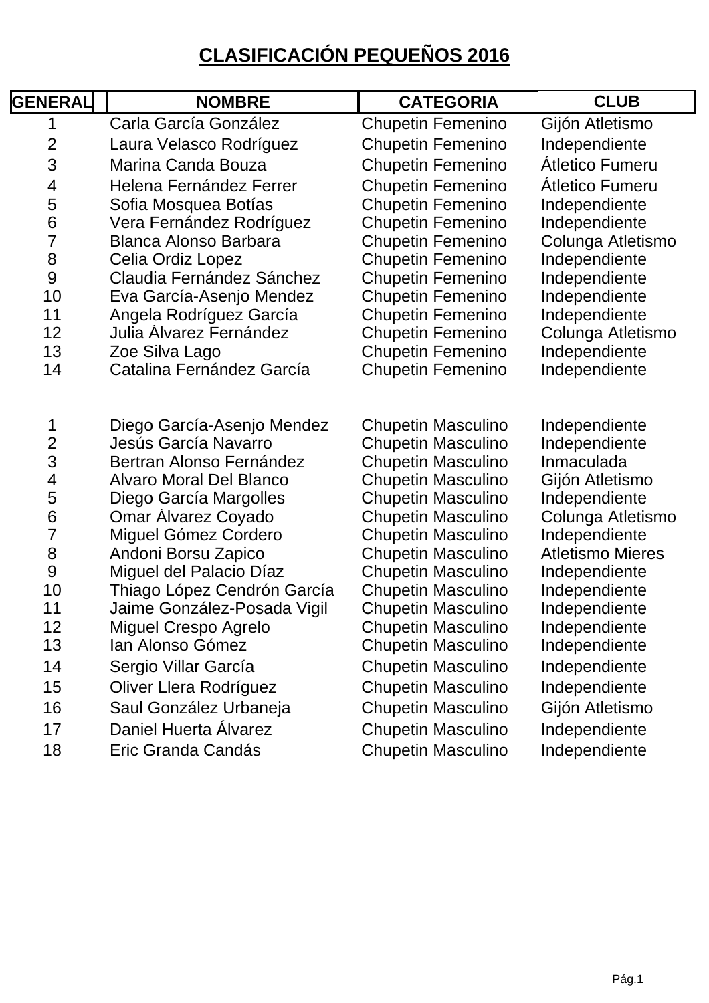## **CLASIFICACIÓN PEQUEÑOS 2016**

| <b>GENERAL</b>                                            | <b>NOMBRE</b>                                                                                                                              | <b>CATEGORIA</b>                                                                                                                              | <b>CLUB</b>                                                                      |
|-----------------------------------------------------------|--------------------------------------------------------------------------------------------------------------------------------------------|-----------------------------------------------------------------------------------------------------------------------------------------------|----------------------------------------------------------------------------------|
| 1                                                         | Carla García González                                                                                                                      | <b>Chupetin Femenino</b>                                                                                                                      | Gijón Atletismo                                                                  |
| $\overline{2}$                                            | Laura Velasco Rodríguez                                                                                                                    | <b>Chupetin Femenino</b>                                                                                                                      | Independiente                                                                    |
| 3                                                         | Marina Canda Bouza                                                                                                                         | <b>Chupetin Femenino</b>                                                                                                                      | Átletico Fumeru                                                                  |
| $\overline{4}$                                            | Helena Fernández Ferrer                                                                                                                    | <b>Chupetin Femenino</b>                                                                                                                      | <b>Atletico Fumeru</b>                                                           |
| 5                                                         | Sofia Mosquea Botías                                                                                                                       | <b>Chupetin Femenino</b>                                                                                                                      | Independiente                                                                    |
| 6                                                         | Vera Fernández Rodríguez                                                                                                                   | <b>Chupetin Femenino</b>                                                                                                                      | Independiente                                                                    |
| $\overline{7}$                                            | <b>Blanca Alonso Barbara</b>                                                                                                               | <b>Chupetin Femenino</b>                                                                                                                      | Colunga Atletismo                                                                |
| 8                                                         | Celia Ordiz Lopez                                                                                                                          | <b>Chupetin Femenino</b>                                                                                                                      | Independiente                                                                    |
| 9                                                         | Claudia Fernández Sánchez                                                                                                                  | <b>Chupetin Femenino</b>                                                                                                                      | Independiente                                                                    |
| 10                                                        | Eva García-Asenjo Mendez                                                                                                                   | <b>Chupetin Femenino</b>                                                                                                                      | Independiente                                                                    |
| 11                                                        | Angela Rodríguez García                                                                                                                    | <b>Chupetin Femenino</b>                                                                                                                      | Independiente                                                                    |
| 12                                                        | Julia Álvarez Fernández                                                                                                                    | <b>Chupetin Femenino</b>                                                                                                                      | Colunga Atletismo                                                                |
| 13                                                        | Zoe Silva Lago                                                                                                                             | <b>Chupetin Femenino</b>                                                                                                                      | Independiente                                                                    |
| 14                                                        | Catalina Fernández García                                                                                                                  | <b>Chupetin Femenino</b>                                                                                                                      | Independiente                                                                    |
| 1<br>$\overline{c}$<br>3<br>$\overline{\mathcal{A}}$<br>5 | Diego García-Asenjo Mendez<br>Jesús García Navarro<br>Bertran Alonso Fernández<br><b>Alvaro Moral Del Blanco</b><br>Diego García Margolles | <b>Chupetin Masculino</b><br><b>Chupetin Masculino</b><br><b>Chupetin Masculino</b><br><b>Chupetin Masculino</b><br><b>Chupetin Masculino</b> | Independiente<br>Independiente<br>Inmaculada<br>Gijón Atletismo<br>Independiente |
| 6<br>$\overline{7}$                                       | <b>Omar Alvarez Coyado</b><br>Miguel Gómez Cordero                                                                                         | <b>Chupetin Masculino</b><br><b>Chupetin Masculino</b>                                                                                        | Colunga Atletismo<br>Independiente                                               |
| 8                                                         | Andoni Borsu Zapico                                                                                                                        | <b>Chupetin Masculino</b>                                                                                                                     | <b>Atletismo Mieres</b>                                                          |
| 9                                                         | Miguel del Palacio Díaz                                                                                                                    | <b>Chupetin Masculino</b>                                                                                                                     | Independiente                                                                    |
| 10                                                        | Thiago López Cendrón García                                                                                                                | <b>Chupetin Masculino</b>                                                                                                                     | Independiente                                                                    |
| 11                                                        | Jaime González-Posada Vigil                                                                                                                | <b>Chupetin Masculino</b>                                                                                                                     | Independiente                                                                    |
| 12                                                        | <b>Miguel Crespo Agrelo</b>                                                                                                                | <b>Chupetin Masculino</b>                                                                                                                     | Independiente                                                                    |
| 13                                                        | Ian Alonso Gómez                                                                                                                           | <b>Chupetin Masculino</b>                                                                                                                     | Independiente                                                                    |
| 14                                                        | Sergio Villar García                                                                                                                       | <b>Chupetin Masculino</b>                                                                                                                     | Independiente                                                                    |
| 15                                                        | Oliver Llera Rodríguez                                                                                                                     | <b>Chupetin Masculino</b>                                                                                                                     | Independiente                                                                    |
| 16                                                        | Saul González Urbaneja                                                                                                                     | <b>Chupetin Masculino</b>                                                                                                                     | Gijón Atletismo                                                                  |
| 17                                                        | Daniel Huerta Álvarez                                                                                                                      | <b>Chupetin Masculino</b>                                                                                                                     | Independiente                                                                    |
| 18                                                        | Eric Granda Candás                                                                                                                         | <b>Chupetin Masculino</b>                                                                                                                     | Independiente                                                                    |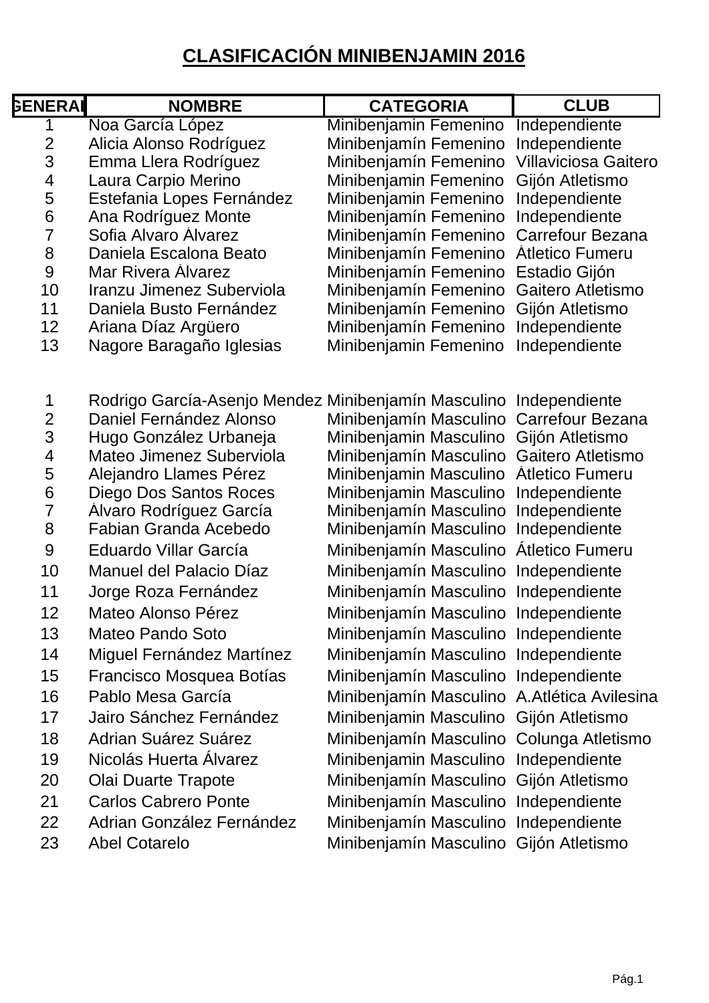# **CLASIFICACIÓN MINIBENJAMIN 2016**

| <b>GENERAI</b>           | <b>NOMBRE</b>                                       | <b>CATEGORIA</b>                               | <b>CLUB</b>                      |
|--------------------------|-----------------------------------------------------|------------------------------------------------|----------------------------------|
| 1                        | Noa García López                                    | Minibenjamin Femenino                          | Independiente                    |
| $\overline{2}$           | Alicia Alonso Rodríguez                             | Minibenjamín Femenino                          | Independiente                    |
| 3                        | Emma Llera Rodríguez                                | Minibenjamín Femenino                          | <b>Villaviciosa Gaitero</b>      |
| 4                        | Laura Carpio Merino                                 | Minibenjamin Femenino                          | Gijón Atletismo                  |
| 5                        | Estefania Lopes Fernández                           | Minibenjamin Femenino                          | Independiente                    |
| $\,6$                    | Ana Rodríguez Monte                                 | Minibenjamín Femenino                          | Independiente                    |
| $\overline{7}$           | Sofia Alvaro Alvarez                                | Minibenjamín Femenino                          | <b>Carrefour Bezana</b>          |
| 8                        | Daniela Escalona Beato                              | Minibenjamín Femenino                          | <b>Atletico Fumeru</b>           |
| 9                        | <b>Mar Rivera Alvarez</b>                           | Minibenjamín Femenino                          | Estadio Gijón                    |
| 10<br>11                 | Iranzu Jimenez Suberviola                           | Minibenjamín Femenino                          | Gaitero Atletismo                |
| 12                       | Daniela Busto Fernández                             | Minibenjamín Femenino<br>Minibenjamín Femenino | Gijón Atletismo<br>Independiente |
| 13                       | Ariana Díaz Argüero<br>Nagore Baragaño Iglesias     | Minibenjamin Femenino                          | Independiente                    |
|                          |                                                     |                                                |                                  |
| 1                        | Rodrigo García-Asenjo Mendez Minibenjamín Masculino |                                                | Independiente                    |
| $\overline{c}$           | Daniel Fernández Alonso                             | Minibenjamín Masculino                         | Carrefour Bezana                 |
| 3                        | Hugo González Urbaneja                              | Minibenjamin Masculino                         | Gijón Atletismo                  |
| $\overline{\mathcal{A}}$ | Mateo Jimenez Suberviola                            | Minibenjamín Masculino                         | Gaitero Atletismo                |
| 5                        | Alejandro Llames Pérez                              | Minibenjamin Masculino                         | <b>Atletico Fumeru</b>           |
| $6\phantom{a}$           | Diego Dos Santos Roces                              | Minibenjamin Masculino                         | Independiente                    |
| $\overline{7}$           | Alvaro Rodríguez García                             | Minibenjamín Masculino                         | Independiente                    |
| 8                        | Fabian Granda Acebedo                               | Minibenjamín Masculino                         | Independiente                    |
| $\overline{9}$           | Eduardo Villar García                               | Minibenjamín Masculino                         | Átletico Fumeru                  |
| 10                       | Manuel del Palacio Díaz                             | Minibenjamín Masculino                         | Independiente                    |
| 11                       | Jorge Roza Fernández                                | Minibenjamín Masculino                         | Independiente                    |
| 12                       | Mateo Alonso Pérez                                  | Minibenjamín Masculino Independiente           |                                  |
| 13                       | Mateo Pando Soto                                    | Minibenjamín Masculino Independiente           |                                  |
| 14                       | Miguel Fernández Martínez                           | Minibenjamín Masculino Independiente           |                                  |
| 15                       | Francisco Mosquea Botías                            | Minibenjamín Masculino Independiente           |                                  |
| 16                       | Pablo Mesa García                                   | Minibenjamín Masculino A. Atlética Avilesina   |                                  |
| 17                       | Jairo Sánchez Fernández                             | Minibenjamin Masculino Gijón Atletismo         |                                  |
| 18                       | Adrian Suárez Suárez                                | Minibenjamín Masculino Colunga Atletismo       |                                  |
| 19                       | Nicolás Huerta Álvarez                              | Minibenjamin Masculino Independiente           |                                  |
| 20                       | Olai Duarte Trapote                                 | Minibenjamín Masculino Gijón Atletismo         |                                  |
| 21                       | <b>Carlos Cabrero Ponte</b>                         | Minibenjamín Masculino Independiente           |                                  |
| 22                       | Adrian González Fernández                           | Minibenjamín Masculino Independiente           |                                  |
| 23                       | <b>Abel Cotarelo</b>                                | Minibenjamín Masculino Gijón Atletismo         |                                  |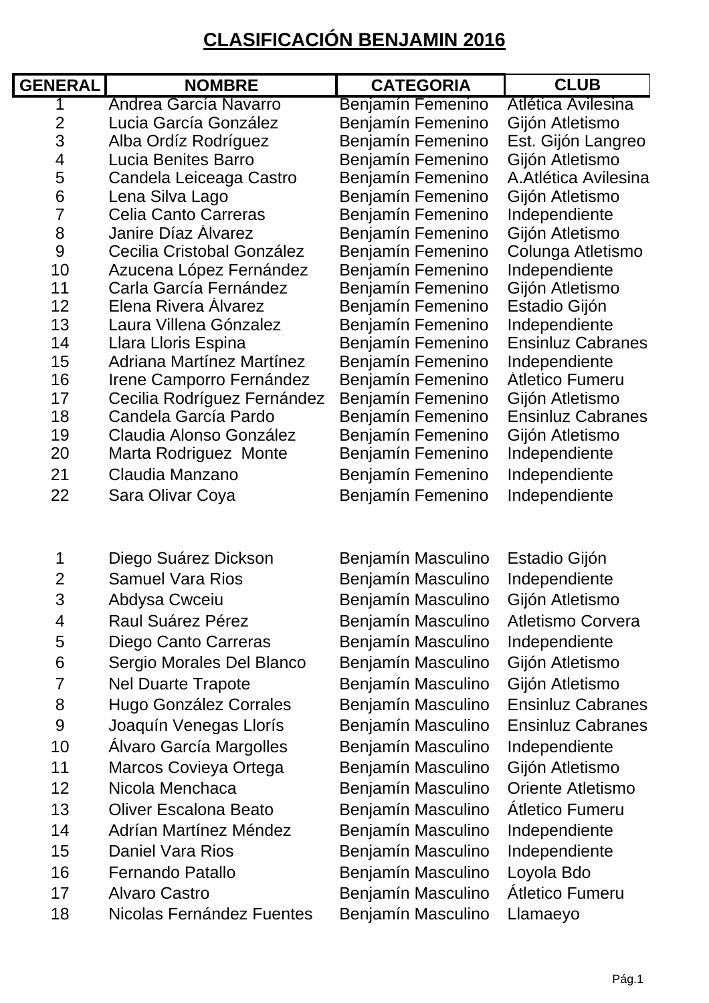## **CLASIFICACIÓN BENJAMIN 2016**

| <b>GENERAL</b> | <b>NOMBRE</b>               | <b>CATEGORIA</b>   | <b>CLUB</b>              |
|----------------|-----------------------------|--------------------|--------------------------|
| 1              | Andrea García Navarro       | Benjamín Femenino  | Atlética Avilesina       |
| $\overline{2}$ | Lucia García González       | Benjamín Femenino  | Gijón Atletismo          |
| 3              | Alba Ordíz Rodríguez        | Benjamín Femenino  | Est. Gijón Langreo       |
| 4              | Lucia Benites Barro         | Benjamín Femenino  | Gijón Atletismo          |
| 5              | Candela Leiceaga Castro     | Benjamín Femenino  | A. Atlética Avilesina    |
| 6              | Lena Silva Lago             | Benjamín Femenino  | Gijón Atletismo          |
| $\overline{7}$ | <b>Celia Canto Carreras</b> | Benjamín Femenino  | Independiente            |
| 8              | <b>Janire Díaz Alvarez</b>  | Benjamín Femenino  | Gijón Atletismo          |
| 9              | Cecilia Cristobal González  | Benjamín Femenino  | Colunga Atletismo        |
| 10             | Azucena López Fernández     | Benjamín Femenino  | Independiente            |
| 11             | Carla García Fernández      | Benjamín Femenino  | Gijón Atletismo          |
| 12             | Elena Rivera Alvarez        | Benjamín Femenino  | Estadio Gijón            |
| 13             | Laura Villena Gónzalez      | Benjamín Femenino  | Independiente            |
| 14             | Llara Lloris Espina         | Benjamín Femenino  | <b>Ensinluz Cabranes</b> |
| 15             | Adriana Martínez Martínez   | Benjamín Femenino  | Independiente            |
| 16             | Irene Camporro Fernández    | Benjamín Femenino  | <b>Atletico Fumeru</b>   |
| 17             | Cecilia Rodríguez Fernández | Benjamín Femenino  | Gijón Atletismo          |
| 18             | Candela García Pardo        | Benjamín Femenino  | <b>Ensinluz Cabranes</b> |
| 19             | Claudia Alonso González     | Benjamín Femenino  | Gijón Atletismo          |
| 20             | Marta Rodriguez Monte       | Benjamín Femenino  | Independiente            |
| 21             | Claudia Manzano             | Benjamín Femenino  | Independiente            |
| 22             | Sara Olivar Coya            | Benjamín Femenino  | Independiente            |
|                |                             |                    |                          |
| 1              | Diego Suárez Dickson        | Benjamín Masculino | Estadio Gijón            |
| $\overline{2}$ | <b>Samuel Vara Rios</b>     | Benjamín Masculino | Independiente            |
| 3              | Abdysa Cwceiu               | Benjamín Masculino | Gijón Atletismo          |
| 4              | Raul Suárez Pérez           | Benjamín Masculino | <b>Atletismo Corvera</b> |

- 5 Diego Canto Carreras Benjamín Masculino Independiente
- 6 Sergio Morales Del Blanco Benjamín Masculino Gijón Atletismo
- 7 Nel Duarte Trapote Benjamín Masculino Gijón Atletismo
- 8 Hugo González Corrales Benjamín Masculino Ensinluz Cabranes
- 9 Joaquín Venegas Llorís Benjamín Masculino Ensinluz Cabranes
- 
- 
- 13 Oliver Escalona Beato Benjamín Masculino Átletico Fumeru
- 14 Adrían Martínez Méndez Benjamín Masculino Independiente
- 15 Daniel Vara Rios Benjamín Masculino Independiente
- 16 Fernando Patallo Benjamín Masculino Loyola Bdo
- 17 Alvaro Castro Benjamín Masculino Átletico Fumeru
- 18 Nicolas Fernández Fuentes Benjamín Masculino Llamaeyo

10 Álvaro García Margolles Benjamín Masculino Independiente 11 Marcos Covieya Ortega Benjamín Masculino Gijón Atletismo 12 Nicola Menchaca Benjamín Masculino Oriente Atletismo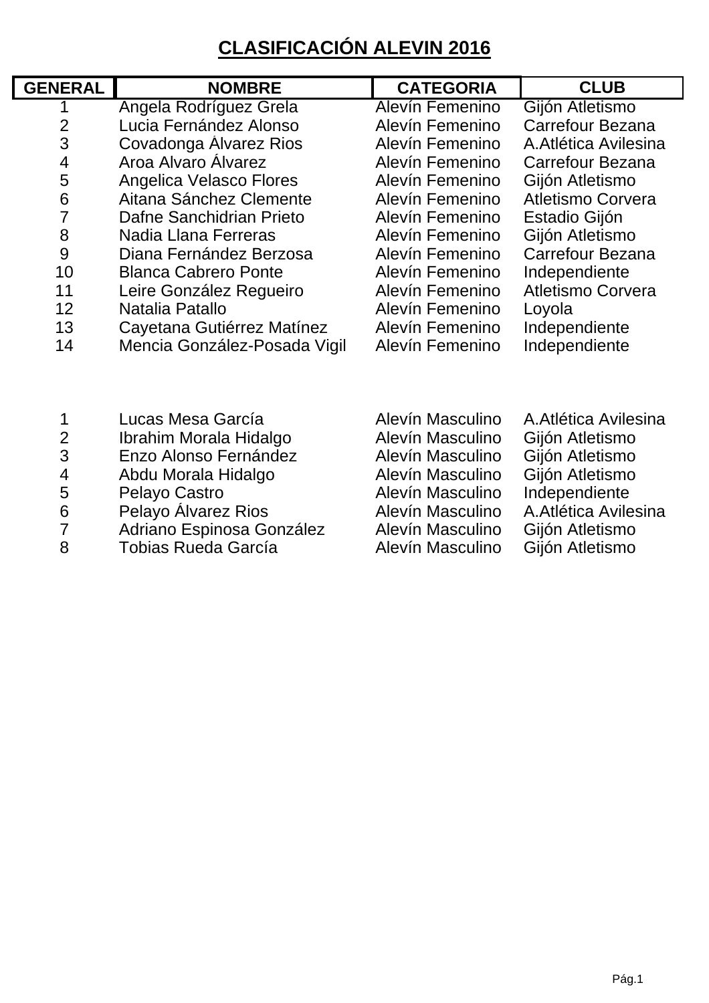# **CLASIFICACIÓN ALEVIN 2016**

| <b>GENERAL</b>           | <b>NOMBRE</b>                  | <b>CATEGORIA</b>     | <b>CLUB</b>                                                         |
|--------------------------|--------------------------------|----------------------|---------------------------------------------------------------------|
|                          | Angela Rodríguez Grela         | Alevín Femenino      | Gijón Atletismo                                                     |
| $\overline{2}$           | Lucia Fernández Alonso         | Alevín Femenino      | Carrefour Bezana                                                    |
| 3                        | Covadonga Alvarez Rios         | Alevín Femenino      | A. Atlética Avilesina                                               |
| $\overline{4}$           | Aroa Alvaro Alvarez            | Alevín Femenino      | Carrefour Bezana                                                    |
| 5                        | Angelica Velasco Flores        | Alevín Femenino      | Gijón Atletismo                                                     |
| 6                        | Aitana Sánchez Clemente        | Alevín Femenino      | <b>Atletismo Corvera</b>                                            |
| $\overline{7}$           | Dafne Sanchidrian Prieto       | Alevín Femenino      | Estadio Gijón                                                       |
| 8                        | Nadia Llana Ferreras           | Alevín Femenino      | Gijón Atletismo                                                     |
| 9                        | Diana Fernández Berzosa        | Alevín Femenino      | Carrefour Bezana                                                    |
| 10                       | <b>Blanca Cabrero Ponte</b>    | Alevín Femenino      | Independiente                                                       |
| 11                       | Leire González Regueiro        | Alevín Femenino      | Atletismo Corvera                                                   |
| 12                       | Natalia Patallo                | Alevín Femenino      | Loyola                                                              |
| 13                       | Cayetana Gutiérrez Matínez     | Alevín Femenino      | Independiente                                                       |
| 14                       | Mencia González-Posada Vigil   | Alevín Femenino      | Independiente                                                       |
|                          |                                |                      |                                                                     |
| 1                        | Lucas Mesa García              | Alevín Masculino     | A. Atlética Avilesina                                               |
| $\overline{c}$           | Ibrahim Morala Hidalgo         | Alevín Masculino     | Gijón Atletismo                                                     |
| 3                        | Enzo Alonso Fernández          | Alevín Masculino     | Gijón Atletismo                                                     |
| $\overline{\mathcal{A}}$ | Abdu Morala Hidalgo            | Alevín Masculino     | Gijón Atletismo                                                     |
| 5                        | Pelayo Castro                  | Alevín Masculino     | Independiente                                                       |
| 6                        | Pelayo Alvarez Rios            | Alevín Masculino     | A. Atlética Avilesina                                               |
| $\overline{7}$           | Adriano Espinosa González      | Alevín Masculino     | Gijón Atletismo                                                     |
| റ                        | $T_{\alpha}$ hiaa Duada Caraía | معنان بممول المئبرول | $\bigcap_{i=1}^{n}$ and $\bigcap_{i=1}^{n}$ and $\bigcap_{i=1}^{n}$ |

8 Tobias Rueda García **Macculino Gigón Atletismo**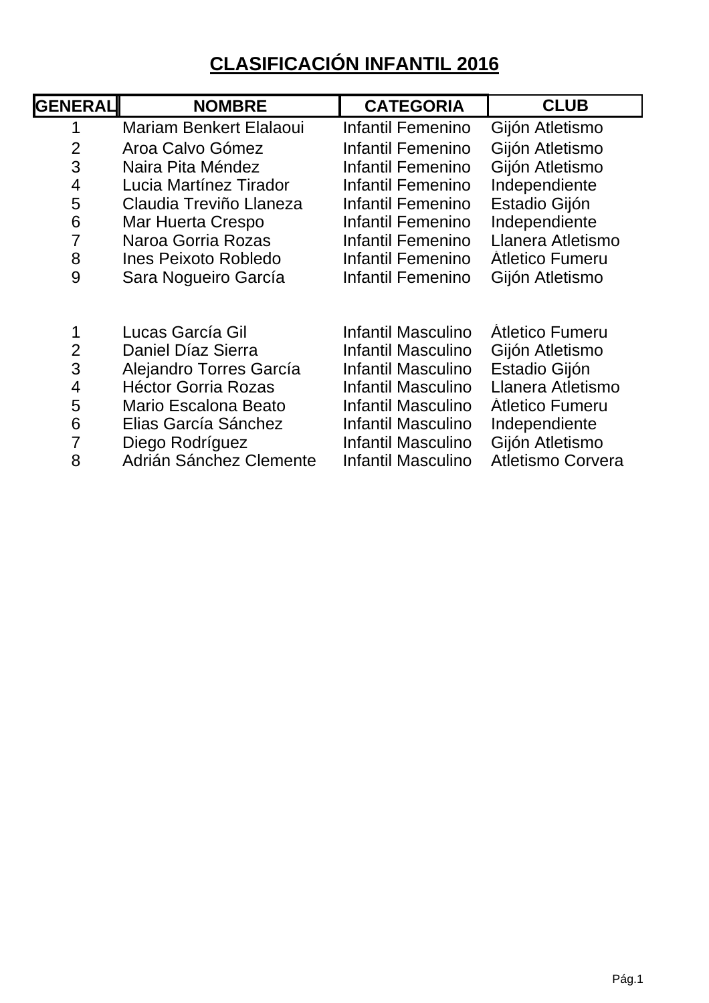# **CLASIFICACIÓN INFANTIL 2016**

| <b>NOMBRE</b>                                                                                                                                                      | <b>CATEGORIA</b>                                                                                                                                       | <b>CLUB</b>                                                                                                                                                        |
|--------------------------------------------------------------------------------------------------------------------------------------------------------------------|--------------------------------------------------------------------------------------------------------------------------------------------------------|--------------------------------------------------------------------------------------------------------------------------------------------------------------------|
| <b>Mariam Benkert Elalaoui</b>                                                                                                                                     | Infantil Femenino                                                                                                                                      | Gijón Atletismo                                                                                                                                                    |
| Aroa Calvo Gómez                                                                                                                                                   | Infantil Femenino                                                                                                                                      | Gijón Atletismo                                                                                                                                                    |
| Naira Pita Méndez                                                                                                                                                  | Infantil Femenino                                                                                                                                      | Gijón Atletismo                                                                                                                                                    |
| Lucia Martínez Tirador                                                                                                                                             | Infantil Femenino                                                                                                                                      | Independiente                                                                                                                                                      |
| Claudia Treviño Llaneza                                                                                                                                            | Infantil Femenino                                                                                                                                      | Estadio Gijón                                                                                                                                                      |
| Mar Huerta Crespo                                                                                                                                                  | Infantil Femenino                                                                                                                                      | Independiente                                                                                                                                                      |
| Naroa Gorria Rozas                                                                                                                                                 | Infantil Femenino                                                                                                                                      | Llanera Atletismo                                                                                                                                                  |
| <b>Ines Peixoto Robledo</b>                                                                                                                                        | Infantil Femenino                                                                                                                                      | <b>Atletico Fumeru</b>                                                                                                                                             |
| Sara Nogueiro García                                                                                                                                               | Infantil Femenino                                                                                                                                      | Gijón Atletismo                                                                                                                                                    |
| Lucas García Gil<br>Daniel Díaz Sierra<br>Alejandro Torres García<br><b>Héctor Gorria Rozas</b><br>Mario Escalona Beato<br>Elias García Sánchez<br>Diego Rodríguez | Infantil Masculino<br>Infantil Masculino<br>Infantil Masculino<br>Infantil Masculino<br>Infantil Masculino<br>Infantil Masculino<br>Infantil Masculino | <b>Atletico Fumeru</b><br>Gijón Atletismo<br>Estadio Gijón<br>Llanera Atletismo<br><b>Atletico Fumeru</b><br>Independiente<br>Gijón Atletismo<br>Atletismo Corvera |
|                                                                                                                                                                    | Adrián Sánchez Clemente                                                                                                                                | Infantil Masculino                                                                                                                                                 |